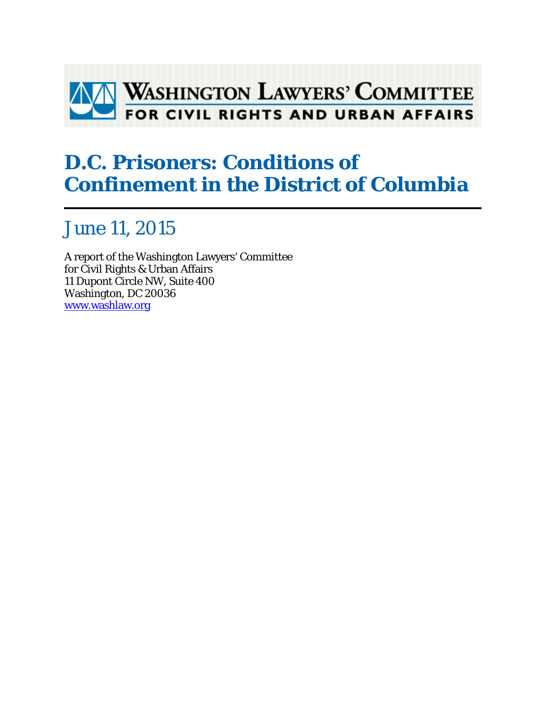

## **D.C. Prisoners: Conditions of Confinement in the District of Columbia**

## June 11, 2015

A report of the Washington Lawyers' Committee for Civil Rights & Urban Affairs 11 Dupont Circle NW, Suite 400 Washington, DC 20036 www.washlaw.org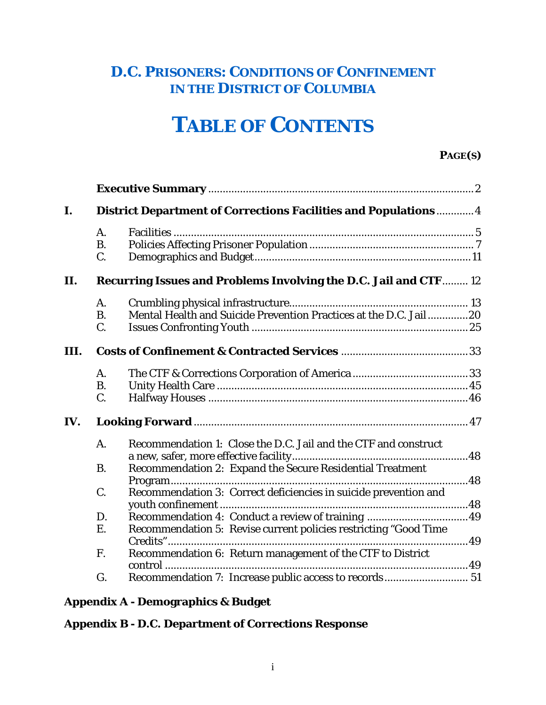### **D.C. PRISONERS: CONDITIONS OF CONFINEMENT IN THE DISTRICT OF COLUMBIA**

# **TABLE OF CONTENTS**

### **PAGE(S)**

| I.   |           | District Department of Corrections Facilities and Populations 4                          |  |
|------|-----------|------------------------------------------------------------------------------------------|--|
|      | A.        |                                                                                          |  |
|      | <b>B.</b> |                                                                                          |  |
|      | C.        |                                                                                          |  |
| П.   |           | Recurring Issues and Problems Involving the D.C. Jail and CTF 12                         |  |
|      | A.        |                                                                                          |  |
|      | <b>B.</b> | Mental Health and Suicide Prevention Practices at the D.C. Jail20                        |  |
|      | C.        |                                                                                          |  |
| III. |           |                                                                                          |  |
|      | A.        |                                                                                          |  |
|      | <b>B.</b> |                                                                                          |  |
|      | C.        |                                                                                          |  |
| IV.  |           |                                                                                          |  |
|      | A.        | Recommendation 1: Close the D.C. Jail and the CTF and construct                          |  |
|      | <b>B.</b> | Recommendation 2: Expand the Secure Residential Treatment                                |  |
|      | C.        | Recommendation 3: Correct deficiencies in suicide prevention and                         |  |
|      |           |                                                                                          |  |
|      | D.        |                                                                                          |  |
|      | E.        | Recommendation 5: Revise current policies restricting "Good Time<br>Credits"<br>. 49<br> |  |
|      | F.        | Recommendation 6: Return management of the CTF to District                               |  |
|      |           | $control$                                                                                |  |
|      | G.        | Recommendation 7: Increase public access to records 51                                   |  |

### **Appendix A - Demographics & Budget**

**Appendix B - D.C. Department of Corrections Response**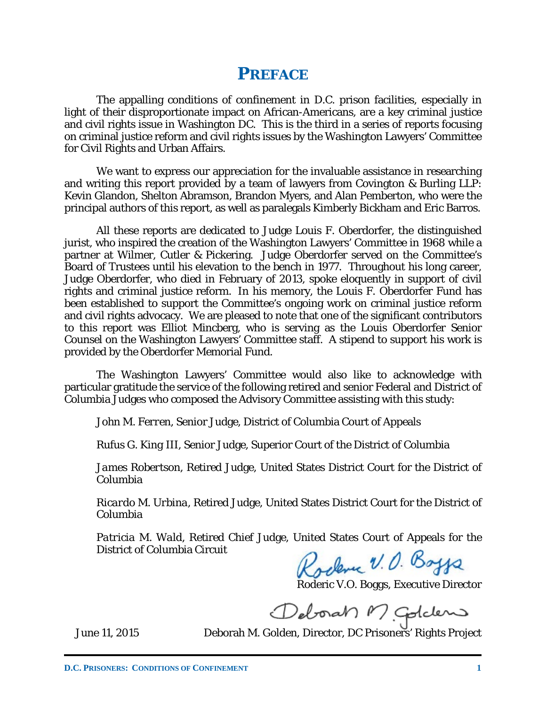### **PREFACE**

The appalling conditions of confinement in D.C. prison facilities, especially in light of their disproportionate impact on African-Americans, are a key criminal justice and civil rights issue in Washington DC. This is the third in a series of reports focusing on criminal justice reform and civil rights issues by the Washington Lawyers' Committee for Civil Rights and Urban Affairs.

We want to express our appreciation for the invaluable assistance in researching and writing this report provided by a team of lawyers from Covington & Burling LLP: Kevin Glandon, Shelton Abramson, Brandon Myers, and Alan Pemberton, who were the principal authors of this report, as well as paralegals Kimberly Bickham and Eric Barros.

All these reports are dedicated to Judge Louis F. Oberdorfer, the distinguished jurist, who inspired the creation of the Washington Lawyers' Committee in 1968 while a partner at Wilmer, Cutler & Pickering. Judge Oberdorfer served on the Committee's Board of Trustees until his elevation to the bench in 1977. Throughout his long career, Judge Oberdorfer, who died in February of 2013, spoke eloquently in support of civil rights and criminal justice reform. In his memory, the Louis F. Oberdorfer Fund has been established to support the Committee's ongoing work on criminal justice reform and civil rights advocacy. We are pleased to note that one of the significant contributors to this report was Elliot Mincberg, who is serving as the Louis Oberdorfer Senior Counsel on the Washington Lawyers' Committee staff. A stipend to support his work is provided by the Oberdorfer Memorial Fund.

The Washington Lawyers' Committee would also like to acknowledge with particular gratitude the service of the following retired and senior Federal and District of Columbia Judges who composed the Advisory Committee assisting with this study:

*John M. Ferren*, Senior Judge, District of Columbia Court of Appeals

*Rufus G. King III*, Senior Judge, Superior Court of the District of Columbia

*James Robertson*, Retired Judge, United States District Court for the District of Columbia

*Ricardo M. Urbina*, Retired Judge, United States District Court for the District of Columbia

*Patricia M. Wald*, Retired Chief Judge, United States Court of Appeals for the District of Columbia Circuit

Rockme V.O. Boygs

Roderic V.O. Boggs, Executive Director

Deborah M Goldens

June 11, 2015 Deborah M. Golden, Director, DC Prisoners' Rights Project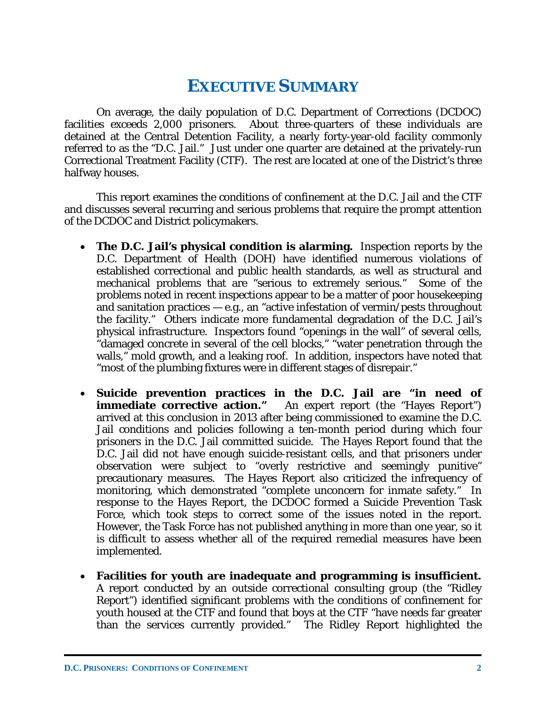### **EXECUTIVE SUMMARY**

On average, the daily population of D.C. Department of Corrections (DCDOC) facilities exceeds 2,000 prisoners. About three-quarters of these individuals are detained at the Central Detention Facility, a nearly forty-year-old facility commonly referred to as the "D.C. Jail." Just under one quarter are detained at the privately-run Correctional Treatment Facility (CTF). The rest are located at one of the District's three halfway houses.

This report examines the conditions of confinement at the D.C. Jail and the CTF and discusses several recurring and serious problems that require the prompt attention of the DCDOC and District policymakers.

- **The D.C. Jail's physical condition is alarming.** Inspection reports by the D.C. Department of Health (DOH) have identified numerous violations of established correctional and public health standards, as well as structural and mechanical problems that are "serious to extremely serious." Some of the problems noted in recent inspections appear to be a matter of poor housekeeping and sanitation practices  $-$  e.g., an "active infestation of vermin/pests throughout the facility." Others indicate more fundamental degradation of the D.C. Jail's physical infrastructure. Inspectors found "openings in the wall" of several cells, "damaged concrete in several of the cell blocks," "water penetration through the walls," mold growth, and a leaking roof. In addition, inspectors have noted that "most of the plumbing fixtures were in different stages of disrepair."
- **Suicide prevention practices in the D.C. Jail are "in need of immediate corrective action.**" An expert report (the "Hayes Report") arrived at this conclusion in 2013 after being commissioned to examine the D.C. Jail conditions and policies following a ten-month period during which four prisoners in the D.C. Jail committed suicide. The Hayes Report found that the D.C. Jail did not have enough suicide-resistant cells, and that prisoners under observation were subject to "overly restrictive and seemingly punitive" precautionary measures. The Hayes Report also criticized the infrequency of monitoring, which demonstrated "complete unconcern for inmate safety." In response to the Hayes Report, the DCDOC formed a Suicide Prevention Task Force, which took steps to correct some of the issues noted in the report. However, the Task Force has not published anything in more than one year, so it is difficult to assess whether all of the required remedial measures have been implemented.
- **Facilities for youth are inadequate and programming is insufficient.**  A report conducted by an outside correctional consulting group (the "Ridley Report") identified significant problems with the conditions of confinement for youth housed at the CTF and found that boys at the CTF "have needs far greater than the services currently provided." The Ridley Report highlighted the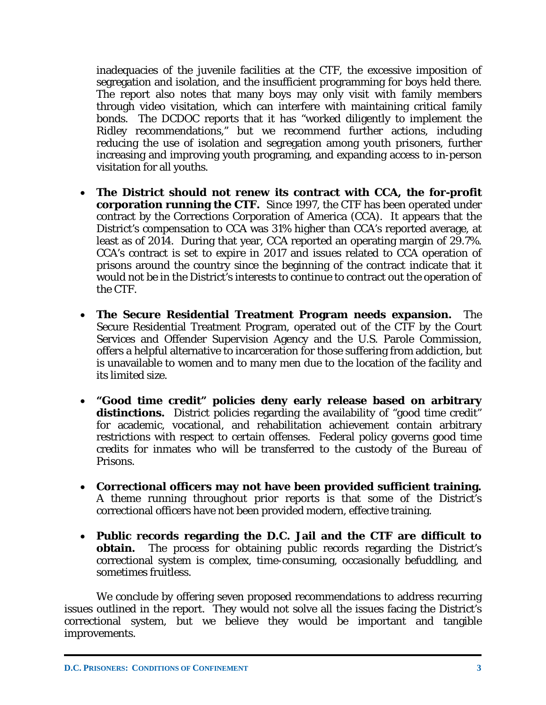inadequacies of the juvenile facilities at the CTF, the excessive imposition of segregation and isolation, and the insufficient programming for boys held there. The report also notes that many boys may only visit with family members through video visitation, which can interfere with maintaining critical family bonds. The DCDOC reports that it has "worked diligently to implement the Ridley recommendations," but we recommend further actions, including reducing the use of isolation and segregation among youth prisoners, further increasing and improving youth programing, and expanding access to in-person visitation for all youths.

- **The District should not renew its contract with CCA, the for-profit corporation running the CTF.** Since 1997, the CTF has been operated under contract by the Corrections Corporation of America (CCA). It appears that the District's compensation to CCA was 31% higher than CCA's reported average, at least as of 2014. During that year, CCA reported an operating margin of 29.7%. CCA's contract is set to expire in 2017 and issues related to CCA operation of prisons around the country since the beginning of the contract indicate that it would not be in the District's interests to continue to contract out the operation of the CTF.
- **The Secure Residential Treatment Program needs expansion.** The Secure Residential Treatment Program, operated out of the CTF by the Court Services and Offender Supervision Agency and the U.S. Parole Commission, offers a helpful alternative to incarceration for those suffering from addiction, but is unavailable to women and to many men due to the location of the facility and its limited size.
- **"Good time credit" policies deny early release based on arbitrary**  distinctions. District policies regarding the availability of "good time credit" for academic, vocational, and rehabilitation achievement contain arbitrary restrictions with respect to certain offenses. Federal policy governs good time credits for inmates who will be transferred to the custody of the Bureau of Prisons.
- **Correctional officers may not have been provided sufficient training.**  A theme running throughout prior reports is that some of the District's correctional officers have not been provided modern, effective training.
- **Public records regarding the D.C. Jail and the CTF are difficult to obtain.** The process for obtaining public records regarding the District's correctional system is complex, time-consuming, occasionally befuddling, and sometimes fruitless.

We conclude by offering seven proposed recommendations to address recurring issues outlined in the report. They would not solve all the issues facing the District's correctional system, but we believe they would be important and tangible improvements.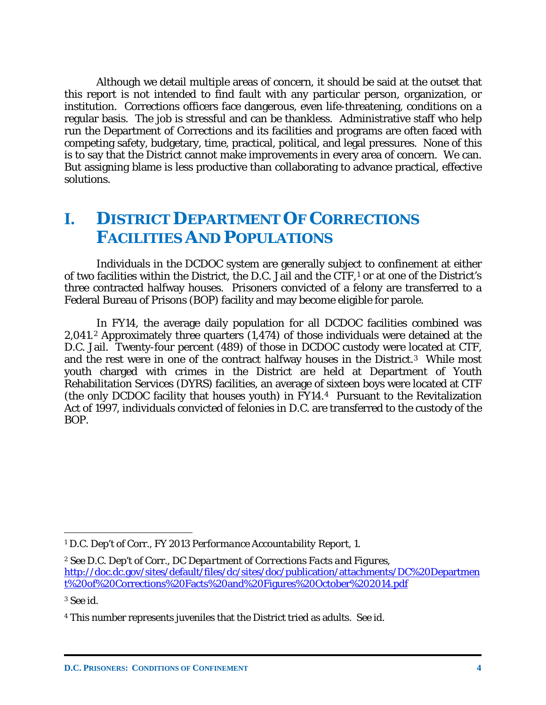Although we detail multiple areas of concern, it should be said at the outset that this report is not intended to find fault with any particular person, organization, or institution. Corrections officers face dangerous, even life-threatening, conditions on a regular basis. The job is stressful and can be thankless. Administrative staff who help run the Department of Corrections and its facilities and programs are often faced with competing safety, budgetary, time, practical, political, and legal pressures. None of this is to say that the District cannot make improvements in every area of concern. We can. But assigning blame is less productive than collaborating to advance practical, effective solutions.

### **I. DISTRICT DEPARTMENT OF CORRECTIONS FACILITIES AND POPULATIONS**

Individuals in the DCDOC system are generally subject to confinement at either of two facilities within the District, the D.C. Jail and the CTF,[1](#page-5-0) or at one of the District's three contracted halfway houses. Prisoners convicted of a felony are transferred to a Federal Bureau of Prisons (BOP) facility and may become eligible for parole.

In FY14, the average daily population for all DCDOC facilities combined was 2,041.[2](#page-5-1) Approximately three quarters (1,474) of those individuals were detained at the D.C. Jail. Twenty-four percent (489) of those in DCDOC custody were located at CTF, and the rest were in one of the contract halfway houses in the District.[3](#page-5-2) While most youth charged with crimes in the District are held at Department of Youth Rehabilitation Services (DYRS) facilities, an average of sixteen boys were located at CTF (the only DCDOC facility that houses youth) in FY14.[4](#page-5-3) Pursuant to the Revitalization Act of 1997, individuals convicted of felonies in D.C. are transferred to the custody of the BOP.

<span id="page-5-2"></span><sup>3</sup> *See id.*

<span id="page-5-0"></span><sup>1</sup> D.C. Dep't of Corr., *FY 2013 Performance Accountability Report*, 1.

<span id="page-5-1"></span><sup>2</sup> *See* D.C. Dep't of Corr., *DC Department of Corrections Facts and Figures*, [http://doc.dc.gov/sites/default/files/dc/sites/doc/publication/attachments/DC%20Departmen](http://doc.dc.gov/sites/default/files/dc/sites/doc/publication/attachments/DC%20Department%20of%20Corrections%20Facts%20and%20Figures%20October%202014.pdf) [t%20of%20Corrections%20Facts%20and%20Figures%20October%202014.pdf](http://doc.dc.gov/sites/default/files/dc/sites/doc/publication/attachments/DC%20Department%20of%20Corrections%20Facts%20and%20Figures%20October%202014.pdf)

<span id="page-5-3"></span><sup>4</sup> This number represents juveniles that the District tried as adults. *See id.*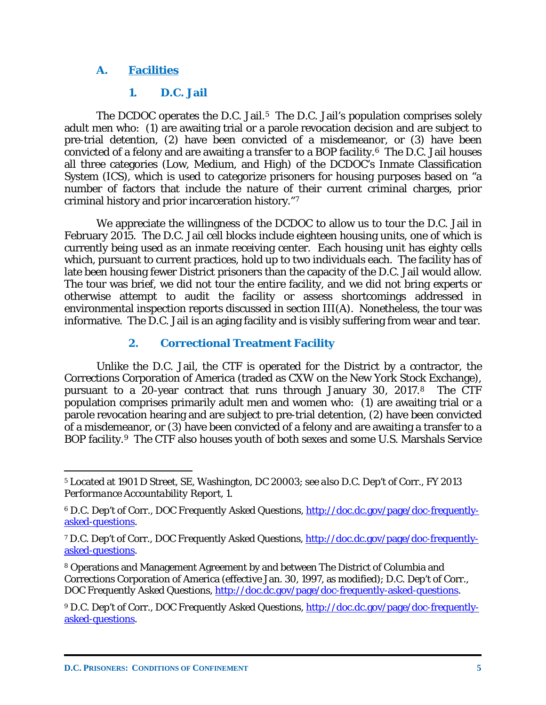### **A. Facilities**

### **1. D.C. Jail**

The DCDOC operates the D.C. Jail.<sup>5</sup> The D.C. Jail's population comprises solely adult men who: (1) are awaiting trial or a parole revocation decision and are subject to pre-trial detention, (2) have been convicted of a misdemeanor, or (3) have been convicted of a felony and are awaiting a transfer to a BOP facility.[6](#page-6-1) The D.C. Jail houses all three categories (Low, Medium, and High) of the DCDOC's Inmate Classification System (ICS), which is used to categorize prisoners for housing purposes based on "a number of factors that include the nature of their current criminal charges, prior criminal history and prior incarceration history."[7](#page-6-2)

We appreciate the willingness of the DCDOC to allow us to tour the D.C. Jail in February 2015. The D.C. Jail cell blocks include eighteen housing units, one of which is currently being used as an inmate receiving center. Each housing unit has eighty cells which, pursuant to current practices, hold up to two individuals each. The facility has of late been housing fewer District prisoners than the capacity of the D.C. Jail would allow. The tour was brief, we did not tour the entire facility, and we did not bring experts or otherwise attempt to audit the facility or assess shortcomings addressed in environmental inspection reports discussed in section III(A). Nonetheless, the tour was informative. The D.C. Jail is an aging facility and is visibly suffering from wear and tear.

### **2. Correctional Treatment Facility**

Unlike the D.C. Jail, the CTF is operated for the District by a contractor, the Corrections Corporation of America (traded as CXW on the New York Stock Exchange), pursuant to a 20-year contract that runs through January 30, 2017.[8](#page-6-3) The CTF population comprises primarily adult men and women who: (1) are awaiting trial or a parole revocation hearing and are subject to pre-trial detention, (2) have been convicted of a misdemeanor, or (3) have been convicted of a felony and are awaiting a transfer to a BOP facility.<sup>9</sup> The CTF also houses youth of both sexes and some U.S. Marshals Service

<span id="page-6-0"></span><sup>5</sup> Located at 1901 D Street, SE, Washington, DC 20003; *see also* D.C. Dep't of Corr., *FY 2013 Performance Accountability Report*, 1.

<span id="page-6-1"></span><sup>6</sup> D.C. Dep't of Corr., *DOC Frequently Asked Questions*, [http://doc.dc.gov/page/doc-frequently](http://doc.dc.gov/page/doc-frequently-asked-questions)[asked-questions.](http://doc.dc.gov/page/doc-frequently-asked-questions)

<span id="page-6-2"></span><sup>7</sup> D.C. Dep't of Corr., *DOC Frequently Asked Questions*, [http://doc.dc.gov/page/doc-frequently](http://doc.dc.gov/page/doc-frequently-asked-questions)[asked-questions.](http://doc.dc.gov/page/doc-frequently-asked-questions)

<span id="page-6-3"></span><sup>8</sup> Operations and Management Agreement by and between The District of Columbia and Corrections Corporation of America (effective Jan. 30, 1997, as modified); D.C. Dep't of Corr., *DOC Frequently Asked Questions*, [http://doc.dc.gov/page/doc-frequently-asked-questions.](http://doc.dc.gov/page/doc-frequently-asked-questions)

<span id="page-6-4"></span><sup>9</sup> D.C. Dep't of Corr., *DOC Frequently Asked Questions*, [http://doc.dc.gov/page/doc-frequently](http://doc.dc.gov/page/doc-frequently-asked-questions)[asked-questions.](http://doc.dc.gov/page/doc-frequently-asked-questions)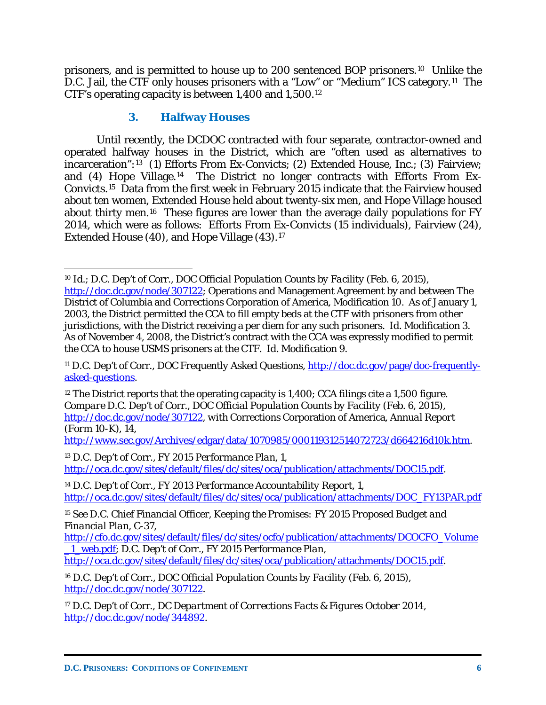prisoners, and is permitted to house up to 200 sentenced BOP prisoners.[10](#page-7-0) Unlike the D.C. Jail, the CTF only houses prisoners with a "Low" or "Medium" ICS category.[11](#page-7-1) The CTF's operating capacity is between 1,400 and 1,500.[12](#page-7-2)

### **3. Halfway Houses**

Until recently, the DCDOC contracted with four separate, contractor-owned and operated halfway houses in the District, which are "often used as alternatives to incarceration":[13](#page-7-3) (1) Efforts From Ex-Convicts; (2) Extended House, Inc.; (3) Fairview; and (4) Hope Village.[14](#page-7-4) The District no longer contracts with Efforts From Ex-Convicts.[15](#page-7-5) Data from the first week in February 2015 indicate that the Fairview housed about ten women, Extended House held about twenty-six men, and Hope Village housed about thirty men.[16](#page-7-6) These figures are lower than the average daily populations for FY 2014, which were as follows: Efforts From Ex-Convicts (15 individuals), Fairview (24), Extended House (40), and Hope Village (43).[17](#page-7-7)

[http://www.sec.gov/Archives/edgar/data/1070985/000119312514072723/d664216d10k.htm.](http://www.sec.gov/Archives/edgar/data/1070985/000119312514072723/d664216d10k.htm)

<span id="page-7-5"></span><sup>15</sup> *See* D.C. Chief Financial Officer, *Keeping the Promises: FY 2015 Proposed Budget and Financial Plan*, C-37,

<span id="page-7-0"></span> $\overline{a}$ <sup>10</sup> *Id.*; D.C. Dep't of Corr., *DOC Official Population Counts by Facility* (Feb. 6, 2015), [http://doc.dc.gov/node/307122;](http://doc.dc.gov/node/307122) Operations and Management Agreement by and between The District of Columbia and Corrections Corporation of America, Modification 10. As of January 1, 2003, the District permitted the CCA to fill empty beds at the CTF with prisoners from other jurisdictions, with the District receiving a per diem for any such prisoners. *Id.* Modification 3. As of November 4, 2008, the District's contract with the CCA was expressly modified to permit the CCA to house USMS prisoners at the CTF. *Id.* Modification 9.

<span id="page-7-1"></span><sup>11</sup> D.C. Dep't of Corr., *DOC Frequently Asked Questions*, [http://doc.dc.gov/page/doc-frequently](http://doc.dc.gov/page/doc-frequently-asked-questions)[asked-questions.](http://doc.dc.gov/page/doc-frequently-asked-questions)

<span id="page-7-2"></span> $12$  The District reports that the operating capacity is 1,400; CCA filings cite a 1,500 figure. *Compare* D.C. Dep't of Corr., *DOC Official Population Counts by Facility* (Feb. 6, 2015), [http://doc.dc.gov/node/307122,](http://doc.dc.gov/node/307122) *with* Corrections Corporation of America, *Annual Report (Form 10-K)*, 14,

<span id="page-7-3"></span><sup>13</sup> D.C. Dep't of Corr., *FY 2015 Performance Plan*, 1, [http://oca.dc.gov/sites/default/files/dc/sites/oca/publication/attachments/DOC15.pdf.](http://oca.dc.gov/sites/default/files/dc/sites/oca/publication/attachments/DOC15.pdf)

<span id="page-7-4"></span><sup>14</sup> D.C. Dep't of Corr., *FY 2013 Performance Accountability Report*, 1, [http://oca.dc.gov/sites/default/files/dc/sites/oca/publication/attachments/DOC\\_FY13PAR.pdf](http://oca.dc.gov/sites/default/files/dc/sites/oca/publication/attachments/DOC_FY13PAR.pdf)

[http://cfo.dc.gov/sites/default/files/dc/sites/ocfo/publication/attachments/DCOCFO\\_Volume](http://cfo.dc.gov/sites/default/files/dc/sites/ocfo/publication/attachments/DCOCFO_Volume_1_web.pdf) [\\_1\\_web.pdf;](http://cfo.dc.gov/sites/default/files/dc/sites/ocfo/publication/attachments/DCOCFO_Volume_1_web.pdf) D.C. Dep't of Corr., *FY 2015 Performance Plan*,

[http://oca.dc.gov/sites/default/files/dc/sites/oca/publication/attachments/DOC15.pdf.](http://oca.dc.gov/sites/default/files/dc/sites/oca/publication/attachments/DOC15.pdf)

<span id="page-7-6"></span><sup>16</sup> D.C. Dep't of Corr., *DOC Official Population Counts by Facility* (Feb. 6, 2015), [http://doc.dc.gov/node/307122.](http://doc.dc.gov/node/307122)

<span id="page-7-7"></span><sup>17</sup> D.C. Dep't of Corr., *DC Department of Corrections Facts & Figures October 2014*, [http://doc.dc.gov/node/344892.](http://doc.dc.gov/node/344892)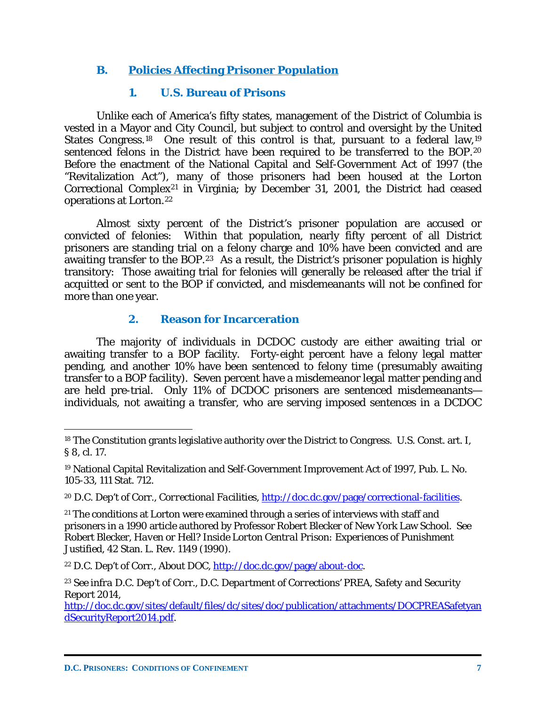### **B. Policies Affecting Prisoner Population**

### **1. U.S. Bureau of Prisons**

Unlike each of America's fifty states, management of the District of Columbia is vested in a Mayor and City Council, but subject to control and oversight by the United States Congress.<sup>[18](#page-8-0)</sup> One result of this control is that, pursuant to a federal law,<sup>[19](#page-8-1)</sup> sentenced felons in the District have been required to be transferred to the BOP.<sup>[20](#page-8-2)</sup> Before the enactment of the National Capital and Self-Government Act of 1997 (the "Revitalization Act"), many of those prisoners had been housed at the Lorton Correctional Complex[21](#page-8-3) in Virginia; by December 31, 2001, the District had ceased operations at Lorton.[22](#page-8-4)

Almost sixty percent of the District's prisoner population are accused or convicted of felonies: Within that population, nearly fifty percent of all District prisoners are standing trial on a felony charge and 10% have been convicted and are awaiting transfer to the BOP.<sup>[23](#page-8-5)</sup> As a result, the District's prisoner population is highly transitory: Those awaiting trial for felonies will generally be released after the trial if acquitted or sent to the BOP if convicted, and misdemeanants will not be confined for more than one year.

### **2. Reason for Incarceration**

The majority of individuals in DCDOC custody are either awaiting trial or awaiting transfer to a BOP facility. Forty-eight percent have a felony legal matter pending, and another 10% have been sentenced to felony time (presumably awaiting transfer to a BOP facility). Seven percent have a misdemeanor legal matter pending and are held pre-trial. Only 11% of DCDOC prisoners are sentenced misdemeanants individuals, not awaiting a transfer, who are serving imposed sentences in a DCDOC

<span id="page-8-0"></span><sup>&</sup>lt;sup>18</sup> The Constitution grants legislative authority over the District to Congress. U.S. Const. art. I, § 8, cl. 17.

<span id="page-8-1"></span><sup>19</sup> National Capital Revitalization and Self-Government Improvement Act of 1997, Pub. L. No. 105-33, 111 Stat. 712.

<span id="page-8-2"></span><sup>20</sup> D.C. Dep't of Corr., *Correctional Facilities*, [http://doc.dc.gov/page/correctional-facilities.](http://doc.dc.gov/page/correctional-facilities)

<span id="page-8-3"></span><sup>&</sup>lt;sup>21</sup> The conditions at Lorton were examined through a series of interviews with staff and prisoners in a 1990 article authored by Professor Robert Blecker of New York Law School. *See* Robert Blecker, *Haven or Hell? Inside Lorton Central Prison: Experiences of Punishment Justified*, 42 Stan. L. Rev. 1149 (1990).

<span id="page-8-4"></span><sup>22</sup> D.C. Dep't of Corr., *About DOC*, [http://doc.dc.gov/page/about-doc.](http://doc.dc.gov/page/about-doc)

<span id="page-8-5"></span><sup>23</sup> *See infra* D.C. Dep't of Corr., *D.C. Department of Corrections' PREA, Safety and Security Report 2014*,

[http://doc.dc.gov/sites/default/files/dc/sites/doc/publication/attachments/DOCPREASafetyan](http://doc.dc.gov/sites/default/files/dc/sites/doc/publication/attachments/DOCPREASafetyandSecurityReport2014.pdf) [dSecurityReport2014.pdf.](http://doc.dc.gov/sites/default/files/dc/sites/doc/publication/attachments/DOCPREASafetyandSecurityReport2014.pdf)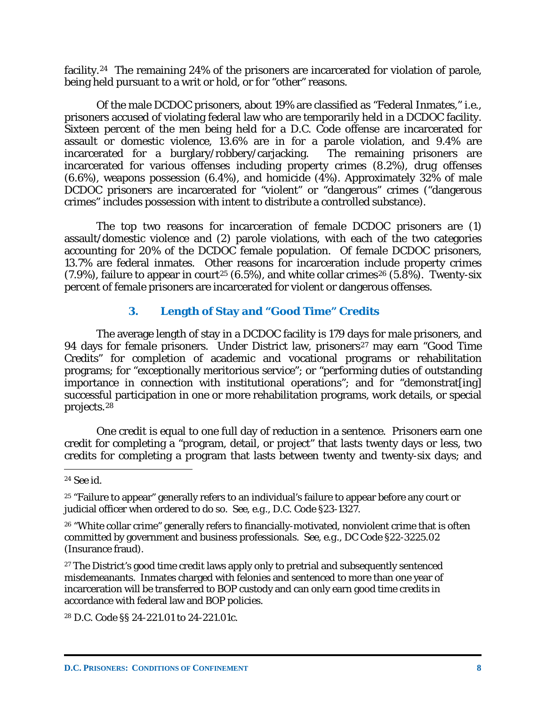facility.<sup>24</sup> The remaining 24% of the prisoners are incarcerated for violation of parole, being held pursuant to a writ or hold, or for "other" reasons.

Of the male DCDOC prisoners, about 19% are classified as "Federal Inmates," *i.e.*, prisoners accused of violating federal law who are temporarily held in a DCDOC facility. Sixteen percent of the men being held for a D.C. Code offense are incarcerated for assault or domestic violence, 13.6% are in for a parole violation, and 9.4% are incarcerated for a burglary/robbery/carjacking. The remaining prisoners are incarcerated for a burglary/robbery/carjacking. incarcerated for various offenses including property crimes (8.2%), drug offenses  $(6.6\%)$ , weapons possession  $(6.4\%)$ , and homicide  $(4\%)$ . Approximately 32% of male DCDOC prisoners are incarcerated for "violent" or "dangerous" crimes ("dangerous crimes" includes possession with intent to distribute a controlled substance).

The top two reasons for incarceration of female DCDOC prisoners are (1) assault/domestic violence and (2) parole violations, with each of the two categories accounting for 20% of the DCDOC female population. Of female DCDOC prisoners, 13.7% are federal inmates. Other reasons for incarceration include property crimes  $(7.9\%)$ , failure to appear in court<sup>[25](#page-9-1)</sup> (6.5%), and white collar crimes<sup>[26](#page-9-2)</sup> (5.8%). Twenty-six percent of female prisoners are incarcerated for violent or dangerous offenses.

### **3. Length of Stay and "Good Time" Credits**

The average length of stay in a DCDOC facility is 179 days for male prisoners, and 94 days for female prisoners. Under District law, prisoners<sup>[27](#page-9-3)</sup> may earn "Good Time Credits" for completion of academic and vocational programs or rehabilitation programs; for "exceptionally meritorious service"; or "performing duties of outstanding importance in connection with institutional operations"; and for "demonstrat[ing] successful participation in one or more rehabilitation programs, work details, or special projects.[28](#page-9-4)

One credit is equal to one full day of reduction in a sentence. Prisoners earn one credit for completing a "program, detail, or project" that lasts twenty days or less, two credits for completing a program that lasts between twenty and twenty-six days; and

<span id="page-9-1"></span><sup>25</sup> "Failure to appear" generally refers to an individual's failure to appear before any court or judicial officer when ordered to do so. *See, e.g.*, D.C. Code §23-1327.

<span id="page-9-2"></span><sup>26</sup> "White collar crime" generally refers to financially-motivated, nonviolent crime that is often committed by government and business professionals. *See, e.g.*, DC Code §22-3225.02 (Insurance fraud).

<span id="page-9-3"></span><sup>27</sup> The District's good time credit laws apply only to pretrial and subsequently sentenced misdemeanants. Inmates charged with felonies and sentenced to more than one year of incarceration will be transferred to BOP custody and can only earn good time credits in accordance with federal law and BOP policies.

<span id="page-9-4"></span><sup>28</sup> D.C. Code §§ 24-221.01 to 24-221.01c.

<span id="page-9-0"></span> $\overline{a}$ <sup>24</sup> *See id.*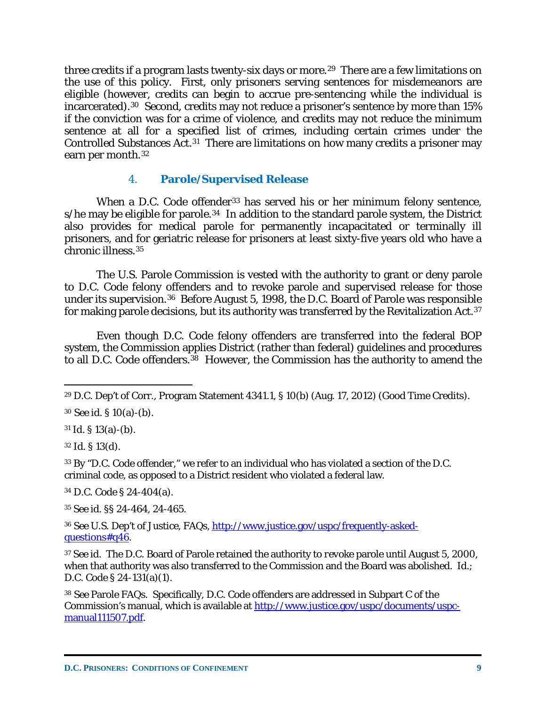three credits if a program lasts twenty-six days or more.<sup>[29](#page-10-0)</sup> There are a few limitations on the use of this policy. First, only prisoners serving sentences for misdemeanors are eligible (however, credits can begin to accrue pre-sentencing while the individual is incarcerated).[30](#page-10-1) Second, credits may not reduce a prisoner's sentence by more than 15% if the conviction was for a crime of violence, and credits may not reduce the minimum sentence at all for a specified list of crimes, including certain crimes under the Controlled Substances Act.[31](#page-10-2) There are limitations on how many credits a prisoner may earn per month.<sup>[32](#page-10-3)</sup>

#### 4. **Parole/Supervised Release**

When a D.C. Code offender<sup>[33](#page-10-4)</sup> has served his or her minimum felony sentence,  $s/h$ e may be eligible for parole.<sup>[34](#page-10-5)</sup> In addition to the standard parole system, the District also provides for medical parole for permanently incapacitated or terminally ill prisoners, and for geriatric release for prisoners at least sixty-five years old who have a chronic illness.[35](#page-10-6)

The U.S. Parole Commission is vested with the authority to grant or deny parole to D.C. Code felony offenders and to revoke parole and supervised release for those under its supervision.[36](#page-10-7) Before August 5, 1998, the D.C. Board of Parole was responsible for making parole decisions, but its authority was transferred by the Revitalization Act.<sup>37</sup>

Even though D.C. Code felony offenders are transferred into the federal BOP system, the Commission applies District (rather than federal) guidelines and procedures to all D.C. Code offenders.[38](#page-10-9) However, the Commission has the authority to amend the

<span id="page-10-3"></span><sup>32</sup> *Id.* § 13(d).

 $\overline{a}$ 

<span id="page-10-4"></span><sup>33</sup> By "D.C. Code offender," we refer to an individual who has violated a section of the D.C. criminal code, as opposed to a District resident who violated a federal law.

<span id="page-10-5"></span><sup>34</sup> D.C. Code § 24-404(a).

<span id="page-10-6"></span><sup>35</sup> *See id.* §§ 24-464, 24-465.

<span id="page-10-7"></span><sup>36</sup> *See* U.S. Dep't of Justice, *FAQs*, [http://www.justice.gov/uspc/frequently-asked](http://www.justice.gov/uspc/frequently-asked-questions%23q46)[questions#q46.](http://www.justice.gov/uspc/frequently-asked-questions%23q46)

<span id="page-10-8"></span><sup>37</sup> *See id.* The D.C. Board of Parole retained the authority to *revoke* parole until August 5, 2000, when that authority was also transferred to the Commission and the Board was abolished. *Id.*; D.C. Code § 24-131(a)(1).

<span id="page-10-9"></span><sup>38</sup> *See* Parole FAQs. Specifically, D.C. Code offenders are addressed in Subpart C of the Commission's manual, which is available at [http://www.justice.gov/uspc/documents/uspc](http://www.justice.gov/uspc/documents/uspc-manual111507.pdf)[manual111507.pdf.](http://www.justice.gov/uspc/documents/uspc-manual111507.pdf)

<span id="page-10-0"></span><sup>29</sup> D.C. Dep't of Corr., Program Statement 4341.1, § 10(b) (Aug. 17, 2012) (Good Time Credits).

<span id="page-10-1"></span><sup>30</sup> *See id.* § 10(a)-(b).

<span id="page-10-2"></span> $31$  *Id.* § 13(a)-(b).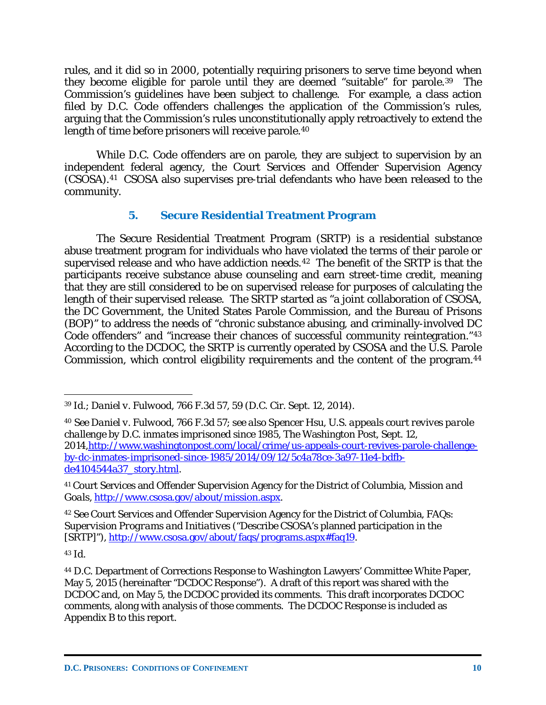rules, and it did so in 2000, potentially requiring prisoners to serve time beyond when they become eligible for parole until they are deemed "suitable" for parole.[39](#page-11-0) The Commission's guidelines have been subject to challenge. For example, a class action filed by D.C. Code offenders challenges the application of the Commission's rules, arguing that the Commission's rules unconstitutionally apply retroactively to extend the length of time before prisoners will receive parole.[40](#page-11-1)

While D.C. Code offenders are on parole, they are subject to supervision by an independent federal agency, the Court Services and Offender Supervision Agency (CSOSA).[41](#page-11-2) CSOSA also supervises pre-trial defendants who have been released to the community.

### **5. Secure Residential Treatment Program**

The Secure Residential Treatment Program (SRTP) is a residential substance abuse treatment program for individuals who have violated the terms of their parole or supervised release and who have addiction needs.[42](#page-11-3) The benefit of the SRTP is that the participants receive substance abuse counseling and earn street-time credit, meaning that they are still considered to be on supervised release for purposes of calculating the length of their supervised release. The SRTP started as "a joint collaboration of CSOSA, the DC Government, the United States Parole Commission, and the Bureau of Prisons (BOP)" to address the needs of "chronic substance abusing, and criminally-involved DC Code offenders" and "increase their chances of successful community reintegration."[43](#page-11-4) According to the DCDOC, the SRTP is currently operated by CSOSA and the U.S. Parole Commission, which control eligibility requirements and the content of the program.[44](#page-11-5)

<span id="page-11-4"></span><sup>43</sup> *Id.*

<span id="page-11-0"></span> $\overline{a}$ <sup>39</sup> *Id.*; *Daniel v. Fulwood*, 766 F.3d 57, 59 (D.C. Cir. Sept. 12, 2014).

<span id="page-11-1"></span><sup>40</sup> *See Daniel v. Fulwood*, 766 F.3d 57; *see also* Spencer Hsu, *U.S. appeals court revives parole challenge by D.C. inmates imprisoned since 1985*, The Washington Post, Sept. 12, 2014[,http://www.washingtonpost.com/local/crime/us-appeals-court-revives-parole-challenge](http://www.washingtonpost.com/local/crime/us-appeals-court-revives-parole-challenge-by-dc-inmates-imprisoned-since-1985/2014/09/12/5c4a78ce-3a97-11e4-bdfb-de4104544a37_story.html)[by-dc-inmates-imprisoned-since-1985/2014/09/12/5c4a78ce-3a97-11e4-bdfb](http://www.washingtonpost.com/local/crime/us-appeals-court-revives-parole-challenge-by-dc-inmates-imprisoned-since-1985/2014/09/12/5c4a78ce-3a97-11e4-bdfb-de4104544a37_story.html)[de4104544a37\\_story.html.](http://www.washingtonpost.com/local/crime/us-appeals-court-revives-parole-challenge-by-dc-inmates-imprisoned-since-1985/2014/09/12/5c4a78ce-3a97-11e4-bdfb-de4104544a37_story.html)

<span id="page-11-2"></span><sup>41</sup> Court Services and Offender Supervision Agency for the District of Columbia, *Mission and Goals*, [http://www.csosa.gov/about/mission.aspx.](http://www.csosa.gov/about/mission.aspx)

<span id="page-11-3"></span><sup>42</sup> *See* Court Services and Offender Supervision Agency for the District of Columbia, *FAQs: Supervision Programs and Initiatives* ("Describe CSOSA's planned participation in the [SRTP]"), [http://www.csosa.gov/about/faqs/programs.aspx#faq19.](http://www.csosa.gov/about/faqs/programs.aspx%23faq19)

<span id="page-11-5"></span><sup>44</sup> D.C. Department of Corrections Response to Washington Lawyers' Committee White Paper, May 5, 2015 (hereinafter "DCDOC Response"). A draft of this report was shared with the DCDOC and, on May 5, the DCDOC provided its comments. This draft incorporates DCDOC comments, along with analysis of those comments. The DCDOC Response is included as Appendix B to this report.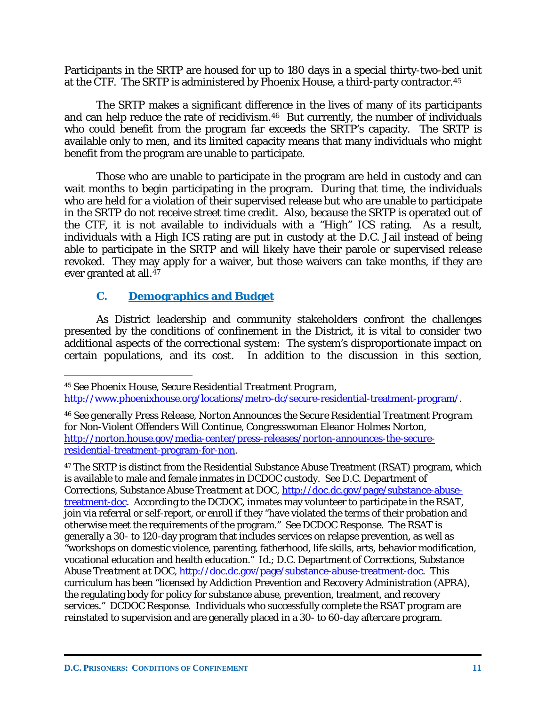Participants in the SRTP are housed for up to 180 days in a special thirty-two-bed unit at the CTF. The SRTP is administered by Phoenix House, a third-party contractor.[45](#page-12-0)

The SRTP makes a significant difference in the lives of many of its participants and can help reduce the rate of recidivism.<sup>[46](#page-12-1)</sup> But currently, the number of individuals who could benefit from the program far exceeds the SRTP's capacity. The SRTP is available only to men, and its limited capacity means that many individuals who might benefit from the program are unable to participate.

Those who are unable to participate in the program are held in custody and can wait months to begin participating in the program. During that time, the individuals who are held for a violation of their supervised release but who are unable to participate in the SRTP do not receive street time credit. Also, because the SRTP is operated out of the CTF, it is not available to individuals with a "High" ICS rating. As a result, individuals with a High ICS rating are put in custody at the D.C. Jail instead of being able to participate in the SRTP and will likely have their parole or supervised release revoked. They may apply for a waiver, but those waivers can take months, if they are ever granted at all.<sup>[47](#page-12-2)</sup>

### **C. Demographics and Budget**

 $\overline{a}$ 

As District leadership and community stakeholders confront the challenges presented by the conditions of confinement in the District, it is vital to consider two additional aspects of the correctional system: The system's disproportionate impact on certain populations, and its cost. In addition to the discussion in this section,

<span id="page-12-0"></span><sup>45</sup> *See* Phoenix House, *Secure Residential Treatment Program*,

[http://www.phoenixhouse.org/locations/metro-dc/secure-residential-treatment-program/.](http://www.phoenixhouse.org/locations/metro-dc/secure-residential-treatment-program/)

<span id="page-12-1"></span><sup>46</sup> *See generally* Press Release, *Norton Announces the Secure Residential Treatment Program for Non-Violent Offenders Will Continue*, Congresswoman Eleanor Holmes Norton, [http://norton.house.gov/media-center/press-releases/norton-announces-the-secure](http://norton.house.gov/media-center/press-releases/norton-announces-the-secure-residential-treatment-program-for-non)[residential-treatment-program-for-non.](http://norton.house.gov/media-center/press-releases/norton-announces-the-secure-residential-treatment-program-for-non)

<span id="page-12-2"></span><sup>&</sup>lt;sup>47</sup> The SRTP is distinct from the Residential Substance Abuse Treatment (RSAT) program, which is available to male and female inmates in DCDOC custody. *See* D.C. Department of Corrections, *Substance Abuse Treatment at DOC*, [http://doc.dc.gov/page/substance-abuse](http://doc.dc.gov/page/substance-abuse-treatment-doc)[treatment-doc.](http://doc.dc.gov/page/substance-abuse-treatment-doc) According to the DCDOC, inmates may volunteer to participate in the RSAT, join via referral or self-report, or enroll if they "have violated the terms of their probation and otherwise meet the requirements of the program." *See* DCDOC Response. The RSAT is generally a 30- to 120-day program that includes services on relapse prevention, as well as "workshops on domestic violence, parenting, fatherhood, life skills, arts, behavior modification, vocational education and health education." *Id.*; D.C. Department of Corrections, *Substance Abuse Treatment at DOC*, [http://doc.dc.gov/page/substance-abuse-treatment-doc.](http://doc.dc.gov/page/substance-abuse-treatment-doc) This curriculum has been "licensed by Addiction Prevention and Recovery Administration (APRA), the regulating body for policy for substance abuse, prevention, treatment, and recovery services." DCDOC Response. Individuals who successfully complete the RSAT program are reinstated to supervision and are generally placed in a 30- to 60-day aftercare program.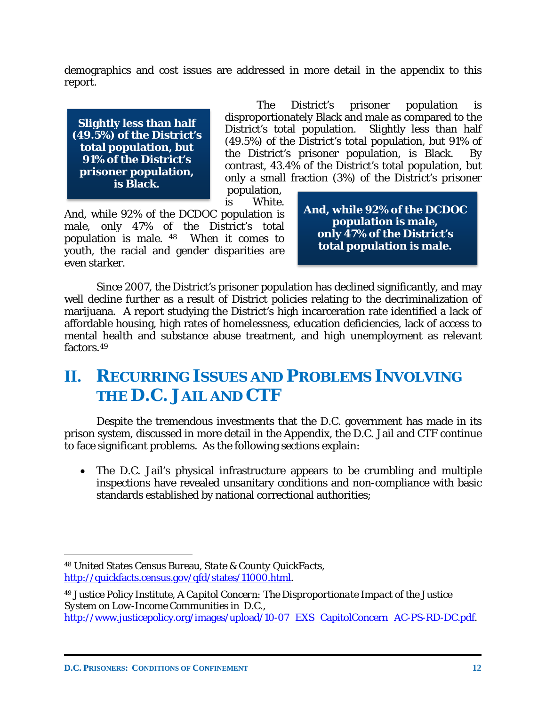demographics and cost issues are addressed in more detail in the appendix to this report.

**Slightly less than half (49.5%) of the District's total population, but 91% of the District's prisoner population, is Black.**

The District's prisoner population is disproportionately Black and male as compared to the District's total population. Slightly less than half (49.5%) of the District's total population, but 91% of the District's prisoner population, is Black. By contrast, 43.4% of the District's total population, but only a small fraction (3%) of the District's prisoner

population, is White.

And, while 92% of the DCDOC population is male, only 47% of the District's total population is male. [48](#page-13-0) When it comes to youth, the racial and gender disparities are even starker.

**And, while 92% of the DCDOC population is male, only 47% of the District's total population is male.**

Since 2007, the District's prisoner population has declined significantly, and may well decline further as a result of District policies relating to the decriminalization of marijuana. A report studying the District's high incarceration rate identified a lack of affordable housing, high rates of homelessness, education deficiencies, lack of access to mental health and substance abuse treatment, and high unemployment as relevant factors.[49](#page-13-1) 

### **II. RECURRING ISSUES AND PROBLEMS INVOLVING THE D.C. JAIL AND CTF**

Despite the tremendous investments that the D.C. government has made in its prison system, discussed in more detail in the Appendix, the D.C. Jail and CTF continue to face significant problems. As the following sections explain:

• The D.C. Jail's physical infrastructure appears to be crumbling and multiple inspections have revealed unsanitary conditions and non-compliance with basic standards established by national correctional authorities;

<span id="page-13-0"></span><sup>48</sup> United States Census Bureau, *State & County QuickFacts*, [http://quickfacts.census.gov/qfd/states/11000.html.](http://quickfacts.census.gov/qfd/states/11000.html)

<span id="page-13-1"></span><sup>49</sup> Justice Policy Institute, *A Capitol Concern: The Disproportionate Impact of the Justice System on Low-Income Communities in D.C.*, [http://www.justicepolicy.org/images/upload/10-07\\_EXS\\_CapitolConcern\\_AC-PS-RD-DC.pdf.](http://www.justicepolicy.org/images/upload/10-07_EXS_CapitolConcern_AC-PS-RD-DC.pdf)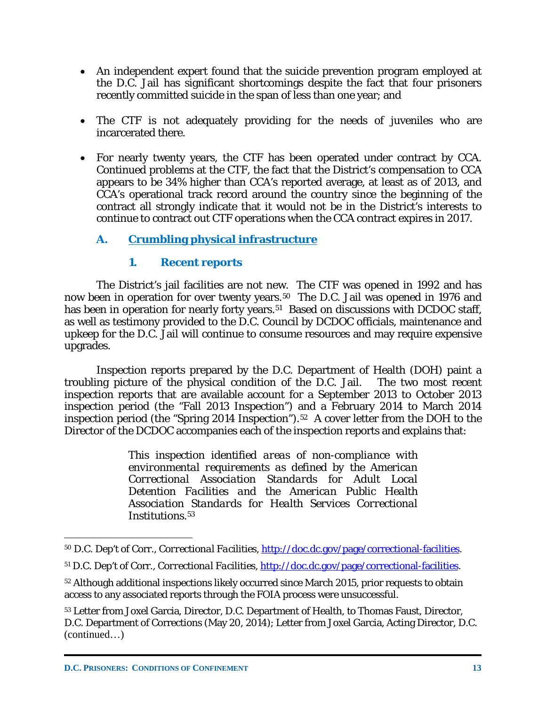- An independent expert found that the suicide prevention program employed at the D.C. Jail has significant shortcomings despite the fact that four prisoners recently committed suicide in the span of less than one year; and
- The CTF is not adequately providing for the needs of juveniles who are incarcerated there.
- For nearly twenty years, the CTF has been operated under contract by CCA. Continued problems at the CTF, the fact that the District's compensation to CCA appears to be 34% higher than CCA's reported average, at least as of 2013, and CCA's operational track record around the country since the beginning of the contract all strongly indicate that it would not be in the District's interests to continue to contract out CTF operations when the CCA contract expires in 2017.

### **A. Crumbling physical infrastructure**

### **1. Recent reports**

The District's jail facilities are not new. The CTF was opened in 1992 and has now been in operation for over twenty years.<sup>50</sup> The D.C. Jail was opened in 1976 and has been in operation for nearly forty years.<sup>[51](#page-14-1)</sup> Based on discussions with DCDOC staff, as well as testimony provided to the D.C. Council by DCDOC officials, maintenance and upkeep for the D.C. Jail will continue to consume resources and may require expensive upgrades.

Inspection reports prepared by the D.C. Department of Health (DOH) paint a troubling picture of the physical condition of the D.C. Jail. The two most recent inspection reports that are available account for a September 2013 to October 2013 inspection period (the "Fall 2013 Inspection") and a February 2014 to March 2014 inspection period (the "Spring 2014 Inspection").[52](#page-14-2) A cover letter from the DOH to the Director of the DCDOC accompanies each of the inspection reports and explains that:

> *This inspection identified areas of non-compliance with environmental requirements as defined by the American Correctional Association Standards for Adult Local Detention Facilities and the American Public Health Association Standards for Health Services Correctional Institutions*.[53](#page-14-3)

<span id="page-14-0"></span><sup>50</sup> D.C. Dep't of Corr., *Correctional Facilities*, [http://doc.dc.gov/page/correctional-facilities.](http://doc.dc.gov/page/correctional-facilities)

<span id="page-14-1"></span><sup>51</sup> D.C. Dep't of Corr., *Correctional Facilities*, [http://doc.dc.gov/page/correctional-facilities.](http://doc.dc.gov/page/correctional-facilities)

<span id="page-14-2"></span><sup>&</sup>lt;sup>52</sup> Although additional inspections likely occurred since March 2015, prior requests to obtain access to any associated reports through the FOIA process were unsuccessful.

<span id="page-14-3"></span><sup>53</sup> Letter from Joxel Garcia, Director, D.C. Department of Health, to Thomas Faust, Director, D.C. Department of Corrections (May 20, 2014); Letter from Joxel Garcia, Acting Director, D.C. (continued…)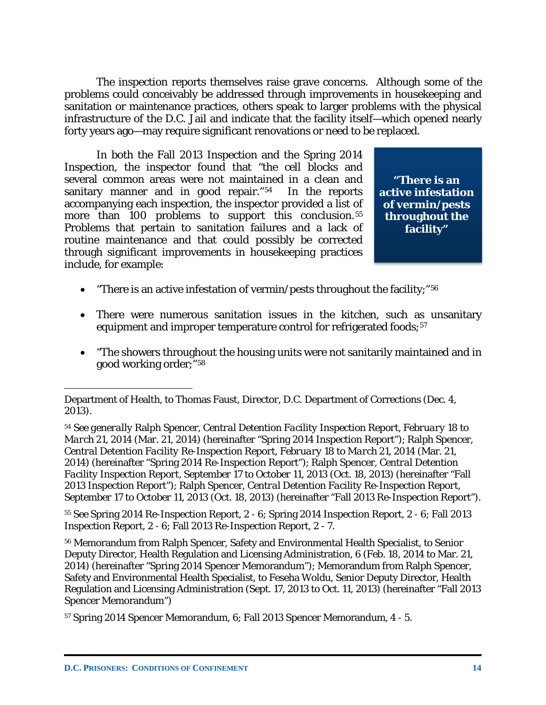The inspection reports themselves raise grave concerns. Although some of the problems could conceivably be addressed through improvements in housekeeping and sanitation or maintenance practices, others speak to larger problems with the physical infrastructure of the D.C. Jail and indicate that the facility itself—which opened nearly forty years ago—may require significant renovations or need to be replaced.

In both the Fall 2013 Inspection and the Spring 2014 Inspection, the inspector found that "the cell blocks and several common areas were not maintained in a clean and sanitary manner and in good repair."[54](#page-15-0) In the reports accompanying each inspection, the inspector provided a list of more than 100 problems to support this conclusion.<sup>55</sup> Problems that pertain to sanitation failures and a lack of routine maintenance and that could possibly be corrected through significant improvements in housekeeping practices include, for example:

**"There is an active infestation of vermin/pests throughout the facility"**

- "There is an active infestation of vermin/pests throughout the facility;" $56$
- There were numerous sanitation issues in the kitchen, such as unsanitary equipment and improper temperature control for refrigerated foods;<sup>[57](#page-15-3)</sup>
- "The showers throughout the housing units were not sanitarily maintained and in good working order;"[58](#page-15-4)

<span id="page-15-1"></span><sup>55</sup> *See* Spring 2014 Re-Inspection Report, 2 - 6; Spring 2014 Inspection Report, 2 - 6; Fall 2013 Inspection Report, 2 - 6; Fall 2013 Re-Inspection Report, 2 - 7.

<span id="page-15-2"></span><sup>56</sup> Memorandum from Ralph Spencer, Safety and Environmental Health Specialist, to Senior Deputy Director, Health Regulation and Licensing Administration, 6 (Feb. 18, 2014 to Mar. 21, 2014) (hereinafter "Spring 2014 Spencer Memorandum"); Memorandum from Ralph Spencer, Safety and Environmental Health Specialist, to Feseha Woldu, Senior Deputy Director, Health Regulation and Licensing Administration (Sept. 17, 2013 to Oct. 11, 2013) (hereinafter "Fall 2013 Spencer Memorandum")

<span id="page-15-4"></span>Department of Health, to Thomas Faust, Director, D.C. Department of Corrections (Dec. 4, 2013).

<span id="page-15-0"></span><sup>54</sup> *See generally* Ralph Spencer, *Central Detention Facility Inspection Report, February 18 to March 21, 2014* (Mar. 21, 2014) (hereinafter "Spring 2014 Inspection Report"); Ralph Spencer, *Central Detention Facility Re-Inspection Report, February 18 to March 21, 2014* (Mar. 21, 2014) (hereinafter "Spring 2014 Re-Inspection Report"); Ralph Spencer, *Central Detention Facility Inspection Report, September 17 to October 11, 2013* (Oct. 18, 2013) (hereinafter "Fall 2013 Inspection Report"); Ralph Spencer, *Central Detention Facility Re-Inspection Report, September 17 to October 11, 2013* (Oct. 18, 2013) (hereinafter "Fall 2013 Re-Inspection Report").

<span id="page-15-3"></span><sup>57</sup> Spring 2014 Spencer Memorandum, 6; Fall 2013 Spencer Memorandum, 4 - 5.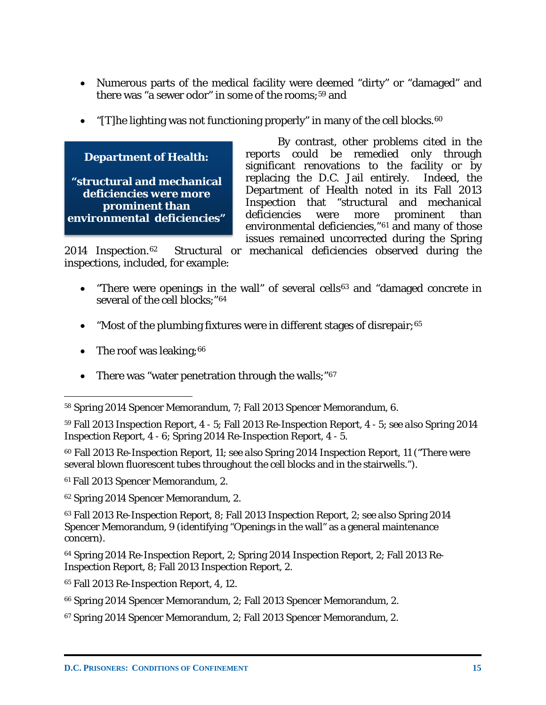- Numerous parts of the medical facility were deemed "dirty" or "damaged" and there was "a sewer odor" in some of the rooms;<sup>[59](#page-16-0)</sup> and
- "[T]he lighting was not functioning properly" in many of the cell blocks.  $60$



By contrast, other problems cited in the reports could be remedied only through significant renovations to the facility or by replacing the D.C. Jail entirely. Indeed, the Department of Health noted in its Fall 2013 Inspection that "structural and mechanical deficiencies were more prominent than environmental deficiencies,"[61](#page-16-2) and many of those issues remained uncorrected during the Spring

2014 Inspection.[62](#page-16-3) Structural or mechanical deficiencies observed during the inspections, included, for example:

- "There were openings in the wall" of several cells<sup>[63](#page-16-4)</sup> and "damaged concrete in several of the cell blocks:"<sup>[64](#page-16-5)</sup>
- "Most of the plumbing fixtures were in different stages of disrepair;<sup>[65](#page-16-6)</sup>
- The roof was leaking;  $66$
- There was "water penetration through the walls;"<sup>[67](#page-16-8)</sup>

<span id="page-16-0"></span><sup>59</sup> Fall 2013 Inspection Report, 4 - 5; Fall 2013 Re-Inspection Report, 4 - 5; *see also* Spring 2014 Inspection Report, 4 - 6; Spring 2014 Re-Inspection Report, 4 - 5.

<span id="page-16-1"></span><sup>60</sup> Fall 2013 Re-Inspection Report, 11; *see also* Spring 2014 Inspection Report, 11 ("There were several blown fluorescent tubes throughout the cell blocks and in the stairwells.").

<span id="page-16-2"></span><sup>61</sup> Fall 2013 Spencer Memorandum, 2.

<span id="page-16-3"></span><sup>62</sup> Spring 2014 Spencer Memorandum, 2.

<span id="page-16-4"></span><sup>63</sup> Fall 2013 Re-Inspection Report, 8; Fall 2013 Inspection Report, 2; *see also* Spring 2014 Spencer Memorandum, 9 (identifying "Openings in the wall" as a general maintenance concern).

<span id="page-16-5"></span><sup>64</sup> Spring 2014 Re-Inspection Report, 2; Spring 2014 Inspection Report, 2; Fall 2013 Re-Inspection Report, 8; Fall 2013 Inspection Report, 2.

<span id="page-16-6"></span><sup>65</sup> Fall 2013 Re-Inspection Report, 4, 12.

<span id="page-16-7"></span><sup>66</sup> Spring 2014 Spencer Memorandum, 2; Fall 2013 Spencer Memorandum, 2.

<span id="page-16-8"></span><sup>67</sup> Spring 2014 Spencer Memorandum, 2; Fall 2013 Spencer Memorandum, 2.

 $\overline{a}$ <sup>58</sup> Spring 2014 Spencer Memorandum, 7; Fall 2013 Spencer Memorandum, 6.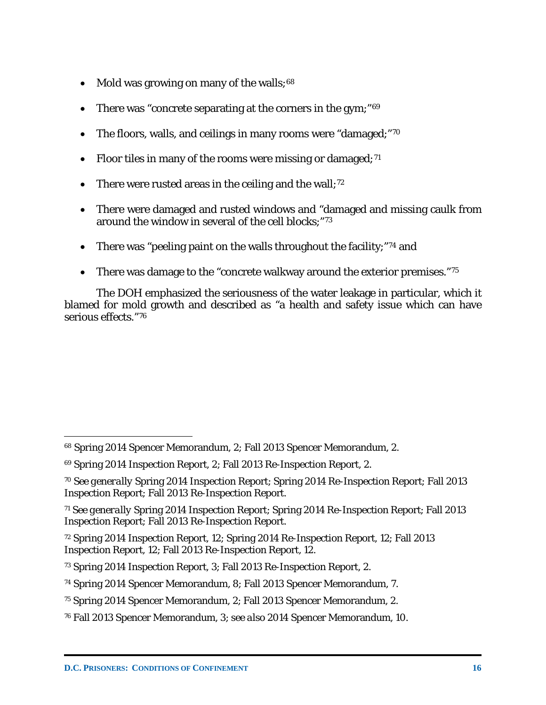- Mold was growing on many of the walls;  $68$
- There was "concrete separating at the corners in the gym;"<sup>[69](#page-17-1)</sup>
- The floors, walls, and ceilings in many rooms were "damaged;"[70](#page-17-2)
- Floor tiles in many of the rooms were missing or damaged;  $71$
- There were rusted areas in the ceiling and the wall;<sup>[72](#page-17-4)</sup>
- There were damaged and rusted windows and "damaged and missing caulk from around the window in several of the cell blocks;"[73](#page-17-5)
- There was "peeling paint on the walls throughout the facility;"<sup>[74](#page-17-6)</sup> and
- There was damage to the "concrete walkway around the exterior premises."[75](#page-17-7)

The DOH emphasized the seriousness of the water leakage in particular, which it blamed for mold growth and described as "a health and safety issue which can have serious effects."[76](#page-17-8)

<span id="page-17-0"></span><sup>68</sup> Spring 2014 Spencer Memorandum, 2; Fall 2013 Spencer Memorandum, 2.

<span id="page-17-1"></span><sup>69</sup> Spring 2014 Inspection Report, 2; Fall 2013 Re-Inspection Report, 2.

<span id="page-17-2"></span><sup>70</sup> *See generally* Spring 2014 Inspection Report; Spring 2014 Re-Inspection Report; Fall 2013 Inspection Report; Fall 2013 Re-Inspection Report.

<span id="page-17-3"></span><sup>71</sup> *See generally* Spring 2014 Inspection Report; Spring 2014 Re-Inspection Report; Fall 2013 Inspection Report; Fall 2013 Re-Inspection Report.

<span id="page-17-4"></span><sup>72</sup> Spring 2014 Inspection Report, 12; Spring 2014 Re-Inspection Report, 12; Fall 2013 Inspection Report, 12; Fall 2013 Re-Inspection Report, 12.

<span id="page-17-5"></span><sup>73</sup> Spring 2014 Inspection Report, 3; Fall 2013 Re-Inspection Report, 2.

<span id="page-17-6"></span><sup>74</sup> Spring 2014 Spencer Memorandum, 8; Fall 2013 Spencer Memorandum, 7.

<span id="page-17-7"></span><sup>75</sup> Spring 2014 Spencer Memorandum, 2; Fall 2013 Spencer Memorandum, 2.

<span id="page-17-8"></span><sup>76</sup> Fall 2013 Spencer Memorandum, 3; *see also* 2014 Spencer Memorandum, 10.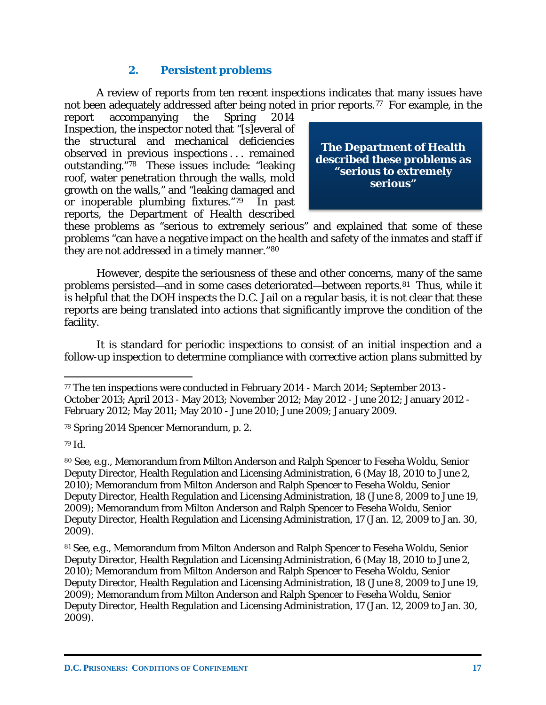### **2. Persistent problems**

A review of reports from ten recent inspections indicates that many issues have not been adequately addressed after being noted in prior reports.<sup>[77](#page-18-0)</sup> For example, in the

report accompanying the Spring 2014 Inspection, the inspector noted that "[s]everal of the structural and mechanical deficiencies observed in previous inspections . . . remained outstanding."[78](#page-18-1) These issues include: "leaking roof, water penetration through the walls, mold growth on the walls," and "leaking damaged and or inoperable plumbing fixtures."[79](#page-18-2) In past reports, the Department of Health described



these problems as "serious to extremely serious" and explained that some of these problems "can have a negative impact on the health and safety of the inmates and staff if they are not addressed in a timely manner."[80](#page-18-3)

However, despite the seriousness of these and other concerns, many of the same problems persisted—and in some cases deteriorated—between reports.[81](#page-18-4) Thus, while it is helpful that the DOH inspects the D.C. Jail on a regular basis, it is not clear that these reports are being translated into actions that significantly improve the condition of the facility.

It is standard for periodic inspections to consist of an initial inspection and a follow-up inspection to determine compliance with corrective action plans submitted by

<span id="page-18-1"></span><sup>78</sup> Spring 2014 Spencer Memorandum, p. 2.

<span id="page-18-2"></span><sup>79</sup> *Id.*

 $\overline{a}$ 

<span id="page-18-3"></span><sup>80</sup> *See, e.g.*, Memorandum from Milton Anderson and Ralph Spencer to Feseha Woldu, Senior Deputy Director, Health Regulation and Licensing Administration, 6 (May 18, 2010 to June 2, 2010); Memorandum from Milton Anderson and Ralph Spencer to Feseha Woldu, Senior Deputy Director, Health Regulation and Licensing Administration, 18 (June 8, 2009 to June 19, 2009); Memorandum from Milton Anderson and Ralph Spencer to Feseha Woldu, Senior Deputy Director, Health Regulation and Licensing Administration, 17 (Jan. 12, 2009 to Jan. 30, 2009).

<span id="page-18-4"></span><sup>81</sup> *See, e.g.*, Memorandum from Milton Anderson and Ralph Spencer to Feseha Woldu, Senior Deputy Director, Health Regulation and Licensing Administration, 6 (May 18, 2010 to June 2, 2010); Memorandum from Milton Anderson and Ralph Spencer to Feseha Woldu, Senior Deputy Director, Health Regulation and Licensing Administration, 18 (June 8, 2009 to June 19, 2009); Memorandum from Milton Anderson and Ralph Spencer to Feseha Woldu, Senior Deputy Director, Health Regulation and Licensing Administration, 17 (Jan. 12, 2009 to Jan. 30, 2009).

<span id="page-18-0"></span><sup>77</sup> The ten inspections were conducted in February 2014 - March 2014; September 2013 - October 2013; April 2013 - May 2013; November 2012; May 2012 - June 2012; January 2012 - February 2012; May 2011; May 2010 - June 2010; June 2009; January 2009.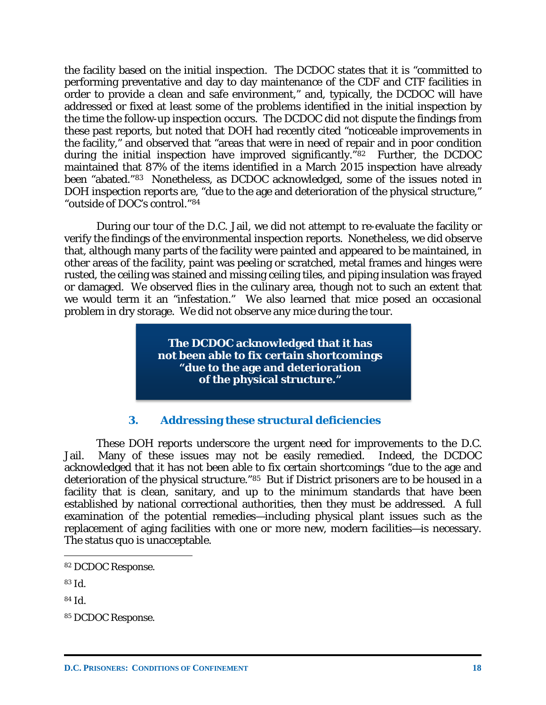the facility based on the initial inspection. The DCDOC states that it is "committed to performing preventative and day to day maintenance of the CDF and CTF facilities in order to provide a clean and safe environment," and, typically, the DCDOC will have addressed or fixed at least some of the problems identified in the initial inspection by the time the follow-up inspection occurs. The DCDOC did not dispute the findings from these past reports, but noted that DOH had recently cited "noticeable improvements in the facility," and observed that "areas that were in need of repair and in poor condition during the initial inspection have improved significantly."<sup>82</sup> Further, the DCDOC maintained that 87% of the items identified in a March 2015 inspection have already been "abated."[83](#page-19-1) Nonetheless, as DCDOC acknowledged, some of the issues noted in DOH inspection reports are, "due to the age and deterioration of the physical structure," "outside of DOC's control."[84](#page-19-2)

During our tour of the D.C. Jail, we did not attempt to re-evaluate the facility or verify the findings of the environmental inspection reports. Nonetheless, we did observe that, although many parts of the facility were painted and appeared to be maintained, in other areas of the facility, paint was peeling or scratched, metal frames and hinges were rusted, the ceiling was stained and missing ceiling tiles, and piping insulation was frayed or damaged. We observed flies in the culinary area, though not to such an extent that we would term it an "infestation." We also learned that mice posed an occasional problem in dry storage. We did not observe any mice during the tour.

> **The DCDOC acknowledged that it has not been able to fix certain shortcomings "due to the age and deterioration of the physical structure."**

#### **3. Addressing these structural deficiencies**

These DOH reports underscore the urgent need for improvements to the D.C. Jail. Many of these issues may not be easily remedied. Indeed, the DCDOC acknowledged that it has not been able to fix certain shortcomings "due to the age and deterioration of the physical structure."[85](#page-19-3) But if District prisoners are to be housed in a facility that is clean, sanitary, and up to the minimum standards that have been established by national correctional authorities, then they must be addressed. A full examination of the potential remedies—including physical plant issues such as the replacement of aging facilities with one or more new, modern facilities—is necessary. The status quo is unacceptable.

<span id="page-19-0"></span><sup>82</sup> DCDOC Response.

<span id="page-19-1"></span><sup>83</sup> *Id.*

<span id="page-19-2"></span><sup>84</sup> *Id.*

<span id="page-19-3"></span><sup>85</sup> DCDOC Response.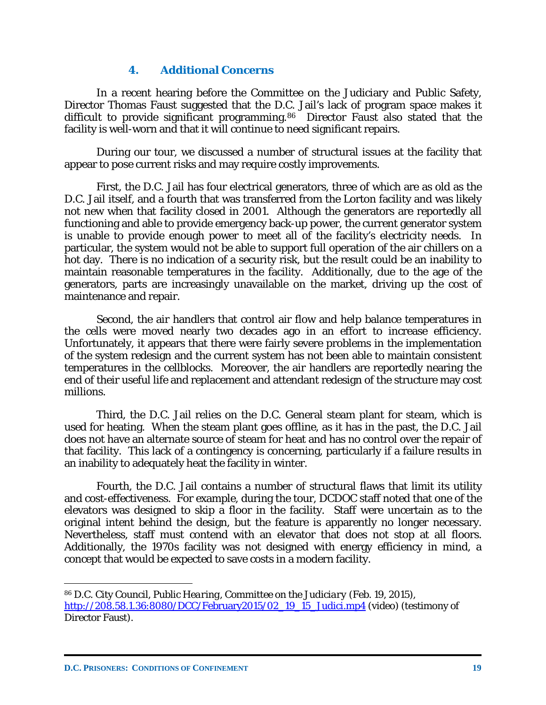#### **4. Additional Concerns**

In a recent hearing before the Committee on the Judiciary and Public Safety, Director Thomas Faust suggested that the D.C. Jail's lack of program space makes it difficult to provide significant programming.<sup>[86](#page-20-0)</sup> Director Faust also stated that the facility is well-worn and that it will continue to need significant repairs.

During our tour, we discussed a number of structural issues at the facility that appear to pose current risks and may require costly improvements.

First, the D.C. Jail has four electrical generators, three of which are as old as the D.C. Jail itself, and a fourth that was transferred from the Lorton facility and was likely not new when that facility closed in 2001. Although the generators are reportedly all functioning and able to provide emergency back-up power, the current generator system is unable to provide enough power to meet all of the facility's electricity needs. In particular, the system would not be able to support full operation of the air chillers on a hot day. There is no indication of a security risk, but the result could be an inability to maintain reasonable temperatures in the facility. Additionally, due to the age of the generators, parts are increasingly unavailable on the market, driving up the cost of maintenance and repair.

Second, the air handlers that control air flow and help balance temperatures in the cells were moved nearly two decades ago in an effort to increase efficiency. Unfortunately, it appears that there were fairly severe problems in the implementation of the system redesign and the current system has not been able to maintain consistent temperatures in the cellblocks. Moreover, the air handlers are reportedly nearing the end of their useful life and replacement and attendant redesign of the structure may cost millions.

Third, the D.C. Jail relies on the D.C. General steam plant for steam, which is used for heating. When the steam plant goes offline, as it has in the past, the D.C. Jail does not have an alternate source of steam for heat and has no control over the repair of that facility. This lack of a contingency is concerning, particularly if a failure results in an inability to adequately heat the facility in winter.

Fourth, the D.C. Jail contains a number of structural flaws that limit its utility and cost-effectiveness. For example, during the tour, DCDOC staff noted that one of the elevators was designed to skip a floor in the facility. Staff were uncertain as to the original intent behind the design, but the feature is apparently no longer necessary. Nevertheless, staff must contend with an elevator that does not stop at all floors. Additionally, the 1970s facility was not designed with energy efficiency in mind, a concept that would be expected to save costs in a modern facility.

<span id="page-20-0"></span><sup>86</sup> D.C. City Council, *Public Hearing, Committee on the Judiciary* (Feb. 19, 2015), [http://208.58.1.36:8080/DCC/February2015/02\\_19\\_15\\_Judici.mp4](http://208.58.1.36:8080/DCC/February2015/02_19_15_Judici.mp4) (video) (testimony of Director Faust).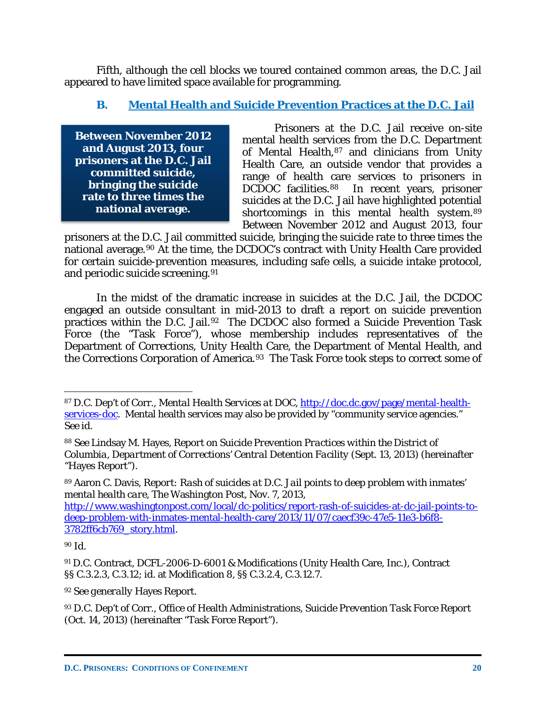Fifth, although the cell blocks we toured contained common areas, the D.C. Jail appeared to have limited space available for programming.

### **B. Mental Health and Suicide Prevention Practices at the D.C. Jail**

**Between November 2012 and August 2013, four prisoners at the D.C. Jail committed suicide, bringing the suicide rate to three times the national average.**

Prisoners at the D.C. Jail receive on-site mental health services from the D.C. Department of Mental Health, [87](#page-21-0) and clinicians from Unity Health Care, an outside vendor that provides a range of health care services to prisoners in DCDOC facilities.<sup>88</sup> In recent years, prisoner suicides at the D.C. Jail have highlighted potential shortcomings in this mental health system.[89](#page-21-2) Between November 2012 and August 2013, four

prisoners at the D.C. Jail committed suicide, bringing the suicide rate to three times the national average.[90](#page-21-3) At the time, the DCDOC's contract with Unity Health Care provided for certain suicide-prevention measures, including safe cells, a suicide intake protocol, and periodic suicide screening. [91](#page-21-4)

In the midst of the dramatic increase in suicides at the D.C. Jail, the DCDOC engaged an outside consultant in mid-2013 to draft a report on suicide prevention practices within the D.C. Jail.[92](#page-21-5) The DCDOC also formed a Suicide Prevention Task Force (the "Task Force"), whose membership includes representatives of the Department of Corrections, Unity Health Care, the Department of Mental Health, and the Corrections Corporation of America.[93](#page-21-6) The Task Force took steps to correct some of

[http://www.washingtonpost.com/local/dc-politics/report-rash-of-suicides-at-dc-jail-points-to](http://www.washingtonpost.com/local/dc-politics/report-rash-of-suicides-at-dc-jail-points-to-deep-problem-with-inmates-mental-health-care/2013/11/07/caecf39c-47e5-11e3-b6f8-3782ff6cb769_story.html)[deep-problem-with-inmates-mental-health-care/2013/11/07/caecf39c-47e5-11e3-b6f8-](http://www.washingtonpost.com/local/dc-politics/report-rash-of-suicides-at-dc-jail-points-to-deep-problem-with-inmates-mental-health-care/2013/11/07/caecf39c-47e5-11e3-b6f8-3782ff6cb769_story.html) [3782ff6cb769\\_story.html.](http://www.washingtonpost.com/local/dc-politics/report-rash-of-suicides-at-dc-jail-points-to-deep-problem-with-inmates-mental-health-care/2013/11/07/caecf39c-47e5-11e3-b6f8-3782ff6cb769_story.html)

 $\overline{a}$ 

<span id="page-21-5"></span><sup>92</sup> *See generally* Hayes Report.

<span id="page-21-0"></span><sup>87</sup> D.C. Dep't of Corr., *Mental Health Services at DOC*[, http://doc.dc.gov/page/mental-health](http://doc.dc.gov/page/mental-health-services-doc)[services-doc.](http://doc.dc.gov/page/mental-health-services-doc) Mental health services may also be provided by "community service agencies." *See id.*

<span id="page-21-1"></span><sup>88</sup> *See* Lindsay M. Hayes, *Report on Suicide Prevention Practices within the District of Columbia, Department of Corrections' Central Detention Facility* (Sept. 13, 2013) (hereinafter "Hayes Report").

<span id="page-21-2"></span><sup>89</sup> Aaron C. Davis, *Report: Rash of suicides at D.C. Jail points to deep problem with inmates' mental health care*, The Washington Post, Nov. 7, 2013,

<span id="page-21-3"></span><sup>90</sup> *Id.*

<span id="page-21-4"></span><sup>91</sup> D.C. Contract, DCFL-2006-D-6001 & Modifications (Unity Health Care, Inc.), Contract §§ C.3.2.3, C.3.12; *id.* at Modification 8, §§ C.3.2.4, C.3.12.7.

<span id="page-21-6"></span><sup>93</sup> D.C. Dep't of Corr., Office of Health Administrations, *Suicide Prevention Task Force Report* (Oct. 14, 2013) (hereinafter "Task Force Report").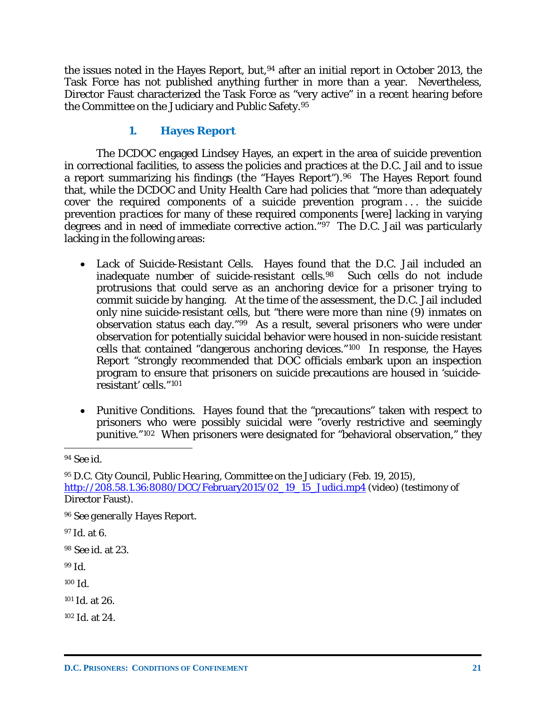the issues noted in the Hayes Report, but, <sup>[94](#page-22-0)</sup> after an initial report in October 2013, the Task Force has not published anything further in more than a year. Nevertheless, Director Faust characterized the Task Force as "very active" in a recent hearing before the Committee on the Judiciary and Public Safety.[95](#page-22-1)

### **1. Hayes Report**

The DCDOC engaged Lindsey Hayes, an expert in the area of suicide prevention in correctional facilities, to assess the policies and practices at the D.C. Jail and to issue a report summarizing his findings (the "Hayes Report").[96](#page-22-2) The Hayes Report found that, while the DCDOC and Unity Health Care had policies that "more than adequately cover the required components of a suicide prevention program... the suicide prevention *practices* for many of these required components [were] lacking in varying degrees and in need of immediate corrective action."[97](#page-22-3) The D.C. Jail was particularly lacking in the following areas:

- *Lack of Suicide-Resistant Cells*. Hayes found that the D.C. Jail included an inadequate number of suicide-resistant cells.[98](#page-22-4) Such cells do not include protrusions that could serve as an anchoring device for a prisoner trying to commit suicide by hanging. At the time of the assessment, the D.C. Jail included only nine suicide-resistant cells, but "there were more than nine (9) inmates on observation status each day."[99](#page-22-5) As a result, several prisoners who were under observation for potentially suicidal behavior were housed in non-suicide resistant cells that contained "dangerous anchoring devices."[100](#page-22-6) In response, the Hayes Report "strongly recommended that DOC officials embark upon an inspection program to ensure that prisoners on suicide precautions are housed in 'suicideresistant' cells."[101](#page-22-7)
- *Punitive Conditions*. Hayes found that the "precautions" taken with respect to prisoners who were possibly suicidal were "overly restrictive and seemingly punitive."[102](#page-22-8) When prisoners were designated for "behavioral observation," they

<span id="page-22-0"></span><sup>94</sup> *See id.*

<span id="page-22-1"></span><sup>95</sup> D.C. City Council, *Public Hearing, Committee on the Judiciary* (Feb. 19, 2015), [http://208.58.1.36:8080/DCC/February2015/02\\_19\\_15\\_Judici.mp4](http://208.58.1.36:8080/DCC/February2015/02_19_15_Judici.mp4) (video) (testimony of Director Faust).

<span id="page-22-2"></span><sup>96</sup> *See generally* Hayes Report.

<span id="page-22-3"></span><sup>97</sup> *Id.* at 6.

<span id="page-22-4"></span><sup>98</sup> *See id.* at 23.

<span id="page-22-5"></span><sup>99</sup> *Id.*

<span id="page-22-6"></span><sup>100</sup> *Id.*

<span id="page-22-7"></span><sup>101</sup> *Id.* at 26.

<span id="page-22-8"></span><sup>102</sup> *Id.* at 24.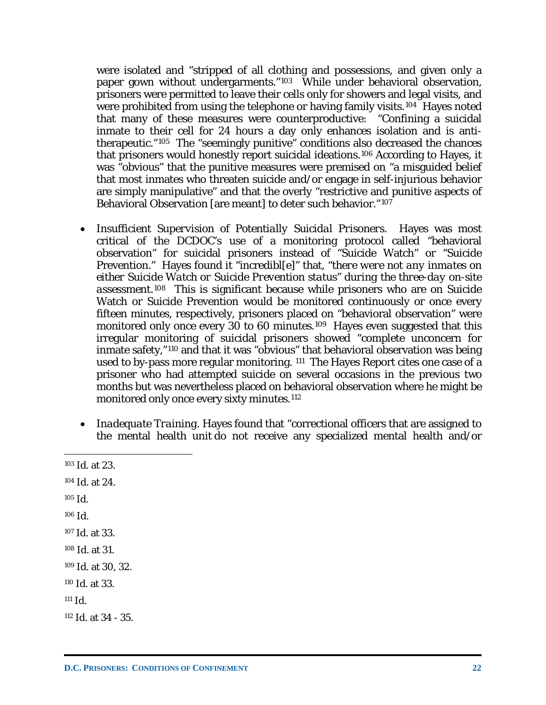were isolated and "stripped of all clothing and possessions, and given only a paper gown without undergarments."[103](#page-23-0) While under behavioral observation, prisoners were permitted to leave their cells only for showers and legal visits, and were prohibited from using the telephone or having family visits.<sup>[104](#page-23-1)</sup> Hayes noted that many of these measures were counterproductive: "Confining a suicidal inmate to their cell for 24 hours a day only enhances isolation and is antitherapeutic."[105](#page-23-2) The "seemingly punitive" conditions also decreased the chances that prisoners would honestly report suicidal ideations.[106](#page-23-3) According to Hayes, it was "obvious" that the punitive measures were premised on "a misguided belief that most inmates who threaten suicide and/or engage in self-injurious behavior are simply manipulative" and that the overly "restrictive and punitive aspects of Behavioral Observation [are meant] to deter such behavior."[107](#page-23-4)

- *Insufficient Supervision of Potentially Suicidal Prisoners*. Hayes was most critical of the DCDOC's use of a monitoring protocol called "behavioral observation" for suicidal prisoners instead of "Suicide Watch" or "Suicide Prevention." Hayes found it "incredibl[e]" that, "*there were not any inmates on either Suicide Watch or Suicide Prevention status" during the three-day on-site assessment*.[108](#page-23-5) This is significant because while prisoners who are on Suicide Watch or Suicide Prevention would be monitored continuously or once every fifteen minutes, respectively, prisoners placed on "behavioral observation" were monitored only once every *30 to 60 minutes*.[109](#page-23-6) Hayes even suggested that this irregular monitoring of suicidal prisoners showed "complete unconcern for inmate safety,"[110](#page-23-7) and that it was "obvious" that behavioral observation was being used to by-pass more regular monitoring. [111](#page-23-8) The Hayes Report cites one case of a prisoner who had attempted suicide on several occasions in the previous two months but was nevertheless placed on behavioral observation where he might be monitored only once every sixty minutes.<sup>[112](#page-23-9)</sup>
- *Inadequate Training*. Hayes found that "correctional officers that are assigned to the mental health unit do *not* receive any specialized mental health and/or
- <span id="page-23-9"></span><span id="page-23-8"></span><span id="page-23-7"></span><span id="page-23-6"></span><span id="page-23-5"></span><span id="page-23-4"></span><span id="page-23-3"></span><span id="page-23-2"></span><span id="page-23-1"></span><span id="page-23-0"></span><sup>103</sup> *Id.* at 23. <sup>104</sup> *Id.* at 24. <sup>105</sup> *Id.* <sup>106</sup> *Id.* <sup>107</sup> *Id.* at 33. <sup>108</sup> *Id.* at 31. <sup>109</sup> *Id.* at 30, 32. <sup>110</sup> *Id.* at 33.  $111$  *Id.* <sup>112</sup> *Id.* at 34 - 35.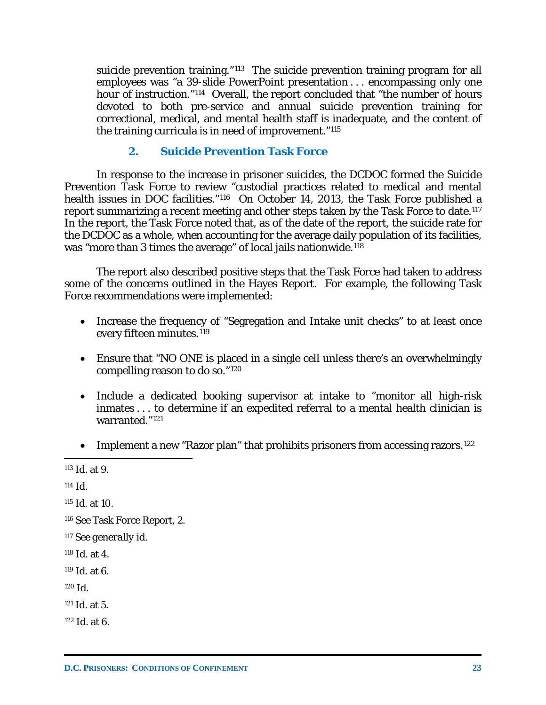suicide prevention training."<sup>[113](#page-24-0)</sup> The suicide prevention training program for all employees was "a 39-slide PowerPoint presentation . . . encompassing only one hour of instruction."<sup>114</sup> Overall, the report concluded that "the number of hours devoted to both pre-service and annual suicide prevention training for correctional, medical, and mental health staff is inadequate, and the content of the training curricula is in need of improvement."[115](#page-24-2)

### **2. Suicide Prevention Task Force**

In response to the increase in prisoner suicides, the DCDOC formed the Suicide Prevention Task Force to review "custodial practices related to medical and mental health issues in DOC facilities."<sup>116</sup> On October 14, 2013, the Task Force published a report summarizing a recent meeting and other steps taken by the Task Force to date.<sup>[117](#page-24-4)</sup> In the report, the Task Force noted that, as of the date of the report, the suicide rate for the DCDOC as a whole, when accounting for the average daily population of its facilities, was "more than 3 times the average" of local jails nationwide.<sup>[118](#page-24-5)</sup>

The report also described positive steps that the Task Force had taken to address some of the concerns outlined in the Hayes Report. For example, the following Task Force recommendations were implemented:

- Increase the frequency of "Segregation and Intake unit checks" to at least once every fifteen minutes.<sup>[119](#page-24-6)</sup>
- Ensure that "NO ONE is placed in a single cell unless there's an overwhelmingly compelling reason to do so."[120](#page-24-7)
- Include a dedicated booking supervisor at intake to "monitor all high-risk inmates . . . to determine if an expedited referral to a mental health clinician is warranted."[121](#page-24-8)
- Implement a new "Razor plan" that prohibits prisoners from accessing razors.<sup>[122](#page-24-9)</sup>

 $\overline{a}$ 

<span id="page-24-2"></span><sup>115</sup> *Id.* at 10.

- <span id="page-24-5"></span><sup>118</sup> *Id.* at 4.
- <span id="page-24-6"></span><sup>119</sup> *Id.* at 6.
- <span id="page-24-7"></span><sup>120</sup> *Id.*
- <span id="page-24-8"></span><sup>121</sup> *Id.* at 5.
- <span id="page-24-9"></span><sup>122</sup> *Id.* at 6.

<span id="page-24-0"></span><sup>113</sup> *Id.* at 9.

<span id="page-24-1"></span> $114$  *Id.* 

<span id="page-24-3"></span><sup>116</sup> *See* Task Force Report, 2.

<span id="page-24-4"></span><sup>117</sup> *See generally id.*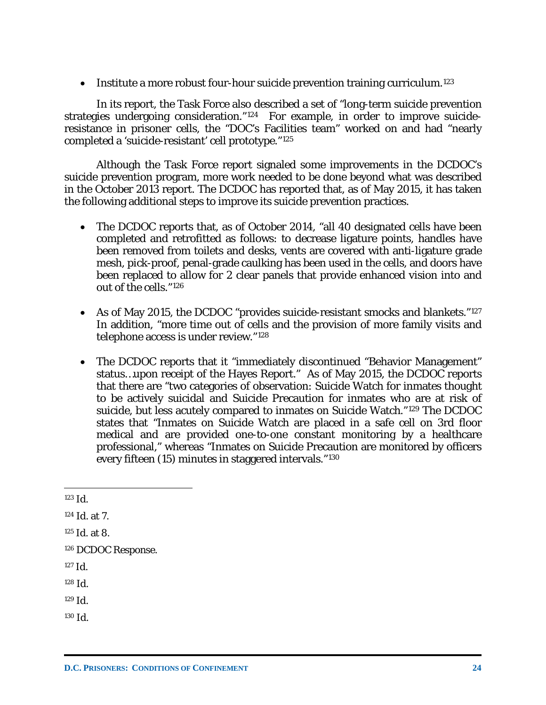• Institute a more robust four-hour suicide prevention training curriculum.<sup>[123](#page-25-0)</sup>

In its report, the Task Force also described a set of "long-term suicide prevention strategies undergoing consideration."[124](#page-25-1) For example, in order to improve suicideresistance in prisoner cells, the "DOC's Facilities team" worked on and had "nearly completed a 'suicide-resistant' cell prototype."[125](#page-25-2) 

Although the Task Force report signaled some improvements in the DCDOC's suicide prevention program, more work needed to be done beyond what was described in the October 2013 report. The DCDOC has reported that, as of May 2015, it has taken the following additional steps to improve its suicide prevention practices.

- The DCDOC reports that, as of October 2014, "all 40 designated cells have been completed and retrofitted as follows: to decrease ligature points, handles have been removed from toilets and desks, vents are covered with anti-ligature grade mesh, pick-proof, penal-grade caulking has been used in the cells, and doors have been replaced to allow for 2 clear panels that provide enhanced vision into and out of the cells."[126](#page-25-3)
- As of May 2015, the DCDOC "provides suicide-resistant smocks and blankets."<sup>[127](#page-25-4)</sup> In addition, "more time out of cells and the provision of more family visits and telephone access is under review."[128](#page-25-5)
- The DCDOC reports that it "immediately discontinued "Behavior Management" status…upon receipt of the Hayes Report." As of May 2015, the DCDOC reports that there are "two categories of observation: Suicide Watch for inmates thought to be actively suicidal and Suicide Precaution for inmates who are at risk of suicide, but less acutely compared to inmates on Suicide Watch."[129](#page-25-6) The DCDOC states that "Inmates on Suicide Watch are placed in a safe cell on 3rd floor medical and are provided one-to-one constant monitoring by a healthcare professional," whereas "Inmates on Suicide Precaution are monitored by officers every fifteen (15) minutes in staggered intervals."[130](#page-25-7)

 $\overline{a}$ 

<span id="page-25-6"></span><sup>129</sup> *Id.*

<span id="page-25-0"></span><sup>123</sup> *Id.*

<span id="page-25-1"></span><sup>124</sup> *Id.* at 7.

<span id="page-25-2"></span><sup>125</sup> *Id.* at 8.

<span id="page-25-3"></span><sup>126</sup> DCDOC Response.

<span id="page-25-4"></span><sup>127</sup> *Id.*

<span id="page-25-5"></span><sup>128</sup> *Id.*

<span id="page-25-7"></span><sup>130</sup> *Id.*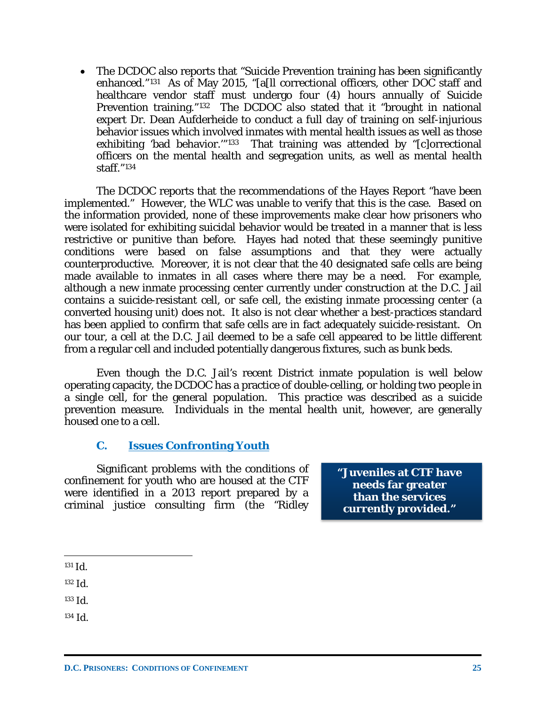• The DCDOC also reports that "Suicide Prevention training has been significantly enhanced."[131](#page-26-0) As of May 2015, "[a[ll correctional officers, other DOC staff and healthcare vendor staff must undergo four (4) hours annually of Suicide Prevention training."[132](#page-26-1) The DCDOC also stated that it "brought in national expert Dr. Dean Aufderheide to conduct a full day of training on self-injurious behavior issues which involved inmates with mental health issues as well as those exhibiting 'bad behavior.'"[133](#page-26-2) That training was attended by "[c]orrectional officers on the mental health and segregation units, as well as mental health staff."[134](#page-26-3)

The DCDOC reports that the recommendations of the Hayes Report "have been implemented." However, the WLC was unable to verify that this is the case. Based on the information provided, none of these improvements make clear how prisoners who were isolated for exhibiting suicidal behavior would be treated in a manner that is less restrictive or punitive than before. Hayes had noted that these seemingly punitive conditions were based on false assumptions and that they were actually counterproductive. Moreover, it is not clear that the 40 designated safe cells are being made available to inmates in all cases where there may be a need. For example, although a new inmate processing center currently under construction at the D.C. Jail contains a suicide-resistant cell, or safe cell, the existing inmate processing center (a converted housing unit) does not. It also is not clear whether a best-practices standard has been applied to confirm that safe cells are in fact adequately suicide-resistant. On our tour, a cell at the D.C. Jail deemed to be a safe cell appeared to be little different from a regular cell and included potentially dangerous fixtures, such as bunk beds.

Even though the D.C. Jail's recent District inmate population is well below operating capacity, the DCDOC has a practice of double-celling, or holding two people in a single cell, for the general population. This practice was described as a suicide prevention measure. Individuals in the mental health unit, however, are generally housed one to a cell.

### **C. Issues Confronting Youth**

Significant problems with the conditions of confinement for youth who are housed at the CTF were identified in a 2013 report prepared by a criminal justice consulting firm (the "Ridley

**"Juveniles at CTF have needs far greater than the services currently provided."**

- <span id="page-26-2"></span><sup>133</sup> *Id.*
- <span id="page-26-3"></span><sup>134</sup> *Id.*

<span id="page-26-0"></span> $\overline{a}$ <sup>131</sup> *Id.*

<span id="page-26-1"></span><sup>132</sup> *Id.*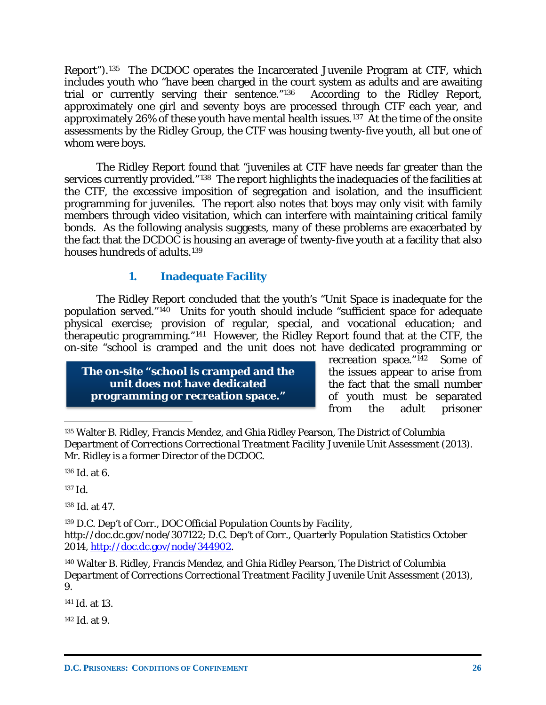Report").[135](#page-27-0) The DCDOC operates the Incarcerated Juvenile Program at CTF, which includes youth who "have been charged in the court system as adults and are awaiting trial or currently serving their sentence."[136](#page-27-1) According to the Ridley Report, approximately one girl and seventy boys are processed through CTF each year, and approximately 26% of these youth have mental health issues.[137](#page-27-2) At the time of the onsite assessments by the Ridley Group, the CTF was housing twenty-five youth, all but one of whom were boys.

The Ridley Report found that "juveniles at CTF have needs far greater than the services currently provided."[138](#page-27-3) The report highlights the inadequacies of the facilities at the CTF, the excessive imposition of segregation and isolation, and the insufficient programming for juveniles. The report also notes that boys may only visit with family members through video visitation, which can interfere with maintaining critical family bonds. As the following analysis suggests, many of these problems are exacerbated by the fact that the DCDOC is housing an average of twenty-five youth at a facility that also houses hundreds of adults.<sup>[139](#page-27-4)</sup>

### **1. Inadequate Facility**

The Ridley Report concluded that the youth's "Unit Space is inadequate for the population served."[140](#page-27-5) Units for youth should include "sufficient space for adequate physical exercise; provision of regular, special, and vocational education; and therapeutic programming."[141](#page-27-6) However, the Ridley Report found that at the CTF, the on-site "school is cramped and the unit does not have dedicated programming or

**The on-site "school is cramped and the unit does not have dedicated programming or recreation space."**

recreation space."[142](#page-27-7) Some of the issues appear to arise from the fact that the small number of youth must be separated<br>from the adult prisoner the adult prisoner

<span id="page-27-1"></span><sup>136</sup> *Id.* at 6.

<span id="page-27-2"></span><sup>137</sup> *Id.*

 $\overline{a}$ 

<span id="page-27-3"></span><sup>138</sup> *Id.* at 47.

<span id="page-27-4"></span><sup>139</sup> D.C. Dep't of Corr., *DOC Official Population Counts by Facility*, http://doc.dc.gov/node/307122; D.C. Dep't of Corr., *Quarterly Population Statistics October 2014*, [http://doc.dc.gov/node/344902.](http://doc.dc.gov/node/344902)

<span id="page-27-5"></span><sup>140</sup> Walter B. Ridley, Francis Mendez, and Ghia Ridley Pearson, *The District of Columbia Department of Corrections Correctional Treatment Facility Juvenile Unit Assessment* (2013), 9.

<span id="page-27-6"></span><sup>141</sup> *Id.* at 13.

<span id="page-27-7"></span><sup>142</sup> *Id.* at 9.

<span id="page-27-0"></span><sup>135</sup> Walter B. Ridley, Francis Mendez, and Ghia Ridley Pearson, *The District of Columbia Department of Corrections Correctional Treatment Facility Juvenile Unit Assessment* (2013). Mr. Ridley is a former Director of the DCDOC.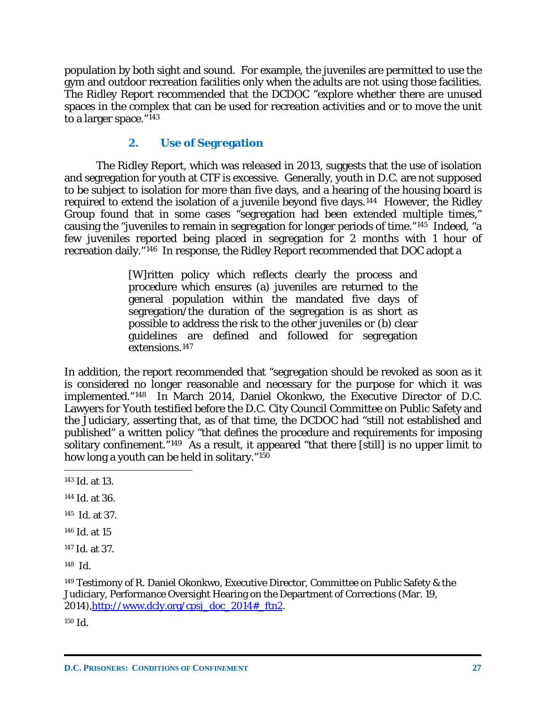population by both sight and sound. For example, the juveniles are permitted to use the gym and outdoor recreation facilities only when the adults are not using those facilities. The Ridley Report recommended that the DCDOC "explore whether there are unused spaces in the complex that can be used for recreation activities and or to move the unit to a larger space."[143](#page-28-0)

### **2. Use of Segregation**

The Ridley Report, which was released in 2013, suggests that the use of isolation and segregation for youth at CTF is excessive. Generally, youth in D.C. are not supposed to be subject to isolation for more than five days, and a hearing of the housing board is required to extend the isolation of a juvenile beyond five days.<sup>144</sup> However, the Ridley Group found that in some cases "segregation had been extended multiple times," causing the "juveniles to remain in segregation for longer periods of time."[145](#page-28-2) Indeed, "a few juveniles reported being placed in segregation for 2 months with 1 hour of recreation daily."[146](#page-28-3) In response, the Ridley Report recommended that DOC adopt a

> [W]ritten policy which reflects clearly the process and procedure which ensures (a) juveniles are returned to the general population within the mandated five days of segregation/the duration of the segregation is as short as possible to address the risk to the other juveniles or (b) clear guidelines are defined and followed for segregation extensions.[147](#page-28-4)

In addition, the report recommended that "segregation should be revoked as soon as it is considered no longer reasonable and necessary for the purpose for which it was implemented."[148](#page-28-5) In March 2014, Daniel Okonkwo, the Executive Director of D.C. Lawyers for Youth testified before the D.C. City Council Committee on Public Safety and the Judiciary, asserting that, as of that time, the DCDOC had "still not established and published" a written policy "that defines the procedure and requirements for imposing solitary confinement."<sup>149</sup> As a result, it appeared "that there [still] is no upper limit to how long a youth can be held in solitary."[150](#page-28-7)

<span id="page-28-2"></span>145 *Id.* at 37.

- <span id="page-28-3"></span><sup>146</sup> *Id.* at 15
- <span id="page-28-4"></span><sup>147</sup> *Id.* at 37.

<span id="page-28-5"></span>148 *Id.*

<span id="page-28-7"></span><sup>150</sup> *Id.*

<span id="page-28-0"></span> $\overline{a}$ <sup>143</sup> *Id.* at 13.

<span id="page-28-1"></span><sup>144</sup> *Id.* at 36.

<span id="page-28-6"></span><sup>149</sup> Testimony of R. Daniel Okonkwo, Executive Director, Committee on Public Safety & the Judiciary, Performance Oversight Hearing on the Department of Corrections (Mar. 19, 2014), http://www.dcly.org/cpsj\_doc\_2014#\_ftn2.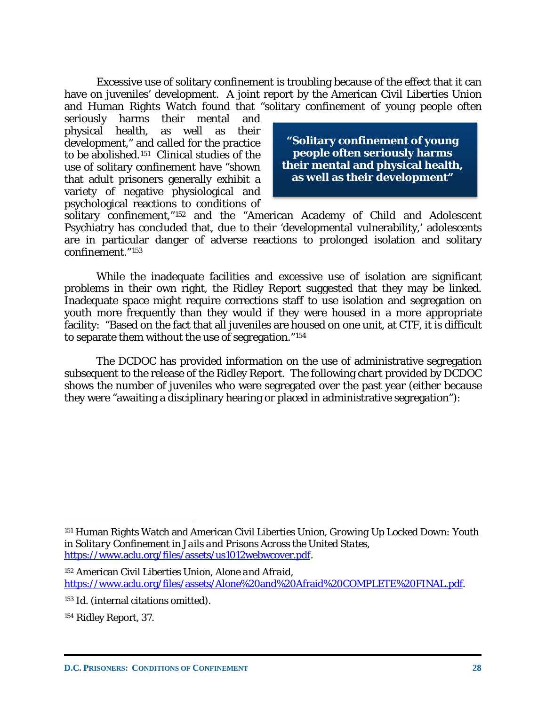Excessive use of solitary confinement is troubling because of the effect that it can have on juveniles' development. A joint report by the American Civil Liberties Union and Human Rights Watch found that "solitary confinement of young people often

seriously harms their mental and physical health, as well as their development," and called for the practice to be abolished.[151](#page-29-0) Clinical studies of the use of solitary confinement have "shown that adult prisoners generally exhibit a variety of negative physiological and psychological reactions to conditions of

**"Solitary confinement of young people often seriously harms their mental and physical health, as well as their development"**

solitary confinement,"[152](#page-29-1) and the "American Academy of Child and Adolescent Psychiatry has concluded that, due to their 'developmental vulnerability,' adolescents are in particular danger of adverse reactions to prolonged isolation and solitary confinement."[153](#page-29-2)

While the inadequate facilities and excessive use of isolation are significant problems in their own right, the Ridley Report suggested that they may be linked. Inadequate space might require corrections staff to use isolation and segregation on youth more frequently than they would if they were housed in a more appropriate facility: "Based on the fact that all juveniles are housed on one unit, at CTF, it is difficult to separate them without the use of segregation."[154](#page-29-3)

The DCDOC has provided information on the use of administrative segregation subsequent to the release of the Ridley Report. The following chart provided by DCDOC shows the number of juveniles who were segregated over the past year (either because they were "awaiting a disciplinary hearing or placed in administrative segregation"):

<span id="page-29-0"></span><sup>151</sup> Human Rights Watch and American Civil Liberties Union, *Growing Up Locked Down: Youth in Solitary Confinement in Jails and Prisons Across the United States*, [https://www.aclu.org/files/assets/us1012webwcover.pdf.](https://www.aclu.org/files/assets/us1012webwcover.pdf)

<span id="page-29-1"></span><sup>152</sup> American Civil Liberties Union, *Alone and Afraid*, [https://www.aclu.org/files/assets/Alone%20and%20Afraid%20COMPLETE%20FINAL.pdf.](https://www.aclu.org/files/assets/Alone%20and%20Afraid%20COMPLETE%20FINAL.pdf)

<span id="page-29-2"></span><sup>153</sup> *Id.* (internal citations omitted).

<span id="page-29-3"></span><sup>154</sup> Ridley Report, 37.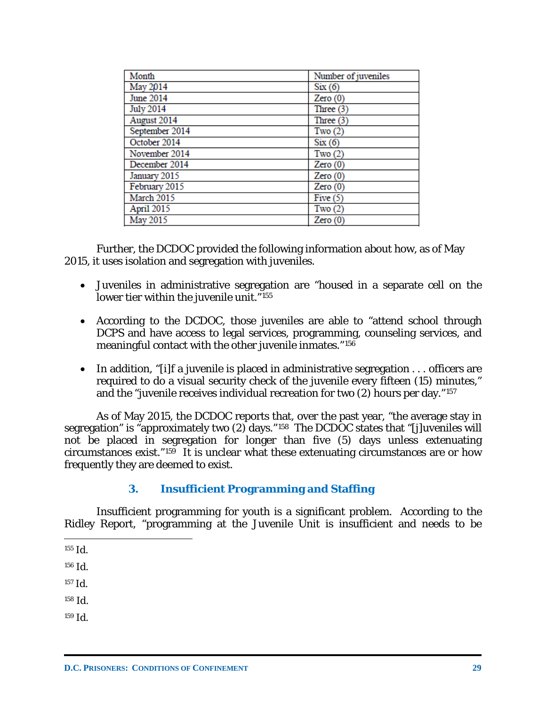| Month            | Number of juveniles |
|------------------|---------------------|
| May 2014         | Six(6)              |
| June 2014        | Zero(0)             |
| <b>July 2014</b> | Three $(3)$         |
| August 2014      | Three $(3)$         |
| September 2014   | Two $(2)$           |
| October 2014     | Six(6)              |
| November 2014    | Two $(2)$           |
| December 2014    | Zero(0)             |
| January 2015     | Zero(0)             |
| February 2015    | Zero(0)             |
| March 2015       | Five $(5)$          |
| April 2015       | Two $(2)$           |
| May 2015         | Zero(0)             |

Further, the DCDOC provided the following information about how, as of May 2015, it uses isolation and segregation with juveniles.

- Juveniles in administrative segregation are "housed in a separate cell on the lower tier within the juvenile unit."<sup>[155](#page-30-0)</sup>
- According to the DCDOC, those juveniles are able to "attend school through DCPS and have access to legal services, programming, counseling services, and meaningful contact with the other juvenile inmates."[156](#page-30-1)
- In addition, "[i]f a juvenile is placed in administrative segregation . . . officers are required to do a visual security check of the juvenile every fifteen (15) minutes," and the "juvenile receives individual recreation for two (2) hours per day."[157](#page-30-2)

As of May 2015, the DCDOC reports that, over the past year, "the average stay in segregation" is "approximately two  $(2)$  days."<sup>[158](#page-30-3)</sup> The DCDOC states that "[j]uveniles will not be placed in segregation for longer than five (5) days unless extenuating circumstances exist."[159](#page-30-4) It is unclear what these extenuating circumstances are or how frequently they are deemed to exist.

### **3. Insufficient Programming and Staffing**

Insufficient programming for youth is a significant problem. According to the Ridley Report, "programming at the Juvenile Unit is insufficient and needs to be

- <span id="page-30-0"></span> $\overline{a}$ <sup>155</sup> *Id.*
- <span id="page-30-1"></span><sup>156</sup> *Id.*
- <span id="page-30-2"></span><sup>157</sup> *Id.*
- <span id="page-30-3"></span><sup>158</sup> *Id.*
- <span id="page-30-4"></span><sup>159</sup> *Id.*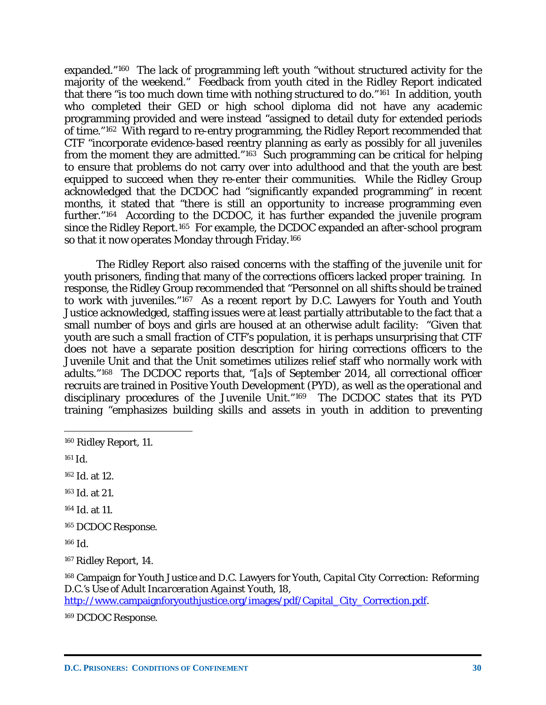expanded."[160](#page-31-0) The lack of programming left youth "without structured activity for the majority of the weekend." Feedback from youth cited in the Ridley Report indicated that there "is too much down time with nothing structured to do."<sup>161</sup> In addition, youth who completed their GED or high school diploma did not have any academic programming provided and were instead "assigned to detail duty for extended periods of time."[162](#page-31-2) With regard to re-entry programming, the Ridley Report recommended that CTF "incorporate evidence-based reentry planning as early as possibly for all juveniles from the moment they are admitted." $163$  Such programming can be critical for helping to ensure that problems do not carry over into adulthood and that the youth are best equipped to succeed when they re-enter their communities. While the Ridley Group acknowledged that the DCDOC had "significantly expanded programming" in recent months, it stated that "there is still an opportunity to increase programming even further."[164](#page-31-4) According to the DCDOC, it has further expanded the juvenile program since the Ridley Report.[165](#page-31-5) For example, the DCDOC expanded an after-school program so that it now operates Monday through Friday.[166](#page-31-6)

The Ridley Report also raised concerns with the staffing of the juvenile unit for youth prisoners, finding that many of the corrections officers lacked proper training. In response, the Ridley Group recommended that "Personnel on all shifts should be trained to work with juveniles."[167](#page-31-7) As a recent report by D.C. Lawyers for Youth and Youth Justice acknowledged, staffing issues were at least partially attributable to the fact that a small number of boys and girls are housed at an otherwise adult facility: "Given that youth are such a small fraction of CTF's population, it is perhaps unsurprising that CTF does not have a separate position description for hiring corrections officers to the Juvenile Unit and that the Unit sometimes utilizes relief staff who normally work with adults."[168](#page-31-8) The DCDOC reports that, "[a]s of September 2014, all correctional officer recruits are trained in Positive Youth Development (PYD), as well as the operational and disciplinary procedures of the Juvenile Unit."[169](#page-31-9) The DCDOC states that its PYD training "emphasizes building skills and assets in youth in addition to preventing

 $\overline{a}$ 

- <span id="page-31-4"></span><sup>164</sup> *Id.* at 11.
- <span id="page-31-5"></span><sup>165</sup> DCDOC Response.

<span id="page-31-6"></span><sup>166</sup> *Id.*

<span id="page-31-8"></span><sup>168</sup> Campaign for Youth Justice and D.C. Lawyers for Youth, *Capital City Correction: Reforming D.C.'s Use of Adult Incarceration Against Youth*, 18,

[http://www.campaignforyouthjustice.org/images/pdf/Capital\\_City\\_Correction.pdf.](http://www.campaignforyouthjustice.org/images/pdf/Capital_City_Correction.pdf)

<span id="page-31-9"></span><sup>169</sup> DCDOC Response.

<span id="page-31-0"></span><sup>160</sup> Ridley Report, 11.

<span id="page-31-1"></span><sup>161</sup> *Id.*

<span id="page-31-2"></span><sup>162</sup> *Id.* at 12.

<span id="page-31-3"></span><sup>163</sup> *Id.* at 21.

<span id="page-31-7"></span><sup>167</sup> Ridley Report, 14.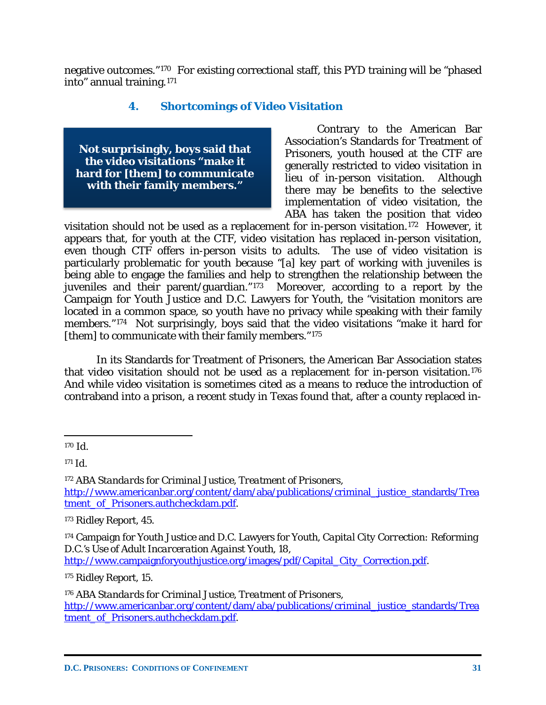negative outcomes."[170](#page-32-0) For existing correctional staff, this PYD training will be "phased into" annual training.[171](#page-32-1)

### **4. Shortcomings of Video Visitation**

**Not surprisingly, boys said that the video visitations "make it hard for [them] to communicate with their family members."**

Contrary to the American Bar Association's Standards for Treatment of Prisoners, youth housed at the CTF are generally restricted to video visitation in lieu of in-person visitation. Although there may be benefits to the selective implementation of video visitation, the ABA has taken the position that video

visitation should not be used as a replacement for in-person visitation.[172](#page-32-2) However, it appears that, for youth at the CTF, video visitation *has* replaced in-person visitation, even though CTF offers in-person visits to *adults*. The use of video visitation is particularly problematic for youth because "[a] key part of working with juveniles is being able to engage the families and help to strengthen the relationship between the juveniles and their parent/guardian."[173](#page-32-3) Moreover, according to a report by the Campaign for Youth Justice and D.C. Lawyers for Youth, the "visitation monitors are located in a common space, so youth have no privacy while speaking with their family members."<sup>[174](#page-32-4)</sup> Not surprisingly, boys said that the video visitations "make it hard for [them] to communicate with their family members."<sup>175</sup>

In its Standards for Treatment of Prisoners, the American Bar Association states that video visitation should not be used as a replacement for in-person visitation.[176](#page-32-6) And while video visitation is sometimes cited as a means to reduce the introduction of contraband into a prison, a recent study in Texas found that, after a county replaced in-

<span id="page-32-2"></span><sup>172</sup> *ABA Standards for Criminal Justice, Treatment of Prisoners*, [http://www.americanbar.org/content/dam/aba/publications/criminal\\_justice\\_standards/Trea](http://www.americanbar.org/content/dam/aba/publications/criminal_justice_standards/Treatment_of_Prisoners.authcheckdam.pdf) tment of Prisoners.authcheckdam.pdf.

<span id="page-32-3"></span><sup>173</sup> Ridley Report, 45.

<span id="page-32-4"></span><sup>174</sup> Campaign for Youth Justice and D.C. Lawyers for Youth, *Capital City Correction: Reforming D.C.'s Use of Adult Incarceration Against Youth*, 18,

[http://www.campaignforyouthjustice.org/images/pdf/Capital\\_City\\_Correction.pdf.](http://www.campaignforyouthjustice.org/images/pdf/Capital_City_Correction.pdf)

<span id="page-32-5"></span><sup>175</sup> Ridley Report, 15.

<span id="page-32-6"></span><sup>176</sup> *ABA Standards for Criminal Justice, Treatment of Prisoners*, [http://www.americanbar.org/content/dam/aba/publications/criminal\\_justice\\_standards/Trea](http://www.americanbar.org/content/dam/aba/publications/criminal_justice_standards/Treatment_of_Prisoners.authcheckdam.pdf) tment of Prisoners.authcheckdam.pdf.

<span id="page-32-0"></span> $\overline{a}$ <sup>170</sup> *Id.*

<span id="page-32-1"></span><sup>171</sup> *Id.*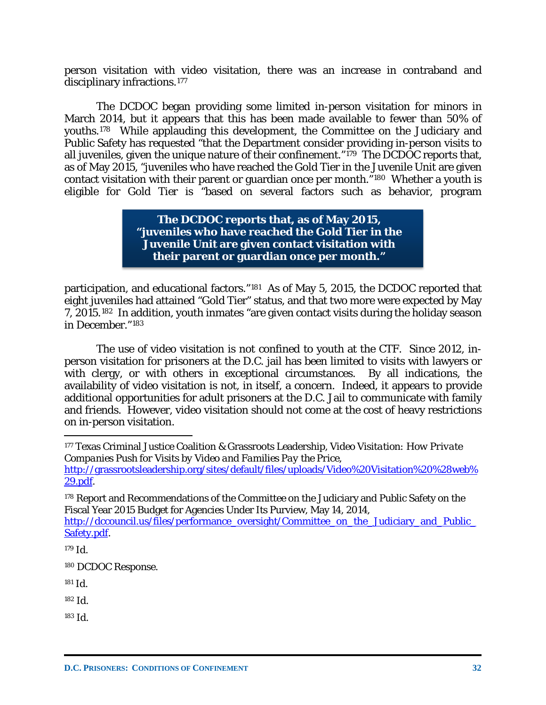person visitation with video visitation, there was an increase in contraband and disciplinary infractions.[177](#page-33-0)

The DCDOC began providing some limited in-person visitation for minors in March 2014, but it appears that this has been made available to fewer than 50% of youths.[178](#page-33-1) While applauding this development, the Committee on the Judiciary and Public Safety has requested "that the Department consider providing in-person visits to all juveniles, given the unique nature of their confinement."<sup>179</sup> The DCDOC reports that, as of May 2015, "juveniles who have reached the Gold Tier in the Juvenile Unit are given contact visitation with their parent or guardian once per month."[180](#page-33-3) Whether a youth is eligible for Gold Tier is "based on several factors such as behavior, program

> **The DCDOC reports that, as of May 2015, "juveniles who have reached the Gold Tier in the Juvenile Unit are given contact visitation with their parent or guardian once per month."**

participation, and educational factors."[181](#page-33-4) As of May 5, 2015, the DCDOC reported that eight juveniles had attained "Gold Tier" status, and that two more were expected by May 7, 2015.[182](#page-33-5) In addition, youth inmates "are given contact visits during the holiday season in December."[183](#page-33-6)

The use of video visitation is not confined to youth at the CTF. Since 2012, inperson visitation for prisoners at the D.C. jail has been limited to visits with lawyers or with clergy, or with others in exceptional circumstances. By all indications, the availability of video visitation is not, in itself, a concern. Indeed, it appears to provide additional opportunities for adult prisoners at the D.C. Jail to communicate with family and friends. However, video visitation should not come at the cost of heavy restrictions on in-person visitation.

 $\overline{a}$ 

<span id="page-33-3"></span><sup>180</sup> DCDOC Response.

<span id="page-33-6"></span><sup>183</sup> *Id.*

<span id="page-33-0"></span><sup>177</sup> Texas Criminal Justice Coalition & Grassroots Leadership, *Video Visitation: How Private Companies Push for Visits by Video and Families Pay the Price*, [http://grassrootsleadership.org/sites/default/files/uploads/Video%20Visitation%20%28web%](http://grassrootsleadership.org/sites/default/files/uploads/Video%20Visitation%20%28web%29.pdf) [29.pdf.](http://grassrootsleadership.org/sites/default/files/uploads/Video%20Visitation%20%28web%29.pdf)

<span id="page-33-1"></span><sup>&</sup>lt;sup>178</sup> Report and Recommendations of the Committee on the Judiciary and Public Safety on the Fiscal Year 2015 Budget for Agencies Under Its Purview, May 14, 2014, [http://dccouncil.us/files/performance\\_oversight/Committee\\_on\\_the\\_Judiciary\\_and\\_Public\\_](http://dccouncil.us/files/performance_oversight/Committee_on_the_Judiciary_and_Public_Safety.pdf) [Safety.pdf.](http://dccouncil.us/files/performance_oversight/Committee_on_the_Judiciary_and_Public_Safety.pdf)

<span id="page-33-2"></span><sup>179</sup> *Id.*

<span id="page-33-4"></span><sup>181</sup> *Id.*

<span id="page-33-5"></span><sup>182</sup> *Id.*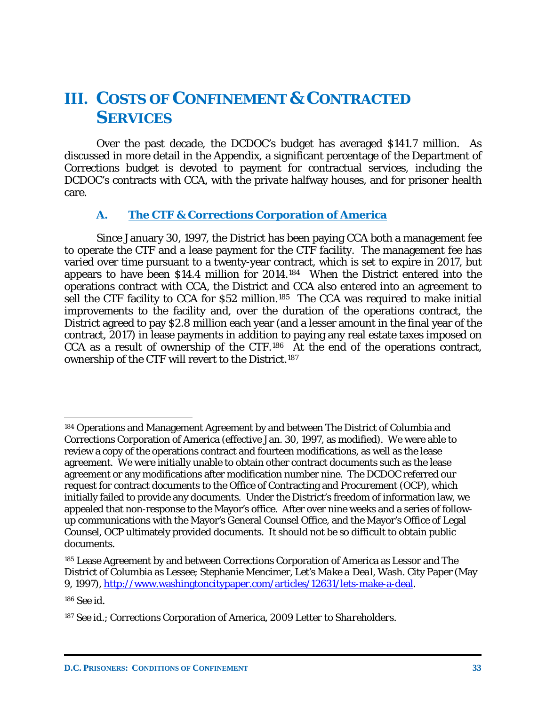### **III. COSTS OF CONFINEMENT & CONTRACTED SERVICES**

Over the past decade, the DCDOC's budget has averaged \$141.7 million. As discussed in more detail in the Appendix, a significant percentage of the Department of Corrections budget is devoted to payment for contractual services, including the DCDOC's contracts with CCA, with the private halfway houses, and for prisoner health care.

### **A. The CTF & Corrections Corporation of America**

Since January 30, 1997, the District has been paying CCA both a management fee to operate the CTF and a lease payment for the CTF facility. The management fee has varied over time pursuant to a twenty-year contract, which is set to expire in 2017, but appears to have been \$14.4 million for 2014.[184](#page-34-0) When the District entered into the operations contract with CCA, the District and CCA also entered into an agreement to sell the CTF facility to CCA for \$52 million.<sup>185</sup> The CCA was required to make initial improvements to the facility and, over the duration of the operations contract, the District agreed to pay \$2.8 million each year (and a lesser amount in the final year of the contract, 2017) in lease payments in addition to paying any real estate taxes imposed on CCA as a result of ownership of the CTF.[186](#page-34-2) At the end of the operations contract, ownership of the CTF will revert to the District.[187](#page-34-3) 

<span id="page-34-2"></span><sup>186</sup> *See id.*

<span id="page-34-0"></span><sup>184</sup> Operations and Management Agreement by and between The District of Columbia and Corrections Corporation of America (effective Jan. 30, 1997, as modified). We were able to review a copy of the operations contract and fourteen modifications, as well as the lease agreement. We were initially unable to obtain other contract documents such as the lease agreement or any modifications after modification number nine. The DCDOC referred our request for contract documents to the Office of Contracting and Procurement (OCP), which initially failed to provide any documents. Under the District's freedom of information law, we appealed that non-response to the Mayor's office. After over nine weeks and a series of followup communications with the Mayor's General Counsel Office, and the Mayor's Office of Legal Counsel, OCP ultimately provided documents. It should not be so difficult to obtain public documents.

<span id="page-34-1"></span><sup>185</sup> Lease Agreement by and between Corrections Corporation of America as Lessor and The District of Columbia as Lessee; Stephanie Mencimer, *Let's Make a Deal*, Wash. City Paper (May 9, 1997), [http://www.washingtoncitypaper.com/articles/12631/lets-make-a-deal.](http://www.washingtoncitypaper.com/articles/12631/lets-make-a-deal)

<span id="page-34-3"></span><sup>187</sup> *See id.*; Corrections Corporation of America, *2009 Letter to Shareholders*.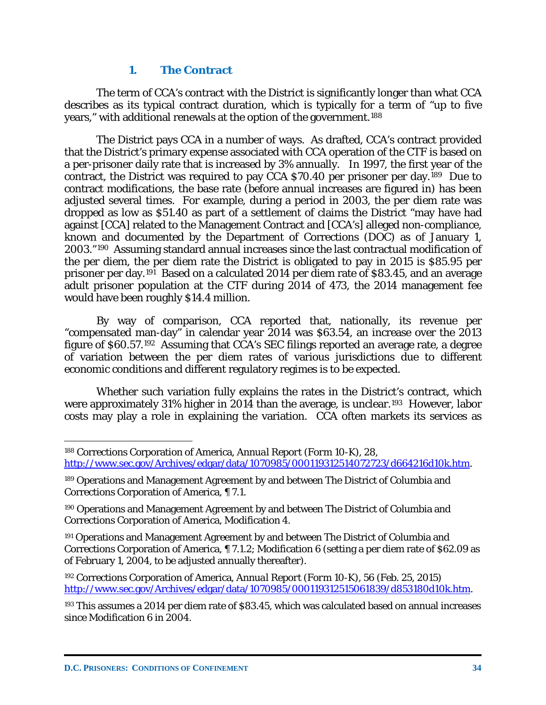#### **1. The Contract**

The term of CCA's contract with the District is significantly longer than what CCA describes as its typical contract duration, which is typically for a term of "up to five years," with additional renewals at the option of the government.<sup>[188](#page-35-0)</sup>

The District pays CCA in a number of ways. As drafted, CCA's contract provided that the District's primary expense associated with CCA operation of the CTF is based on a per-prisoner daily rate that is increased by 3% annually. In 1997, the first year of the contract, the District was required to pay CCA \$70.40 per prisoner per day.[189](#page-35-1) Due to contract modifications, the base rate (before annual increases are figured in) has been adjusted several times. For example, during a period in 2003, the per diem rate was dropped as low as \$51.40 as part of a settlement of claims the District "may have had against [CCA] related to the Management Contract and [CCA's] alleged non-compliance, known and documented by the Department of Corrections (DOC) as of January 1, 2003."[190](#page-35-2) Assuming standard annual increases since the last contractual modification of the per diem, the per diem rate the District is obligated to pay in 2015 is \$85.95 per prisoner per day.[191](#page-35-3) Based on a calculated 2014 per diem rate of \$83.45, and an average adult prisoner population at the CTF during 2014 of 473, the 2014 management fee would have been roughly \$14.4 million.

By way of comparison, CCA reported that, nationally, its revenue per "compensated man-day" in calendar year 2014 was \$63.54, an increase over the 2013 figure of \$60.57.[192](#page-35-4) Assuming that CCA's SEC filings reported an average rate, a degree of variation between the per diem rates of various jurisdictions due to different economic conditions and different regulatory regimes is to be expected.

Whether such variation fully explains the rates in the District's contract, which were approximately 31% higher in 2014 than the average, is unclear.<sup>[193](#page-35-5)</sup> However, labor costs may play a role in explaining the variation. CCA often markets its services as

<span id="page-35-0"></span><sup>188</sup> Corrections Corporation of America, *Annual Report (Form 10-K)*, 28, [http://www.sec.gov/Archives/edgar/data/1070985/000119312514072723/d664216d10k.htm.](http://www.sec.gov/Archives/edgar/data/1070985/000119312514072723/d664216d10k.htm)

<span id="page-35-1"></span><sup>189</sup> Operations and Management Agreement by and between The District of Columbia and Corrections Corporation of America, ¶ 7.1.

<span id="page-35-2"></span><sup>190</sup> Operations and Management Agreement by and between The District of Columbia and Corrections Corporation of America, Modification 4.

<span id="page-35-3"></span><sup>191</sup> Operations and Management Agreement by and between The District of Columbia and Corrections Corporation of America, ¶ 7.1.2; Modification 6 (setting a per diem rate of \$62.09 as of February 1, 2004, to be adjusted annually thereafter).

<span id="page-35-4"></span><sup>192</sup> Corrections Corporation of America, *Annual Report (Form 10-K)*, 56 (Feb. 25, 2015) [http://www.sec.gov/Archives/edgar/data/1070985/000119312515061839/d853180d10k.htm.](http://www.sec.gov/Archives/edgar/data/1070985/000119312515061839/d853180d10k.htm)

<span id="page-35-5"></span><sup>193</sup> This assumes a 2014 per diem rate of \$83.45, which was calculated based on annual increases since Modification 6 in 2004.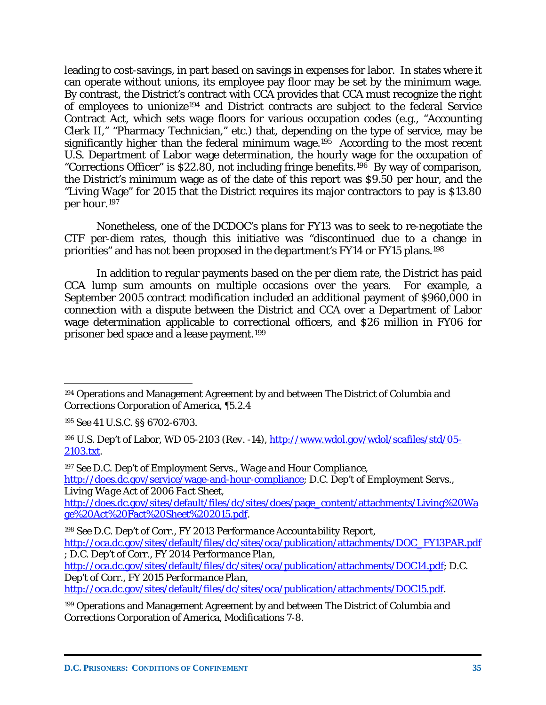leading to cost-savings, in part based on savings in expenses for labor. In states where it can operate without unions, its employee pay floor may be set by the minimum wage. By contrast, the District's contract with CCA provides that CCA must recognize the right of employees to unionize[194](#page-36-0) and District contracts are subject to the federal Service Contract Act, which sets wage floors for various occupation codes (e.g., "Accounting Clerk II," "Pharmacy Technician," etc.) that, depending on the type of service, may be significantly higher than the federal minimum wage.<sup>195</sup> According to the most recent U.S. Department of Labor wage determination, the hourly wage for the occupation of "Corrections Officer" is \$22.80, not including fringe benefits.[196](#page-36-2) By way of comparison, the District's minimum wage as of the date of this report was \$9.50 per hour, and the "Living Wage" for 2015 that the District requires its major contractors to pay is \$13.80 per hour.[197](#page-36-3)

Nonetheless, one of the DCDOC's plans for FY13 was to seek to re-negotiate the CTF per-diem rates, though this initiative was "discontinued due to a change in priorities" and has not been proposed in the department's FY14 or FY15 plans.[198](#page-36-4)

In addition to regular payments based on the per diem rate, the District has paid CCA lump sum amounts on multiple occasions over the years. For example, a September 2005 contract modification included an additional payment of \$960,000 in connection with a dispute between the District and CCA over a Department of Labor wage determination applicable to correctional officers, and \$26 million in FY06 for prisoner bed space and a lease payment.[199](#page-36-5)

 $\overline{a}$ 

<span id="page-36-3"></span><sup>197</sup> *See* D.C. Dep't of Employment Servs., *Wage and Hour Compliance*, [http://does.dc.gov/service/wage-and-hour-compliance;](http://does.dc.gov/service/wage-and-hour-compliance) D.C. Dep't of Employment Servs., *Living Wage Act of 2006 Fact Sheet*,

[http://does.dc.gov/sites/default/files/dc/sites/does/page\\_content/attachments/Living%20Wa](http://does.dc.gov/sites/default/files/dc/sites/does/page_content/attachments/Living%20Wage%20Act%20Fact%20Sheet%202015.pdf) [ge%20Act%20Fact%20Sheet%202015.pdf.](http://does.dc.gov/sites/default/files/dc/sites/does/page_content/attachments/Living%20Wage%20Act%20Fact%20Sheet%202015.pdf)

[http://oca.dc.gov/sites/default/files/dc/sites/oca/publication/attachments/DOC15.pdf.](http://oca.dc.gov/sites/default/files/dc/sites/oca/publication/attachments/DOC15.pdf)

<span id="page-36-0"></span><sup>194</sup> Operations and Management Agreement by and between The District of Columbia and Corrections Corporation of America, ¶5.2.4

<span id="page-36-1"></span><sup>195</sup> *See* 41 U.S.C. §§ 6702-6703.

<span id="page-36-2"></span><sup>196</sup> U.S. Dep't of Labor, *WD 05-2103 (Rev. -14)*, [http://www.wdol.gov/wdol/scafiles/std/05-](http://www.wdol.gov/wdol/scafiles/std/05-2103.txt) [2103.txt.](http://www.wdol.gov/wdol/scafiles/std/05-2103.txt)

<span id="page-36-4"></span><sup>198</sup> *See* D.C. Dep't of Corr.*, FY 2013 Performance Accountability Report*,

[http://oca.dc.gov/sites/default/files/dc/sites/oca/publication/attachments/DOC\\_FY13PAR.pdf](http://oca.dc.gov/sites/default/files/dc/sites/oca/publication/attachments/DOC_FY13PAR.pdf) ; D.C. Dep't of Corr., *FY 2014 Performance Plan*,

[http://oca.dc.gov/sites/default/files/dc/sites/oca/publication/attachments/DOC14.pdf;](http://oca.dc.gov/sites/default/files/dc/sites/oca/publication/attachments/DOC14.pdf) D.C. Dep't of Corr., *FY 2015 Performance Plan*,

<span id="page-36-5"></span><sup>199</sup> Operations and Management Agreement by and between The District of Columbia and Corrections Corporation of America, Modifications 7-8.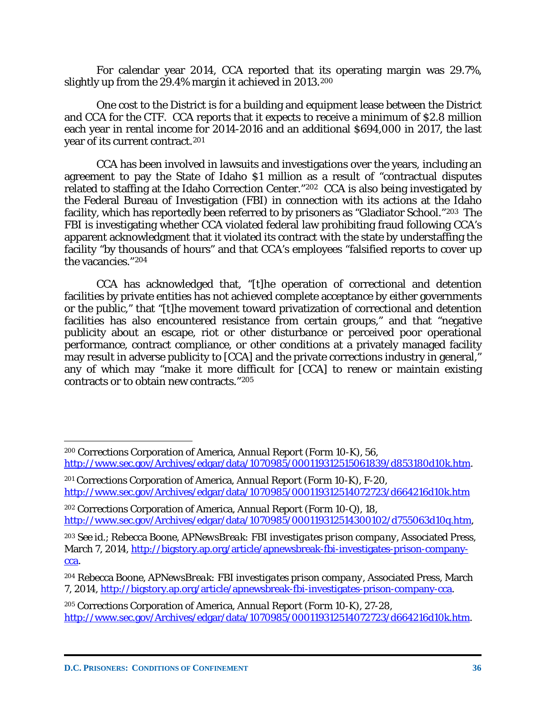For calendar year 2014, CCA reported that its operating margin was 29.7%, slightly up from the 29.4% margin it achieved in 2013.[200](#page-37-0)

One cost to the District is for a building and equipment lease between the District and CCA for the CTF. CCA reports that it expects to receive a minimum of \$2.8 million each year in rental income for 2014-2016 and an additional \$694,000 in 2017, the last year of its current contract.[201](#page-37-1)

CCA has been involved in lawsuits and investigations over the years, including an agreement to pay the State of Idaho \$1 million as a result of "contractual disputes related to staffing at the Idaho Correction Center."[202](#page-37-2) CCA is also being investigated by the Federal Bureau of Investigation (FBI) in connection with its actions at the Idaho facility, which has reportedly been referred to by prisoners as "Gladiator School."[203](#page-37-3) The FBI is investigating whether CCA violated federal law prohibiting fraud following CCA's apparent acknowledgment that it violated its contract with the state by understaffing the facility "by thousands of hours" and that CCA's employees "falsified reports to cover up the vacancies."[204](#page-37-4)

CCA has acknowledged that, "[t]he operation of correctional and detention facilities by private entities has not achieved complete acceptance by either governments or the public," that "[t]he movement toward privatization of correctional and detention facilities has also encountered resistance from certain groups," and that "negative publicity about an escape, riot or other disturbance or perceived poor operational performance, contract compliance, or other conditions at a privately managed facility may result in adverse publicity to [CCA] and the private corrections industry in general," any of which may "make it more difficult for [CCA] to renew or maintain existing contracts or to obtain new contracts."[205](#page-37-5)

<span id="page-37-0"></span><sup>200</sup> Corrections Corporation of America, *Annual Report (Form 10-K)*, 56, [http://www.sec.gov/Archives/edgar/data/1070985/000119312515061839/d853180d10k.htm.](http://www.sec.gov/Archives/edgar/data/1070985/000119312515061839/d853180d10k.htm)

<span id="page-37-1"></span><sup>201</sup> Corrections Corporation of America, *Annual Report (Form 10-K)*, F-20, <http://www.sec.gov/Archives/edgar/data/1070985/000119312514072723/d664216d10k.htm>

<span id="page-37-2"></span><sup>202</sup> Corrections Corporation of America, *Annual Report (Form 10-Q)*, 18, [http://www.sec.gov/Archives/edgar/data/1070985/000119312514300102/d755063d10q.htm,](http://www.sec.gov/Archives/edgar/data/1070985/000119312514300102/d755063d10q.htm)

<span id="page-37-3"></span><sup>203</sup> *See id.*; Rebecca Boone, *APNewsBreak: FBI investigates prison company*, Associated Press, March 7, 2014, [http://bigstory.ap.org/article/apnewsbreak-fbi-investigates-prison-company](http://bigstory.ap.org/article/apnewsbreak-fbi-investigates-prison-company-cca)[cca.](http://bigstory.ap.org/article/apnewsbreak-fbi-investigates-prison-company-cca)

<span id="page-37-4"></span><sup>204</sup> Rebecca Boone, *APNewsBreak: FBI investigates prison company*, Associated Press, March 7, 2014[, http://bigstory.ap.org/article/apnewsbreak-fbi-investigates-prison-company-cca.](http://bigstory.ap.org/article/apnewsbreak-fbi-investigates-prison-company-cca)

<span id="page-37-5"></span><sup>205</sup> Corrections Corporation of America, *Annual Report (Form 10-K)*, 27-28, [http://www.sec.gov/Archives/edgar/data/1070985/000119312514072723/d664216d10k.htm.](http://www.sec.gov/Archives/edgar/data/1070985/000119312514072723/d664216d10k.htm)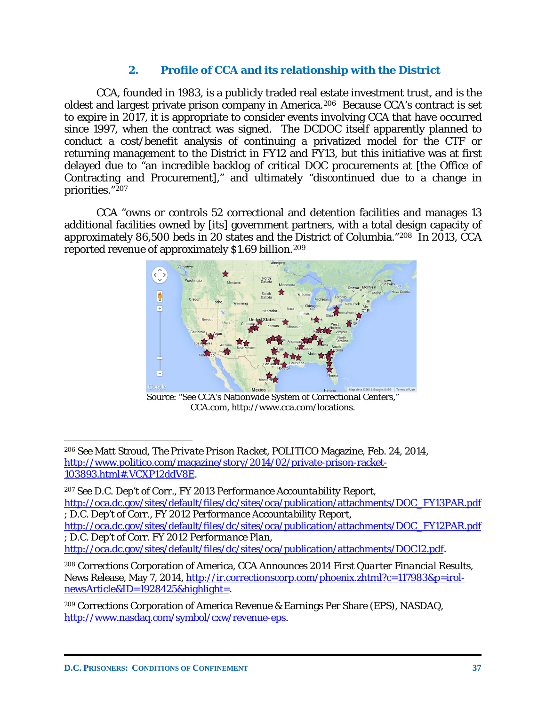## **2. Profile of CCA and its relationship with the District**

CCA, founded in 1983, is a publicly traded real estate investment trust, and is the oldest and largest private prison company in America.[206](#page-38-0) Because CCA's contract is set to expire in 2017, it is appropriate to consider events involving CCA that have occurred since 1997, when the contract was signed. The DCDOC itself apparently planned to conduct a cost/benefit analysis of continuing a privatized model for the CTF or returning management to the District in FY12 and FY13, but this initiative was at first delayed due to "an incredible backlog of critical DOC procurements at [the Office of Contracting and Procurement]," and ultimately "discontinued due to a change in priorities."[207](#page-38-1) 

CCA "owns or controls 52 correctional and detention facilities and manages 13 additional facilities owned by [its] government partners, with a total design capacity of approximately 86,500 beds in 20 states and the District of Columbia."[208](#page-38-2) In 2013, CCA reported revenue of approximately \$1.69 billion.[209](#page-38-3) 



Source: "See CCA's Nationwide System of Correctional Centers," CCA.com, http://www.cca.com/locations.

[http://oca.dc.gov/sites/default/files/dc/sites/oca/publication/attachments/DOC12.pdf.](http://oca.dc.gov/sites/default/files/dc/sites/oca/publication/attachments/DOC12.pdf)

<span id="page-38-2"></span><sup>208</sup> Corrections Corporation of America, *CCA Announces 2014 First Quarter Financial Results,* News Release, May 7, 2014, [http://ir.correctionscorp.com/phoenix.zhtml?c=117983&p=irol](http://ir.correctionscorp.com/phoenix.zhtml?c=117983&p=irol-newsArticle&ID=1928425&highlight=)[newsArticle&ID=1928425&highlight=.](http://ir.correctionscorp.com/phoenix.zhtml?c=117983&p=irol-newsArticle&ID=1928425&highlight=)

<span id="page-38-0"></span><sup>206</sup> *See* Matt Stroud, *The Private Prison Racket*, POLITICO Magazine, Feb. 24, 2014, [http://www.politico.com/magazine/story/2014/02/private-prison-racket-](http://www.politico.com/magazine/story/2014/02/private-prison-racket-103893.html%23.VCXP12ddV8E)[103893.html#.VCXP12ddV8E.](http://www.politico.com/magazine/story/2014/02/private-prison-racket-103893.html%23.VCXP12ddV8E)

<span id="page-38-1"></span><sup>207</sup> *See* D.C. Dep't of Corr.*, FY 2013 Performance Accountability Report*, [http://oca.dc.gov/sites/default/files/dc/sites/oca/publication/attachments/DOC\\_FY13PAR.pdf](http://oca.dc.gov/sites/default/files/dc/sites/oca/publication/attachments/DOC_FY13PAR.pdf) ; D.C. Dep't of Corr., *FY 2012 Performance Accountability Report*,

[http://oca.dc.gov/sites/default/files/dc/sites/oca/publication/attachments/DOC\\_FY12PAR.pdf](http://oca.dc.gov/sites/default/files/dc/sites/oca/publication/attachments/DOC_FY12PAR.pdf) ; D.C. Dep't of Corr. *FY 2012 Performance Plan*,

<span id="page-38-3"></span><sup>209</sup> Corrections Corporation of America Revenue & Earnings Per Share (EPS), NASDAQ, [http://www.nasdaq.com/symbol/cxw/revenue-eps.](http://www.nasdaq.com/symbol/cxw/revenue-eps)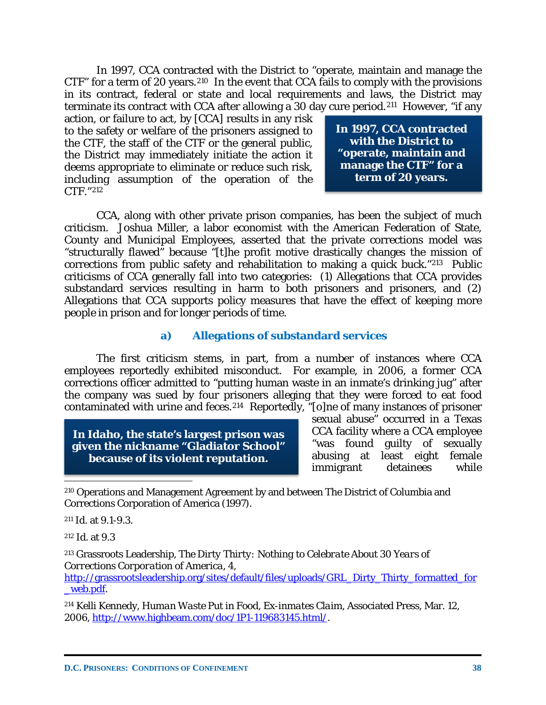In 1997, CCA contracted with the District to "operate, maintain and manage the CTF" for a term of 20 years.[210](#page-39-0) In the event that CCA fails to comply with the provisions in its contract, federal or state and local requirements and laws, the District may terminate its contract with CCA after allowing a 30 day cure period.<sup>211</sup> However, "if any

action, or failure to act, by [CCA] results in any risk to the safety or welfare of the prisoners assigned to the CTF, the staff of the CTF or the general public, the District may immediately initiate the action it deems appropriate to eliminate or reduce such risk, including assumption of the operation of the CTF."[212](#page-39-2)

**In 1997, CCA contracted with the District to "operate, maintain and manage the CTF" for a term of 20 years.**

CCA, along with other private prison companies, has been the subject of much criticism. Joshua Miller, a labor economist with the American Federation of State, County and Municipal Employees, asserted that the private corrections model was "structurally flawed" because "[t]he profit motive drastically changes the mission of corrections from public safety and rehabilitation to making a quick buck."[213](#page-39-3) Public criticisms of CCA generally fall into two categories: (1) Allegations that CCA provides substandard services resulting in harm to both prisoners and prisoners, and (2) Allegations that CCA supports policy measures that have the effect of keeping more people in prison and for longer periods of time.

#### **a) Allegations of substandard services**

The first criticism stems, in part, from a number of instances where CCA employees reportedly exhibited misconduct. For example, in 2006, a former CCA corrections officer admitted to "putting human waste in an inmate's drinking jug" after the company was sued by four prisoners alleging that they were forced to eat food contaminated with urine and feces.[214](#page-39-4) Reportedly, "[o]ne of many instances of prisoner

**In Idaho, the state's largest prison was given the nickname "Gladiator School" because of its violent reputation.**

sexual abuse" occurred in a Texas CCA facility where a CCA employee "was found guilty of sexually abusing at least eight female immigrant detainees while

<span id="page-39-0"></span><sup>210</sup> Operations and Management Agreement by and between The District of Columbia and Corrections Corporation of America (1997).

<span id="page-39-1"></span><sup>211</sup> *Id.* at 9.1-9.3.

<span id="page-39-2"></span><sup>212</sup> *Id.* at 9.3

j

<span id="page-39-3"></span><sup>213</sup> Grassroots Leadership, *The Dirty Thirty: Nothing to Celebrate About 30 Years of Corrections Corporation of America*, 4,

[http://grassrootsleadership.org/sites/default/files/uploads/GRL\\_Dirty\\_Thirty\\_formatted\\_for](http://grassrootsleadership.org/sites/default/files/uploads/GRL_Dirty_Thirty_formatted_for_web.pdf) [\\_web.pdf.](http://grassrootsleadership.org/sites/default/files/uploads/GRL_Dirty_Thirty_formatted_for_web.pdf)

<span id="page-39-4"></span><sup>214</sup> Kelli Kennedy, *Human Waste Put in Food, Ex-inmates Claim*, Associated Press, Mar. 12, 2006, [http://www.highbeam.com/doc/1P1-119683145.html/.](http://www.highbeam.com/doc/1P1-119683145.html/)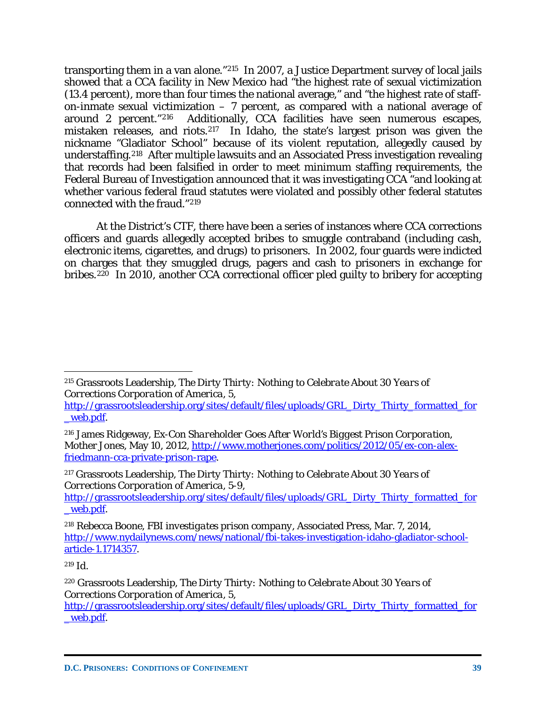transporting them in a van alone."[215](#page-40-0) In 2007, a Justice Department survey of local jails showed that a CCA facility in New Mexico had "the highest rate of sexual victimization (13.4 percent), more than four times the national average," and "the highest rate of staffon-inmate sexual victimization  $-7$  percent, as compared with a national average of around 2 percent."[216](#page-40-1) Additionally, CCA facilities have seen numerous escapes, mistaken releases, and riots.[217](#page-40-2) In Idaho, the state's largest prison was given the nickname "Gladiator School" because of its violent reputation, allegedly caused by understaffing.<sup>218</sup> After multiple lawsuits and an Associated Press investigation revealing that records had been falsified in order to meet minimum staffing requirements, the Federal Bureau of Investigation announced that it was investigating CCA "and looking at whether various federal fraud statutes were violated and possibly other federal statutes connected with the fraud."[219](#page-40-4)

At the District's CTF, there have been a series of instances where CCA corrections officers and guards allegedly accepted bribes to smuggle contraband (including cash, electronic items, cigarettes, and drugs) to prisoners. In 2002, four guards were indicted on charges that they smuggled drugs, pagers and cash to prisoners in exchange for bribes.<sup>[220](#page-40-5)</sup> In 2010, another CCA correctional officer pled guilty to bribery for accepting

<span id="page-40-0"></span> $\overline{a}$ <sup>215</sup> Grassroots Leadership, *The Dirty Thirty: Nothing to Celebrate About 30 Years of Corrections Corporation of America*, 5,

[http://grassrootsleadership.org/sites/default/files/uploads/GRL\\_Dirty\\_Thirty\\_formatted\\_for](http://grassrootsleadership.org/sites/default/files/uploads/GRL_Dirty_Thirty_formatted_for_web.pdf) [\\_web.pdf.](http://grassrootsleadership.org/sites/default/files/uploads/GRL_Dirty_Thirty_formatted_for_web.pdf)

<span id="page-40-1"></span><sup>216</sup> James Ridgeway, *Ex-Con Shareholder Goes After World's Biggest Prison Corporation*, Mother Jones, May 10, 2012, [http://www.motherjones.com/politics/2012/05/ex-con-alex](http://www.motherjones.com/politics/2012/05/ex-con-alex-friedmann-cca-private-prison-rape)[friedmann-cca-private-prison-rape.](http://www.motherjones.com/politics/2012/05/ex-con-alex-friedmann-cca-private-prison-rape)

<span id="page-40-2"></span><sup>217</sup> Grassroots Leadership, *The Dirty Thirty: Nothing to Celebrate About 30 Years of Corrections Corporation of America*, 5-9,

[http://grassrootsleadership.org/sites/default/files/uploads/GRL\\_Dirty\\_Thirty\\_formatted\\_for](http://grassrootsleadership.org/sites/default/files/uploads/GRL_Dirty_Thirty_formatted_for_web.pdf) [\\_web.pdf.](http://grassrootsleadership.org/sites/default/files/uploads/GRL_Dirty_Thirty_formatted_for_web.pdf)

<span id="page-40-3"></span><sup>218</sup> Rebecca Boone, *FBI investigates prison company*, Associated Press, Mar. 7, 2014, [http://www.nydailynews.com/news/national/fbi-takes-investigation-idaho-gladiator-school](http://www.nydailynews.com/news/national/fbi-takes-investigation-idaho-gladiator-school-article-1.1714357)[article-1.1714357.](http://www.nydailynews.com/news/national/fbi-takes-investigation-idaho-gladiator-school-article-1.1714357)

<span id="page-40-4"></span><sup>219</sup> *Id.* 

<span id="page-40-5"></span><sup>220</sup> Grassroots Leadership, *The Dirty Thirty: Nothing to Celebrate About 30 Years of Corrections Corporation of America*, 5,

[http://grassrootsleadership.org/sites/default/files/uploads/GRL\\_Dirty\\_Thirty\\_formatted\\_for](http://grassrootsleadership.org/sites/default/files/uploads/GRL_Dirty_Thirty_formatted_for_web.pdf) [\\_web.pdf.](http://grassrootsleadership.org/sites/default/files/uploads/GRL_Dirty_Thirty_formatted_for_web.pdf)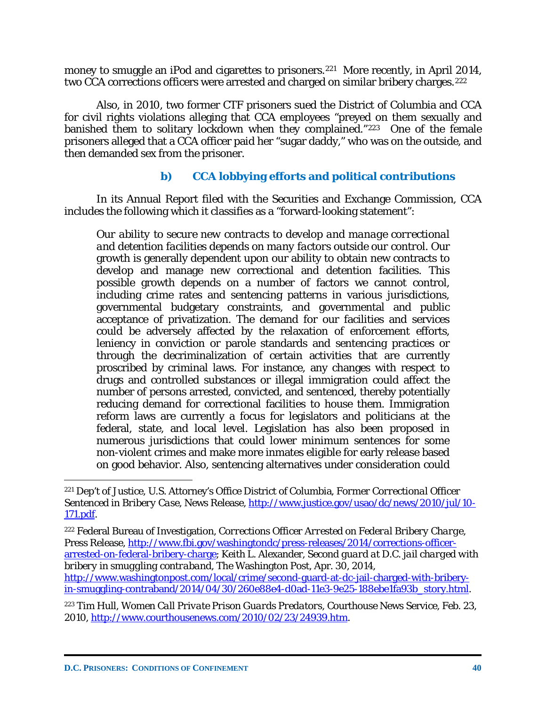money to smuggle an iPod and cigarettes to prisoners.<sup>[221](#page-41-0)</sup> More recently, in April 2014, two CCA corrections officers were arrested and charged on similar bribery charges.<sup>222</sup>

Also, in 2010, two former CTF prisoners sued the District of Columbia and CCA for civil rights violations alleging that CCA employees "preyed on them sexually and banished them to solitary lockdown when they complained."[223](#page-41-2) One of the female prisoners alleged that a CCA officer paid her "sugar daddy," who was on the outside, and then demanded sex from the prisoner.

# **b) CCA lobbying efforts and political contributions**

In its Annual Report filed with the Securities and Exchange Commission, CCA includes the following which it classifies as a "forward-looking statement":

*Our ability to secure new contracts to develop and manage correctional and detention facilities depends on many factors outside our control.* Our growth is generally dependent upon our ability to obtain new contracts to develop and manage new correctional and detention facilities. This possible growth depends on a number of factors we cannot control, including crime rates and sentencing patterns in various jurisdictions, governmental budgetary constraints, and governmental and public acceptance of privatization. The demand for our facilities and services could be adversely affected by the relaxation of enforcement efforts, leniency in conviction or parole standards and sentencing practices or through the decriminalization of certain activities that are currently proscribed by criminal laws. For instance, any changes with respect to drugs and controlled substances or illegal immigration could affect the number of persons arrested, convicted, and sentenced, thereby potentially reducing demand for correctional facilities to house them. Immigration reform laws are currently a focus for legislators and politicians at the federal, state, and local level. Legislation has also been proposed in numerous jurisdictions that could lower minimum sentences for some non-violent crimes and make more inmates eligible for early release based on good behavior. Also, sentencing alternatives under consideration could

<span id="page-41-2"></span><sup>223</sup> Tim Hull, *Women Call Private Prison Guards Predators*, Courthouse News Service, Feb. 23, 2010, [http://www.courthousenews.com/2010/02/23/24939.htm.](http://www.courthousenews.com/2010/02/23/24939.htm)

<span id="page-41-0"></span><sup>221</sup> Dep't of Justice, U.S. Attorney's Office District of Columbia, *Former Correctional Officer Sentenced in Bribery Case*, News Release, [http://www.justice.gov/usao/dc/news/2010/jul/10-](http://www.justice.gov/usao/dc/news/2010/jul/10-171.pdf) [171.pdf.](http://www.justice.gov/usao/dc/news/2010/jul/10-171.pdf)

<span id="page-41-1"></span><sup>222</sup> Federal Bureau of Investigation, *Corrections Officer Arrested on Federal Bribery Charge*, Press Release, [http://www.fbi.gov/washingtondc/press-releases/2014/corrections-officer](http://www.fbi.gov/washingtondc/press-releases/2014/corrections-officer-arrested-on-federal-bribery-charge)[arrested-on-federal-bribery-charge;](http://www.fbi.gov/washingtondc/press-releases/2014/corrections-officer-arrested-on-federal-bribery-charge) Keith L. Alexander, *Second guard at D.C. jail charged with bribery in smuggling contraband*, The Washington Post, Apr. 30, 2014, [http://www.washingtonpost.com/local/crime/second-guard-at-dc-jail-charged-with-bribery](http://www.washingtonpost.com/local/crime/second-guard-at-dc-jail-charged-with-bribery-in-smuggling-contraband/2014/04/30/260e88e4-d0ad-11e3-9e25-188ebe1fa93b_story.html)[in-smuggling-contraband/2014/04/30/260e88e4-d0ad-11e3-9e25-188ebe1fa93b\\_story.html.](http://www.washingtonpost.com/local/crime/second-guard-at-dc-jail-charged-with-bribery-in-smuggling-contraband/2014/04/30/260e88e4-d0ad-11e3-9e25-188ebe1fa93b_story.html)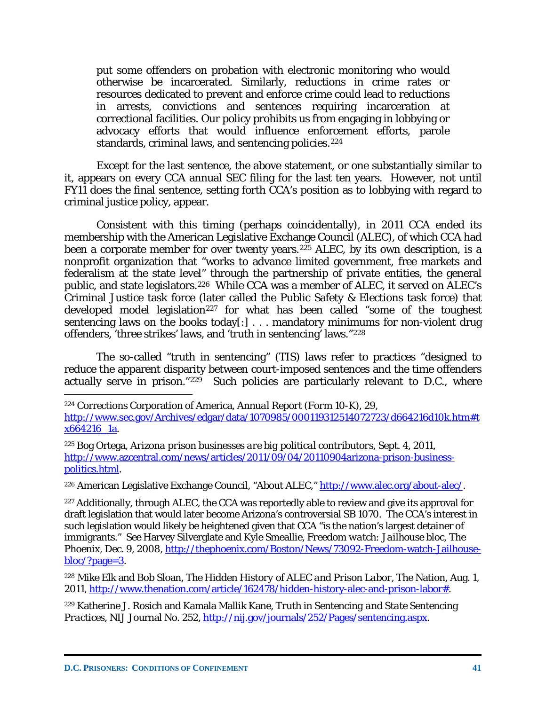put some offenders on probation with electronic monitoring who would otherwise be incarcerated. Similarly, reductions in crime rates or resources dedicated to prevent and enforce crime could lead to reductions in arrests, convictions and sentences requiring incarceration at correctional facilities. Our policy prohibits us from engaging in lobbying or advocacy efforts that would influence enforcement efforts, parole standards, criminal laws, and sentencing policies.<sup>[224](#page-42-0)</sup>

Except for the last sentence, the above statement, or one substantially similar to it, appears on every CCA annual SEC filing for the last ten years. However, not until FY11 does the final sentence, setting forth CCA's position as to lobbying with regard to criminal justice policy, appear.

Consistent with this timing (perhaps coincidentally), in 2011 CCA ended its membership with the American Legislative Exchange Council (ALEC), of which CCA had been a corporate member for over twenty years.<sup>[225](#page-42-1)</sup> ALEC, by its own description, is a nonprofit organization that "works to advance limited government, free markets and federalism at the state level" through the partnership of private entities, the general public, and state legislators.[226](#page-42-2) While CCA was a member of ALEC, it served on ALEC's Criminal Justice task force (later called the Public Safety & Elections task force) that developed model legislation<sup>[227](#page-42-3)</sup> for what has been called "some of the toughest sentencing laws on the books today[:] . . . mandatory minimums for non-violent drug offenders, 'three strikes' laws, and 'truth in sentencing' laws."[228](#page-42-4) 

The so-called "truth in sentencing" (TIS) laws refer to practices "designed to reduce the apparent disparity between court-imposed sentences and the time offenders actually serve in prison."[229](#page-42-5) Such policies are particularly relevant to D.C., where  $\overline{a}$ 

<span id="page-42-2"></span><sup>226</sup> American Legislative Exchange Council, "About ALEC," [http://www.alec.org/about-alec/.](http://www.alec.org/about-alec/)

<span id="page-42-3"></span><sup>227</sup> Additionally, through ALEC, the CCA was reportedly able to review and give its approval for draft legislation that would later become Arizona's controversial SB 1070. The CCA's interest in such legislation would likely be heightened given that CCA "is the nation's largest detainer of immigrants." *See* Harvey Silverglate and Kyle Smeallie, *Freedom watch: Jailhouse bloc*, The Phoenix, Dec. 9, 2008, [http://thephoenix.com/Boston/News/73092-Freedom-watch-Jailhouse](http://thephoenix.com/Boston/News/73092-Freedom-watch-Jailhouse-bloc/?page=3)[bloc/?page=3.](http://thephoenix.com/Boston/News/73092-Freedom-watch-Jailhouse-bloc/?page=3)

<span id="page-42-4"></span><sup>228</sup> Mike Elk and Bob Sloan, *The Hidden History of ALEC and Prison Labor*, The Nation, Aug. 1, 2011, [http://www.thenation.com/article/162478/hidden-history-alec-and-prison-labor#.](http://www.thenation.com/article/162478/hidden-history-alec-and-prison-labor%23)

<span id="page-42-5"></span><sup>229</sup> Katherine J. Rosich and Kamala Mallik Kane, *Truth in Sentencing and State Sentencing Practices,* NIJ Journal No. 252, [http://nij.gov/journals/252/Pages/sentencing.aspx.](http://nij.gov/journals/252/Pages/sentencing.aspx)

<span id="page-42-0"></span><sup>224</sup> Corrections Corporation of America, *Annual Report (Form 10-K)*, 29, [http://www.sec.gov/Archives/edgar/data/1070985/000119312514072723/d664216d10k.htm#t](http://www.sec.gov/Archives/edgar/data/1070985/000119312514072723/d664216d10k.htm%23tx664216_1a) [x664216\\_1a.](http://www.sec.gov/Archives/edgar/data/1070985/000119312514072723/d664216d10k.htm%23tx664216_1a)

<span id="page-42-1"></span><sup>225</sup> Bog Ortega, *Arizona prison businesses are big political contributors*, Sept. 4, 2011, [http://www.azcentral.com/news/articles/2011/09/04/20110904arizona-prison-business](http://www.azcentral.com/news/articles/2011/09/04/20110904arizona-prison-business-politics.html)[politics.html.](http://www.azcentral.com/news/articles/2011/09/04/20110904arizona-prison-business-politics.html)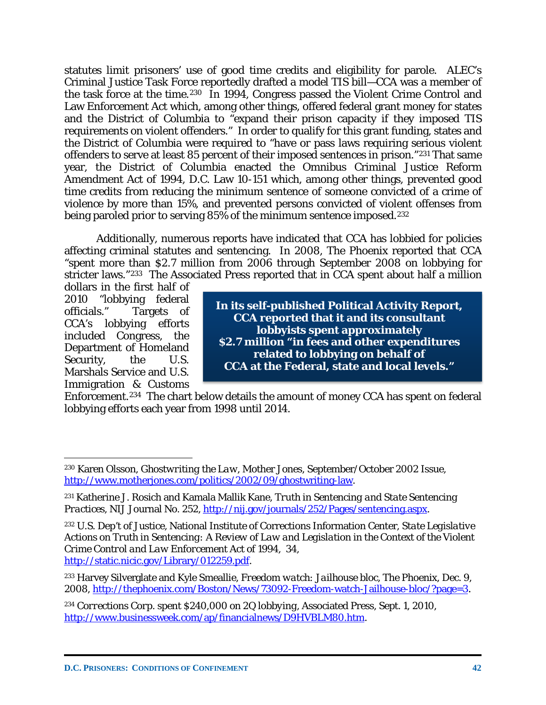statutes limit prisoners' use of good time credits and eligibility for parole. ALEC's Criminal Justice Task Force reportedly drafted a model TIS bill—CCA was a member of the task force at the time.[230](#page-43-0) In 1994, Congress passed the Violent Crime Control and Law Enforcement Act which, among other things, offered federal grant money for states and the District of Columbia to "expand their prison capacity if they imposed TIS requirements on violent offenders." In order to qualify for this grant funding, states and the District of Columbia were required to "have or pass laws requiring serious violent offenders to serve at least 85 percent of their imposed sentences in prison."[231](#page-43-1) That same year, the District of Columbia enacted the Omnibus Criminal Justice Reform Amendment Act of 1994, D.C. Law 10-151 which, among other things, prevented good time credits from reducing the minimum sentence of someone convicted of a crime of violence by more than 15%, and prevented persons convicted of violent offenses from being paroled prior to serving 85% of the minimum sentence imposed.[232](#page-43-2) 

Additionally, numerous reports have indicated that CCA has lobbied for policies affecting criminal statutes and sentencing. In 2008, The Phoenix reported that CCA "spent more than \$2.7 million from 2006 through September 2008 on lobbying for stricter laws."[233](#page-43-3) The Associated Press reported that in CCA spent about half a million

dollars in the first half of 2010 "lobbying federal officials." Targets of CCA's lobbying efforts included Congress, the Department of Homeland Security, the U.S. Marshals Service and U.S. Immigration & Customs

 $\overline{a}$ 

**In its self-published Political Activity Report, CCA reported that it and its consultant lobbyists spent approximately \$2.7 million "in fees and other expenditures related to lobbying on behalf of CCA at the Federal, state and local levels."**

Enforcement.[234](#page-43-4) The chart below details the amount of money CCA has spent on federal lobbying efforts each year from 1998 until 2014.

<span id="page-43-0"></span><sup>230</sup> Karen Olsson, *Ghostwriting the Law,* Mother Jones, September/October 2002 Issue, [http://www.motherjones.com/politics/2002/09/ghostwriting-law.](http://www.motherjones.com/politics/2002/09/ghostwriting-law)

<span id="page-43-1"></span><sup>231</sup> Katherine J. Rosich and Kamala Mallik Kane, *Truth in Sentencing and State Sentencing Practices, NIJ Journal No. 252, [http://nij.gov/journals/252/Pages/sentencing.aspx.](http://nij.gov/journals/252/Pages/sentencing.aspx)* 

<span id="page-43-2"></span><sup>232</sup> U.S. Dep't of Justice, National Institute of Corrections Information Center, *State Legislative Actions on Truth in Sentencing: A Review of Law and Legislation in the Context of the Violent Crime Control and Law Enforcement Act of 1994*, 34, [http://static.nicic.gov/Library/012259.pdf.](http://static.nicic.gov/Library/012259.pdf)

<span id="page-43-3"></span><sup>233</sup> Harvey Silverglate and Kyle Smeallie, *Freedom watch: Jailhouse bloc*, The Phoenix, Dec. 9, 2008, [http://thephoenix.com/Boston/News/73092-Freedom-watch-Jailhouse-bloc/?page=3.](http://thephoenix.com/Boston/News/73092-Freedom-watch-Jailhouse-bloc/?page=3)

<span id="page-43-4"></span><sup>234</sup> *Corrections Corp. spent \$240,000 on 2Q lobbying*, Associated Press, Sept. 1, 2010, [http://www.businessweek.com/ap/financialnews/D9HVBLM80.htm.](http://www.businessweek.com/ap/financialnews/D9HVBLM80.htm)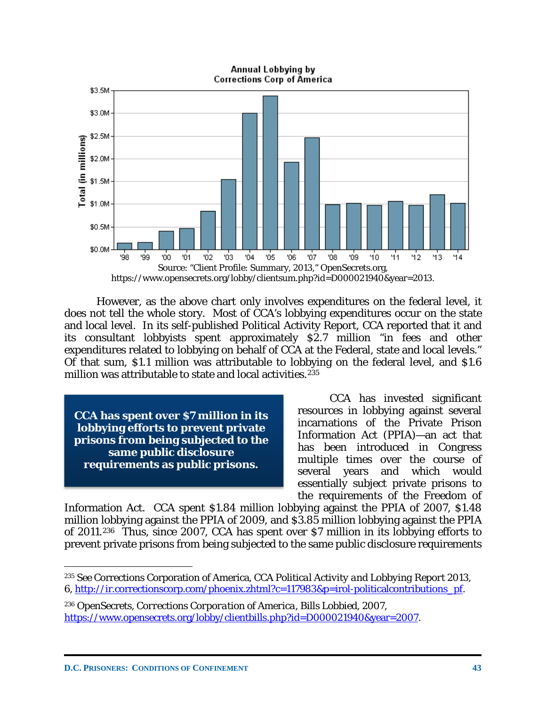Annual Lobbying by Corrections Corp of America



However, as the above chart only involves expenditures on the federal level, it does not tell the whole story. Most of CCA's lobbying expenditures occur on the state and local level. In its self-published Political Activity Report, CCA reported that it and its consultant lobbyists spent approximately \$2.7 million "in fees and other expenditures related to lobbying on behalf of CCA at the Federal, state and local levels." Of that sum, \$1.1 million was attributable to lobbying on the federal level, and \$1.6 million was attributable to state and local activities.<sup>[235](#page-44-0)</sup>

**CCA has spent over \$7 million in its lobbying efforts to prevent private prisons from being subjected to the same public disclosure requirements as public prisons.**

CCA has invested significant resources in lobbying against several incarnations of the Private Prison Information Act (PPIA)—an act that has been introduced in Congress multiple times over the course of several years and which would essentially subject private prisons to the requirements of the Freedom of

Information Act. CCA spent \$1.84 million lobbying against the PPIA of 2007, \$1.48 million lobbying against the PPIA of 2009, and \$3.85 million lobbying against the PPIA of 2011.[236](#page-44-1) Thus, since 2007, CCA has spent over \$7 million in its lobbying efforts to prevent private prisons from being subjected to the same public disclosure requirements

<span id="page-44-0"></span><sup>235</sup> *See* Corrections Corporation of America, *CCA Political Activity and Lobbying Report 2013*, 6, [http://ir.correctionscorp.com/phoenix.zhtml?c=117983&p=irol-politicalcontributions\\_pf.](http://ir.correctionscorp.com/phoenix.zhtml?c=117983&p=irol-politicalcontributions_pf)

<span id="page-44-1"></span><sup>236</sup> OpenSecrets, *Corrections Corporation of America, Bills Lobbied, 2007*, [https://www.opensecrets.org/lobby/clientbills.php?id=D000021940&year=2007.](https://www.opensecrets.org/lobby/clientbills.php?id=D000021940&year=2007)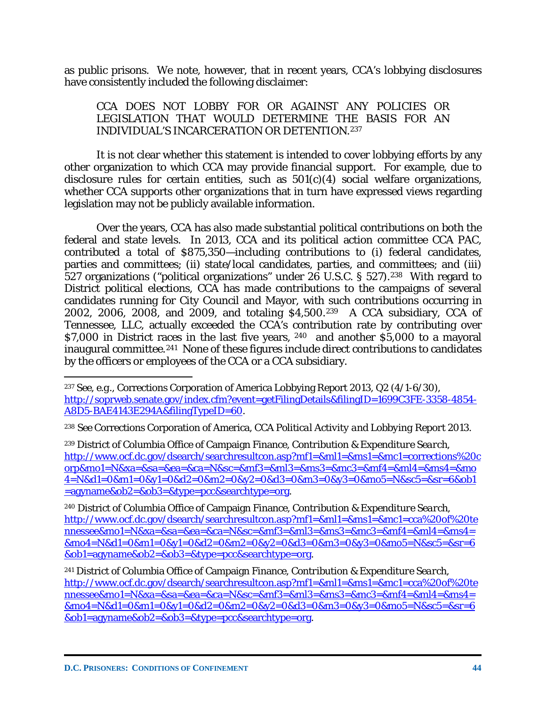as public prisons. We note, however, that in recent years, CCA's lobbying disclosures have consistently included the following disclaimer:

#### CCA DOES NOT LOBBY FOR OR AGAINST ANY POLICIES OR LEGISLATION THAT WOULD DETERMINE THE BASIS FOR AN INDIVIDUAL'S INCARCERATION OR DETENTION.[237](#page-45-0)

It is not clear whether this statement is intended to cover lobbying efforts by any other organization to which CCA may provide financial support. For example, due to disclosure rules for certain entities, such as  $501(c)(4)$  social welfare organizations, whether CCA supports other organizations that in turn have expressed views regarding legislation may not be publicly available information.

Over the years, CCA has also made substantial political contributions on both the federal and state levels. In 2013, CCA and its political action committee CCA PAC, contributed a total of \$875,350—including contributions to (i) federal candidates, parties and committees; (ii) state/local candidates, parties, and committees; and (iii) 527 organizations ("political organizations" under 26 U.S.C. § 527).[238](#page-45-1) With regard to District political elections, CCA has made contributions to the campaigns of several candidates running for City Council and Mayor, with such contributions occurring in 2002, 2006, 2008, and 2009, and totaling \$4,500.[239](#page-45-2) A CCA subsidiary, CCA of Tennessee, LLC, actually exceeded the CCA's contribution rate by contributing over \$7,000 in District races in the last five years, [240](#page-45-3) and another \$5,000 to a mayoral inaugural committee.[241](#page-45-4) None of these figures include direct contributions to candidates by the officers or employees of the CCA or a CCA subsidiary.

<span id="page-45-0"></span><sup>237</sup> *See, e.g.*, Corrections Corporation of America Lobbying Report 2013, Q2 (4/1-6/30), [http://soprweb.senate.gov/index.cfm?event=getFilingDetails&filingID=1699C3FE-3358-4854-](http://soprweb.senate.gov/index.cfm?event=getFilingDetails&filingID=1699C3FE-3358-4854-A8D5-BAE4143E294A&filingTypeID=60) [A8D5-BAE4143E294A&filingTypeID=60.](http://soprweb.senate.gov/index.cfm?event=getFilingDetails&filingID=1699C3FE-3358-4854-A8D5-BAE4143E294A&filingTypeID=60)

<span id="page-45-1"></span><sup>238</sup> *See* Corrections Corporation of America*, CCA Political Activity and Lobbying Report 2013*.

<span id="page-45-2"></span><sup>239</sup> District of Columbia Office of Campaign Finance, *Contribution & Expenditure Search*, [http://www.ocf.dc.gov/dsearch/searchresultcon.asp?mf1=&ml1=&ms1=&mc1=corrections%20c](http://www.ocf.dc.gov/dsearch/searchresultcon.asp?mf1=&ml1=&ms1=&mc1=corrections%20corp&mo1=N&xa=&sa=&ea=&ca=N&sc=&mf3=&ml3=&ms3=&mc3=&mf4=&ml4=&ms4=&mo4=N&d1=0&m1=0&y1=0&d2=0&m2=0&y2=0&d3=0&m3=0&y3=0&mo5=N&sc5=&sr=6&ob1=agyname&ob2=&ob3=&type=pcc&searchtype=org) [orp&mo1=N&xa=&sa=&ea=&ca=N&sc=&mf3=&ml3=&ms3=&mc3=&mf4=&ml4=&ms4=&mo](http://www.ocf.dc.gov/dsearch/searchresultcon.asp?mf1=&ml1=&ms1=&mc1=corrections%20corp&mo1=N&xa=&sa=&ea=&ca=N&sc=&mf3=&ml3=&ms3=&mc3=&mf4=&ml4=&ms4=&mo4=N&d1=0&m1=0&y1=0&d2=0&m2=0&y2=0&d3=0&m3=0&y3=0&mo5=N&sc5=&sr=6&ob1=agyname&ob2=&ob3=&type=pcc&searchtype=org) [4=N&d1=0&m1=0&y1=0&d2=0&m2=0&y2=0&d3=0&m3=0&y3=0&mo5=N&sc5=&sr=6&ob1](http://www.ocf.dc.gov/dsearch/searchresultcon.asp?mf1=&ml1=&ms1=&mc1=corrections%20corp&mo1=N&xa=&sa=&ea=&ca=N&sc=&mf3=&ml3=&ms3=&mc3=&mf4=&ml4=&ms4=&mo4=N&d1=0&m1=0&y1=0&d2=0&m2=0&y2=0&d3=0&m3=0&y3=0&mo5=N&sc5=&sr=6&ob1=agyname&ob2=&ob3=&type=pcc&searchtype=org) [=agyname&ob2=&ob3=&type=pcc&searchtype=org.](http://www.ocf.dc.gov/dsearch/searchresultcon.asp?mf1=&ml1=&ms1=&mc1=corrections%20corp&mo1=N&xa=&sa=&ea=&ca=N&sc=&mf3=&ml3=&ms3=&mc3=&mf4=&ml4=&ms4=&mo4=N&d1=0&m1=0&y1=0&d2=0&m2=0&y2=0&d3=0&m3=0&y3=0&mo5=N&sc5=&sr=6&ob1=agyname&ob2=&ob3=&type=pcc&searchtype=org)

<span id="page-45-3"></span><sup>240</sup> District of Columbia Office of Campaign Finance, *Contribution & Expenditure Search*, [http://www.ocf.dc.gov/dsearch/searchresultcon.asp?mf1=&ml1=&ms1=&mc1=cca%20of%20te](http://www.ocf.dc.gov/dsearch/searchresultcon.asp?mf1=&ml1=&ms1=&mc1=cca%20of%20tennessee&mo1=N&xa=&sa=&ea=&ca=N&sc=&mf3=&ml3=&ms3=&mc3=&mf4=&ml4=&ms4=&mo4=N&d1=0&m1=0&y1=0&d2=0&m2=0&y2=0&d3=0&m3=0&y3=0&mo5=N&sc5=&sr=6&ob1=agyname&ob2=&ob3=&type=pcc&searchtype=org) [nnessee&mo1=N&xa=&sa=&ea=&ca=N&sc=&mf3=&ml3=&ms3=&mc3=&mf4=&ml4=&ms4=](http://www.ocf.dc.gov/dsearch/searchresultcon.asp?mf1=&ml1=&ms1=&mc1=cca%20of%20tennessee&mo1=N&xa=&sa=&ea=&ca=N&sc=&mf3=&ml3=&ms3=&mc3=&mf4=&ml4=&ms4=&mo4=N&d1=0&m1=0&y1=0&d2=0&m2=0&y2=0&d3=0&m3=0&y3=0&mo5=N&sc5=&sr=6&ob1=agyname&ob2=&ob3=&type=pcc&searchtype=org) [&mo4=N&d1=0&m1=0&y1=0&d2=0&m2=0&y2=0&d3=0&m3=0&y3=0&mo5=N&sc5=&sr=6](http://www.ocf.dc.gov/dsearch/searchresultcon.asp?mf1=&ml1=&ms1=&mc1=cca%20of%20tennessee&mo1=N&xa=&sa=&ea=&ca=N&sc=&mf3=&ml3=&ms3=&mc3=&mf4=&ml4=&ms4=&mo4=N&d1=0&m1=0&y1=0&d2=0&m2=0&y2=0&d3=0&m3=0&y3=0&mo5=N&sc5=&sr=6&ob1=agyname&ob2=&ob3=&type=pcc&searchtype=org) [&ob1=agyname&ob2=&ob3=&type=pcc&searchtype=org.](http://www.ocf.dc.gov/dsearch/searchresultcon.asp?mf1=&ml1=&ms1=&mc1=cca%20of%20tennessee&mo1=N&xa=&sa=&ea=&ca=N&sc=&mf3=&ml3=&ms3=&mc3=&mf4=&ml4=&ms4=&mo4=N&d1=0&m1=0&y1=0&d2=0&m2=0&y2=0&d3=0&m3=0&y3=0&mo5=N&sc5=&sr=6&ob1=agyname&ob2=&ob3=&type=pcc&searchtype=org)

<span id="page-45-4"></span><sup>241</sup> District of Columbia Office of Campaign Finance, *Contribution & Expenditure Search*, [http://www.ocf.dc.gov/dsearch/searchresultcon.asp?mf1=&ml1=&ms1=&mc1=cca%20of%20te](http://www.ocf.dc.gov/dsearch/searchresultcon.asp?mf1=&ml1=&ms1=&mc1=cca%20of%20tennessee&mo1=N&xa=&sa=&ea=&ca=N&sc=&mf3=&ml3=&ms3=&mc3=&mf4=&ml4=&ms4=&mo4=N&d1=0&m1=0&y1=0&d2=0&m2=0&y2=0&d3=0&m3=0&y3=0&mo5=N&sc5=&sr=6&ob1=agyname&ob2=&ob3=&type=pcc&searchtype=org) [nnessee&mo1=N&xa=&sa=&ea=&ca=N&sc=&mf3=&ml3=&ms3=&mc3=&mf4=&ml4=&ms4=](http://www.ocf.dc.gov/dsearch/searchresultcon.asp?mf1=&ml1=&ms1=&mc1=cca%20of%20tennessee&mo1=N&xa=&sa=&ea=&ca=N&sc=&mf3=&ml3=&ms3=&mc3=&mf4=&ml4=&ms4=&mo4=N&d1=0&m1=0&y1=0&d2=0&m2=0&y2=0&d3=0&m3=0&y3=0&mo5=N&sc5=&sr=6&ob1=agyname&ob2=&ob3=&type=pcc&searchtype=org) [&mo4=N&d1=0&m1=0&y1=0&d2=0&m2=0&y2=0&d3=0&m3=0&y3=0&mo5=N&sc5=&sr=6](http://www.ocf.dc.gov/dsearch/searchresultcon.asp?mf1=&ml1=&ms1=&mc1=cca%20of%20tennessee&mo1=N&xa=&sa=&ea=&ca=N&sc=&mf3=&ml3=&ms3=&mc3=&mf4=&ml4=&ms4=&mo4=N&d1=0&m1=0&y1=0&d2=0&m2=0&y2=0&d3=0&m3=0&y3=0&mo5=N&sc5=&sr=6&ob1=agyname&ob2=&ob3=&type=pcc&searchtype=org) [&ob1=agyname&ob2=&ob3=&type=pcc&searchtype=org.](http://www.ocf.dc.gov/dsearch/searchresultcon.asp?mf1=&ml1=&ms1=&mc1=cca%20of%20tennessee&mo1=N&xa=&sa=&ea=&ca=N&sc=&mf3=&ml3=&ms3=&mc3=&mf4=&ml4=&ms4=&mo4=N&d1=0&m1=0&y1=0&d2=0&m2=0&y2=0&d3=0&m3=0&y3=0&mo5=N&sc5=&sr=6&ob1=agyname&ob2=&ob3=&type=pcc&searchtype=org)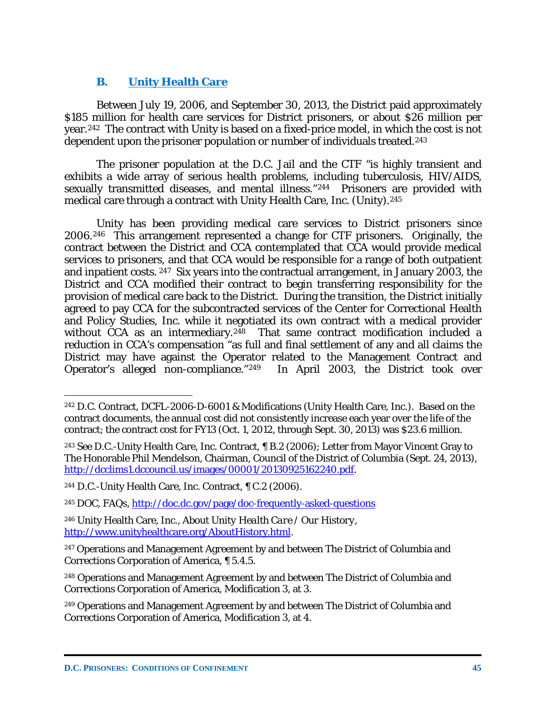# **B. Unity Health Care**

Between July 19, 2006, and September 30, 2013, the District paid approximately \$185 million for health care services for District prisoners, or about \$26 million per year.[242](#page-46-0) The contract with Unity is based on a fixed-price model, in which the cost is not dependent upon the prisoner population or number of individuals treated.<sup>243</sup>

The prisoner population at the D.C. Jail and the CTF "is highly transient and exhibits a wide array of serious health problems, including tuberculosis, HIV/AIDS, sexually transmitted diseases, and mental illness."[244](#page-46-2) Prisoners are provided with medical care through a contract with Unity Health Care, Inc. (Unity).[245](#page-46-3)

Unity has been providing medical care services to District prisoners since 2006.[246](#page-46-4) This arrangement represented a change for CTF prisoners. Originally, the contract between the District and CCA contemplated that CCA would provide medical services to prisoners, and that CCA would be responsible for a range of both outpatient and inpatient costs. [247](#page-46-5) Six years into the contractual arrangement, in January 2003, the District and CCA modified their contract to begin transferring responsibility for the provision of medical care back to the District. During the transition, the District initially agreed to pay CCA for the subcontracted services of the Center for Correctional Health and Policy Studies, Inc. while it negotiated its own contract with a medical provider without CCA as an intermediary.<sup>[248](#page-46-6)</sup> That same contract modification included a reduction in CCA's compensation "as full and final settlement of any and all claims the District may have against the Operator related to the Management Contract and Operator's alleged non-compliance."[249](#page-46-7) In April 2003, the District took over

 $\overline{a}$ 

<span id="page-46-4"></span><sup>246</sup> Unity Health Care, Inc., *About Unity Health Care / Our History*, [http://www.unityhealthcare.org/AboutHistory.html.](http://www.unityhealthcare.org/AboutHistory.html)

<span id="page-46-0"></span><sup>242</sup> D.C. Contract, DCFL-2006-D-6001 & Modifications (Unity Health Care, Inc.). Based on the contract documents, the annual cost did not consistently increase each year over the life of the contract; the contract cost for FY13 (Oct. 1, 2012, through Sept. 30, 2013) was \$23.6 million.

<span id="page-46-1"></span><sup>243</sup> *See* D.C.-Unity Health Care, Inc. Contract, ¶ B.2 (2006); Letter from Mayor Vincent Gray to The Honorable Phil Mendelson, Chairman, Council of the District of Columbia (Sept. 24, 2013), [http://dcclims1.dccouncil.us/images/00001/20130925162240.pdf.](http://dcclims1.dccouncil.us/images/00001/20130925162240.pdf)

<span id="page-46-2"></span><sup>244</sup> D.C.-Unity Health Care, Inc. Contract, ¶ C.2 (2006).

<span id="page-46-3"></span><sup>&</sup>lt;sup>245</sup> DOC, FAQs,<http://doc.dc.gov/page/doc-frequently-asked-questions>

<span id="page-46-5"></span><sup>&</sup>lt;sup>247</sup> Operations and Management Agreement by and between The District of Columbia and Corrections Corporation of America, ¶ 5.4.5.

<span id="page-46-6"></span><sup>248</sup> Operations and Management Agreement by and between The District of Columbia and Corrections Corporation of America, Modification 3, at 3.

<span id="page-46-7"></span><sup>249</sup> Operations and Management Agreement by and between The District of Columbia and Corrections Corporation of America, Modification 3, at 4.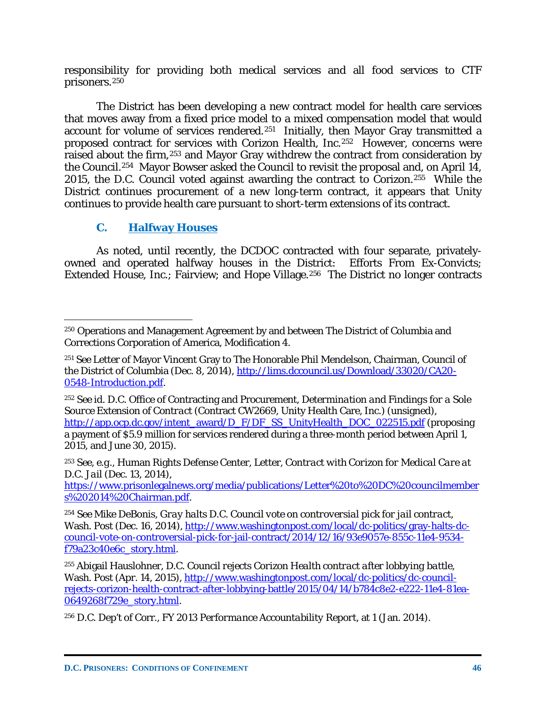responsibility for providing both medical services and all food services to CTF prisoners.<sup>[250](#page-47-0)</sup>

The District has been developing a new contract model for health care services that moves away from a fixed price model to a mixed compensation model that would account for volume of services rendered.[251](#page-47-1) Initially, then Mayor Gray transmitted a proposed contract for services with Corizon Health, Inc.[252](#page-47-2) However, concerns were raised about the firm,[253](#page-47-3) and Mayor Gray withdrew the contract from consideration by the Council.[254](#page-47-4) Mayor Bowser asked the Council to revisit the proposal and, on April 14, 2015, the D.C. Council voted against awarding the contract to Corizon.[255](#page-47-5) While the District continues procurement of a new long-term contract, it appears that Unity continues to provide health care pursuant to short-term extensions of its contract.

# **C. Halfway Houses**

As noted, until recently, the DCDOC contracted with four separate, privatelyowned and operated halfway houses in the District: Efforts From Ex-Convicts; Extended House, Inc.; Fairview; and Hope Village.<sup>256</sup> The District no longer contracts

<span id="page-47-3"></span><sup>253</sup> *See, e.g.*, Human Rights Defense Center, Letter, *Contract with Corizon for Medical Care at D.C. Jail* (Dec. 13, 2014),

[https://www.prisonlegalnews.org/media/publications/Letter%20to%20DC%20councilmember](https://www.prisonlegalnews.org/media/publications/Letter%20to%20DC%20councilmembers%202014%20Chairman.pdf) [s%202014%20Chairman.pdf.](https://www.prisonlegalnews.org/media/publications/Letter%20to%20DC%20councilmembers%202014%20Chairman.pdf)

<span id="page-47-0"></span> $\overline{a}$ <sup>250</sup> Operations and Management Agreement by and between The District of Columbia and Corrections Corporation of America, Modification 4.

<span id="page-47-1"></span><sup>251</sup> *See* Letter of Mayor Vincent Gray to The Honorable Phil Mendelson, Chairman, Council of the District of Columbia (Dec. 8, 2014), [http://lims.dccouncil.us/Download/33020/CA20-](http://lims.dccouncil.us/Download/33020/CA20-0548-Introduction.pdf) [0548-Introduction.pdf.](http://lims.dccouncil.us/Download/33020/CA20-0548-Introduction.pdf)

<span id="page-47-2"></span><sup>252</sup> *See id.* D.C. Office of Contracting and Procurement, *Determination and Findings for a Sole Source Extension of Contract* (Contract CW2669, Unity Health Care, Inc.) (unsigned), [http://app.ocp.dc.gov/intent\\_award/D\\_F/DF\\_SS\\_UnityHealth\\_DOC\\_022515.pdf](http://app.ocp.dc.gov/intent_award/D_F/DF_SS_UnityHealth_DOC_022515.pdf) (proposing a payment of \$5.9 million for services rendered during a three-month period between April 1, 2015, and June 30, 2015).

<span id="page-47-4"></span><sup>254</sup> *See* Mike DeBonis, *Gray halts D.C. Council vote on controversial pick for jail contract*, Wash. Post (Dec. 16, 2014), [http://www.washingtonpost.com/local/dc-politics/gray-halts-dc](http://www.washingtonpost.com/local/dc-politics/gray-halts-dc-council-vote-on-controversial-pick-for-jail-contract/2014/12/16/93e9057e-855c-11e4-9534-f79a23c40e6c_story.html)[council-vote-on-controversial-pick-for-jail-contract/2014/12/16/93e9057e-855c-11e4-9534](http://www.washingtonpost.com/local/dc-politics/gray-halts-dc-council-vote-on-controversial-pick-for-jail-contract/2014/12/16/93e9057e-855c-11e4-9534-f79a23c40e6c_story.html) [f79a23c40e6c\\_story.html.](http://www.washingtonpost.com/local/dc-politics/gray-halts-dc-council-vote-on-controversial-pick-for-jail-contract/2014/12/16/93e9057e-855c-11e4-9534-f79a23c40e6c_story.html)

<span id="page-47-5"></span><sup>255</sup> Abigail Hauslohner, *D.C. Council rejects Corizon Health contract after lobbying battle*, Wash. Post (Apr. 14, 2015)[, http://www.washingtonpost.com/local/dc-politics/dc-council](http://www.washingtonpost.com/local/dc-politics/dc-council-rejects-corizon-health-contract-after-lobbying-battle/2015/04/14/b784c8e2-e222-11e4-81ea-0649268f729e_story.html)[rejects-corizon-health-contract-after-lobbying-battle/2015/04/14/b784c8e2-e222-11e4-81ea-](http://www.washingtonpost.com/local/dc-politics/dc-council-rejects-corizon-health-contract-after-lobbying-battle/2015/04/14/b784c8e2-e222-11e4-81ea-0649268f729e_story.html)[0649268f729e\\_story.html.](http://www.washingtonpost.com/local/dc-politics/dc-council-rejects-corizon-health-contract-after-lobbying-battle/2015/04/14/b784c8e2-e222-11e4-81ea-0649268f729e_story.html)

<span id="page-47-6"></span><sup>256</sup> D.C. Dep't of Corr., *FY 2013 Performance Accountability Report*, at 1 (Jan. 2014).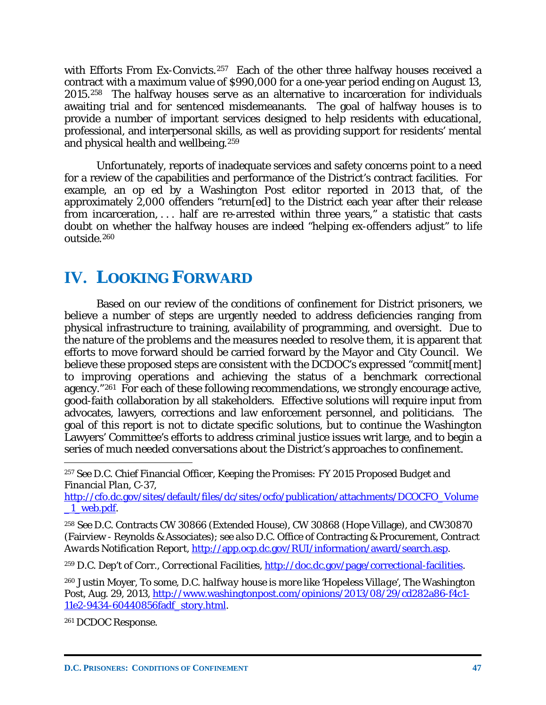with Efforts From Ex-Convicts.<sup>257</sup> Each of the other three halfway houses received a contract with a maximum value of \$990,000 for a one-year period ending on August 13, 2015.[258](#page-48-1) The halfway houses serve as an alternative to incarceration for individuals awaiting trial and for sentenced misdemeanants. The goal of halfway houses is to provide a number of important services designed to help residents with educational, professional, and interpersonal skills, as well as providing support for residents' mental and physical health and wellbeing.[259](#page-48-2)

Unfortunately, reports of inadequate services and safety concerns point to a need for a review of the capabilities and performance of the District's contract facilities. For example, an op ed by a Washington Post editor reported in 2013 that, of the approximately 2,000 offenders "return[ed] to the District each year after their release from incarceration, . . . half are re-arrested within three years," a statistic that casts doubt on whether the halfway houses are indeed "helping ex-offenders adjust" to life outside.[260](#page-48-3)

# **IV. LOOKING FORWARD**

Based on our review of the conditions of confinement for District prisoners, we believe a number of steps are urgently needed to address deficiencies ranging from physical infrastructure to training, availability of programming, and oversight. Due to the nature of the problems and the measures needed to resolve them, it is apparent that efforts to move forward should be carried forward by the Mayor and City Council. We believe these proposed steps are consistent with the DCDOC's expressed "commit[ment] to improving operations and achieving the status of a benchmark correctional agency."[261](#page-48-4) For each of these following recommendations, we strongly encourage active, good-faith collaboration by all stakeholders. Effective solutions will require input from advocates, lawyers, corrections and law enforcement personnel, and politicians. The goal of this report is not to dictate specific solutions, but to continue the Washington Lawyers' Committee's efforts to address criminal justice issues writ large, and to begin a series of much needed conversations about the District's approaches to confinement.

<span id="page-48-0"></span><sup>257</sup> *See* D.C. Chief Financial Officer, *Keeping the Promises: FY 2015 Proposed Budget and Financial Plan*, C-37,

[http://cfo.dc.gov/sites/default/files/dc/sites/ocfo/publication/attachments/DCOCFO\\_Volume](http://cfo.dc.gov/sites/default/files/dc/sites/ocfo/publication/attachments/DCOCFO_Volume_1_web.pdf) 1 web.pdf.

<span id="page-48-1"></span><sup>258</sup> *See* D.C. Contracts CW 30866 (Extended House), CW 30868 (Hope Village), and CW30870 (Fairview - Reynolds & Associates); *see also* D.C. Office of Contracting & Procurement, *Contract Awards Notification Report*, [http://app.ocp.dc.gov/RUI/information/award/search.asp.](http://app.ocp.dc.gov/RUI/information/award/search.asp)

<span id="page-48-2"></span><sup>259</sup> D.C. Dep't of Corr., *Correctional Facilities*[, http://doc.dc.gov/page/correctional-facilities.](http://doc.dc.gov/page/correctional-facilities)

<span id="page-48-3"></span><sup>260</sup> Justin Moyer, *To some, D.C. halfway house is more like 'Hopeless Village'*, The Washington Post, Aug. 29, 2013, [http://www.washingtonpost.com/opinions/2013/08/29/cd282a86-f4c1-](http://www.washingtonpost.com/opinions/2013/08/29/cd282a86-f4c1-11e2-9434-60440856fadf_story.html) [11e2-9434-60440856fadf\\_story.html.](http://www.washingtonpost.com/opinions/2013/08/29/cd282a86-f4c1-11e2-9434-60440856fadf_story.html)

<span id="page-48-4"></span><sup>261</sup> DCDOC Response.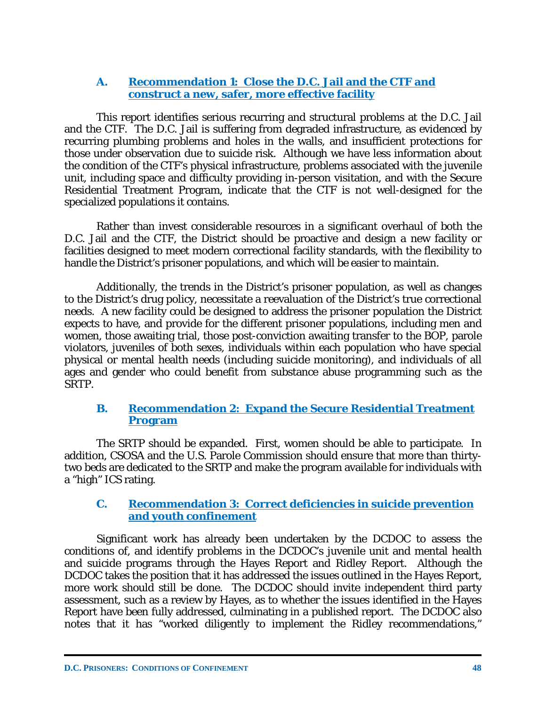## **A. Recommendation 1: Close the D.C. Jail and the CTF and construct a new, safer, more effective facility**

This report identifies serious recurring and structural problems at the D.C. Jail and the CTF. The D.C. Jail is suffering from degraded infrastructure, as evidenced by recurring plumbing problems and holes in the walls, and insufficient protections for those under observation due to suicide risk. Although we have less information about the condition of the CTF's physical infrastructure, problems associated with the juvenile unit, including space and difficulty providing in-person visitation, and with the Secure Residential Treatment Program, indicate that the CTF is not well-designed for the specialized populations it contains.

Rather than invest considerable resources in a significant overhaul of both the D.C. Jail and the CTF, the District should be proactive and design a new facility or facilities designed to meet modern correctional facility standards, with the flexibility to handle the District's prisoner populations, and which will be easier to maintain.

Additionally, the trends in the District's prisoner population, as well as changes to the District's drug policy, necessitate a reevaluation of the District's true correctional needs. A new facility could be designed to address the prisoner population the District expects to have, and provide for the different prisoner populations, including men and women, those awaiting trial, those post-conviction awaiting transfer to the BOP, parole violators, juveniles of both sexes, individuals within each population who have special physical or mental health needs (including suicide monitoring), and individuals of all ages and gender who could benefit from substance abuse programming such as the SRTP.

## **B. Recommendation 2: Expand the Secure Residential Treatment Program**

The SRTP should be expanded. First, women should be able to participate. In addition, CSOSA and the U.S. Parole Commission should ensure that more than thirtytwo beds are dedicated to the SRTP and make the program available for individuals with a "high" ICS rating.

### **C. Recommendation 3: Correct deficiencies in suicide prevention and youth confinement**

Significant work has already been undertaken by the DCDOC to assess the conditions of, and identify problems in the DCDOC's juvenile unit and mental health and suicide programs through the Hayes Report and Ridley Report. Although the DCDOC takes the position that it has addressed the issues outlined in the Hayes Report, more work should still be done. The DCDOC should invite independent third party assessment, such as a review by Hayes, as to whether the issues identified in the Hayes Report have been fully addressed, culminating in a published report. The DCDOC also notes that it has "worked diligently to implement the Ridley recommendations,"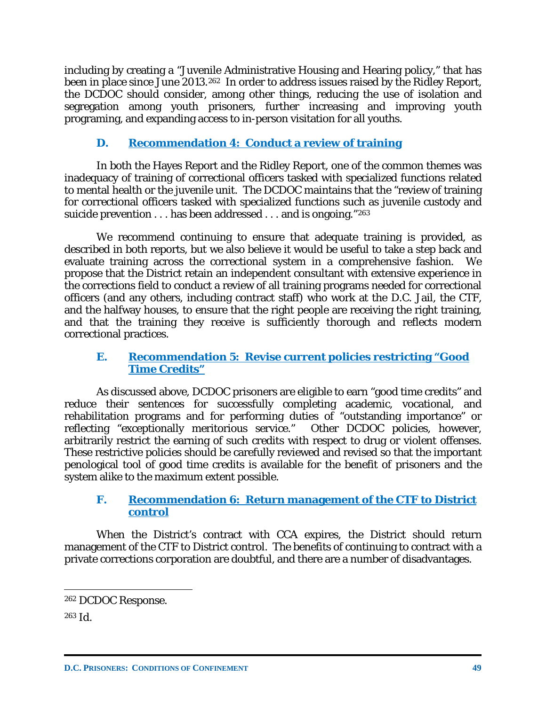including by creating a "Juvenile Administrative Housing and Hearing policy," that has been in place since June 2013.<sup>262</sup> In order to address issues raised by the Ridley Report, the DCDOC should consider, among other things, reducing the use of isolation and segregation among youth prisoners, further increasing and improving youth programing, and expanding access to in-person visitation for all youths.

# **D. Recommendation 4: Conduct a review of training**

In both the Hayes Report and the Ridley Report, one of the common themes was inadequacy of training of correctional officers tasked with specialized functions related to mental health or the juvenile unit. The DCDOC maintains that the "review of training for correctional officers tasked with specialized functions such as juvenile custody and suicide prevention . . . has been addressed . . . and is ongoing."[263](#page-50-1)

We recommend continuing to ensure that adequate training is provided, as described in both reports, but we also believe it would be useful to take a step back and evaluate training across the correctional system in a comprehensive fashion. We propose that the District retain an independent consultant with extensive experience in the corrections field to conduct a review of all training programs needed for correctional officers (and any others, including contract staff) who work at the D.C. Jail, the CTF, and the halfway houses, to ensure that the right people are receiving the right training, and that the training they receive is sufficiently thorough and reflects modern correctional practices.

## **E. Recommendation 5: Revise current policies restricting "Good Time Credits"**

As discussed above, DCDOC prisoners are eligible to earn "good time credits" and reduce their sentences for successfully completing academic, vocational, and rehabilitation programs and for performing duties of "outstanding importance" or reflecting "exceptionally meritorious service." Other DCDOC policies, however, arbitrarily restrict the earning of such credits with respect to drug or violent offenses. These restrictive policies should be carefully reviewed and revised so that the important penological tool of good time credits is available for the benefit of prisoners and the system alike to the maximum extent possible.

## **F. Recommendation 6: Return management of the CTF to District control**

When the District's contract with CCA expires, the District should return management of the CTF to District control. The benefits of continuing to contract with a private corrections corporation are doubtful, and there are a number of disadvantages.

<span id="page-50-1"></span><sup>263</sup> *Id.*

<span id="page-50-0"></span> $\overline{a}$ <sup>262</sup> DCDOC Response.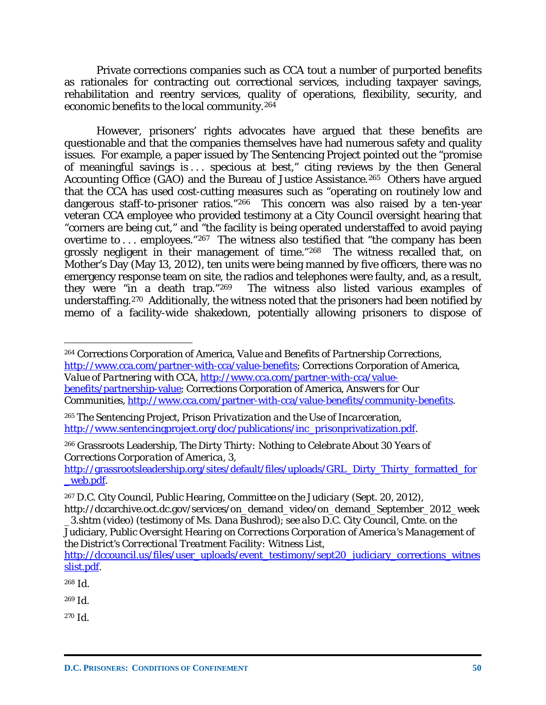Private corrections companies such as CCA tout a number of purported benefits as rationales for contracting out correctional services, including taxpayer savings, rehabilitation and reentry services, quality of operations, flexibility, security, and economic benefits to the local community.[264](#page-51-0) 

However, prisoners' rights advocates have argued that these benefits are questionable and that the companies themselves have had numerous safety and quality issues. For example, a paper issued by The Sentencing Project pointed out the "promise of meaningful savings is . . . specious at best," citing reviews by the then General Accounting Office (GAO) and the Bureau of Justice Assistance.[265](#page-51-1) Others have argued that the CCA has used cost-cutting measures such as "operating on routinely low and dangerous staff-to-prisoner ratios."[266](#page-51-2) This concern was also raised by a ten-year veteran CCA employee who provided testimony at a City Council oversight hearing that "corners are being cut," and "the facility is being operated understaffed to avoid paying overtime to ... employees."<sup>267</sup> The witness also testified that "the company has been grossly negligent in their management of time."[268](#page-51-4) The witness recalled that, on Mother's Day (May 13, 2012), ten units were being manned by five officers, there was no emergency response team on site, the radios and telephones were faulty, and, as a result, they were "in a death trap."<sup>269</sup> The witness also listed various examples of The witness also listed various examples of understaffing.[270](#page-51-6) Additionally, the witness noted that the prisoners had been notified by memo of a facility-wide shakedown, potentially allowing prisoners to dispose of

<span id="page-51-1"></span><sup>265</sup> The Sentencing Project, *Prison Privatization and the Use of Incarceration*, [http://www.sentencingproject.org/doc/publications/inc\\_prisonprivatization.pdf.](http://www.sentencingproject.org/doc/publications/inc_prisonprivatization.pdf)

<span id="page-51-2"></span><sup>266</sup> Grassroots Leadership, *The Dirty Thirty: Nothing to Celebrate About 30 Years of Corrections Corporation of America*, 3,

 $\overline{a}$ 

<span id="page-51-5"></span><sup>269</sup> *Id.*

<span id="page-51-6"></span><sup>270</sup> *Id.*

<span id="page-51-0"></span><sup>264</sup> Corrections Corporation of America, *Value and Benefits of Partnership Corrections*, [http://www.cca.com/partner-with-cca/value-benefits;](http://www.cca.com/partner-with-cca/value-benefits) Corrections Corporation of America, *Value of Partnering with CCA*, [http://www.cca.com/partner-with-cca/value](http://www.cca.com/partner-with-cca/value-benefits/partnership-value)[benefits/partnership-value;](http://www.cca.com/partner-with-cca/value-benefits/partnership-value) Corrections Corporation of America, *Answers for Our Communities*, [http://www.cca.com/partner-with-cca/value-benefits/community-benefits.](http://www.cca.com/partner-with-cca/value-benefits/community-benefits)

[http://grassrootsleadership.org/sites/default/files/uploads/GRL\\_Dirty\\_Thirty\\_formatted\\_for](http://grassrootsleadership.org/sites/default/files/uploads/GRL_Dirty_Thirty_formatted_for_web.pdf) [\\_web.pdf.](http://grassrootsleadership.org/sites/default/files/uploads/GRL_Dirty_Thirty_formatted_for_web.pdf)

<span id="page-51-3"></span><sup>267</sup> D.C. City Council, *Public Hearing, Committee on the Judiciary* (Sept. 20, 2012),

http://dccarchive.oct.dc.gov/services/on\_demand\_video/on\_demand\_September\_2012\_week \_3.shtm (video) (testimony of Ms. Dana Bushrod); *see also* D.C. City Council, Cmte. on the

Judiciary, *Public Oversight Hearing on Corrections Corporation of America's Management of the District's Correctional Treatment Facility: Witness List*,

[http://dccouncil.us/files/user\\_uploads/event\\_testimony/sept20\\_judiciary\\_corrections\\_witnes](http://dccouncil.us/files/user_uploads/event_testimony/sept20_judiciary_corrections_witnesslist.pdf) [slist.pdf.](http://dccouncil.us/files/user_uploads/event_testimony/sept20_judiciary_corrections_witnesslist.pdf)

<span id="page-51-4"></span><sup>268</sup> *Id.*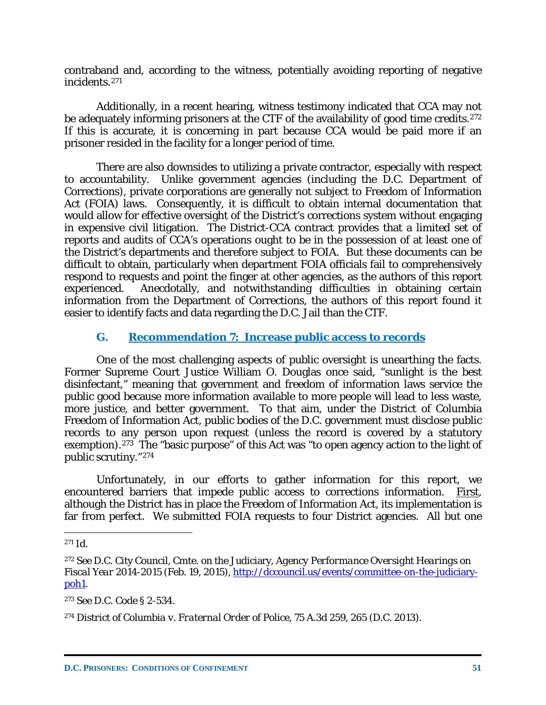contraband and, according to the witness, potentially avoiding reporting of negative incidents.[271](#page-52-0)

Additionally, in a recent hearing, witness testimony indicated that CCA may not be adequately informing prisoners at the CTF of the availability of good time credits.<sup>[272](#page-52-1)</sup> If this is accurate, it is concerning in part because CCA would be paid more if an prisoner resided in the facility for a longer period of time.

There are also downsides to utilizing a private contractor, especially with respect to accountability. Unlike government agencies (including the D.C. Department of Corrections), private corporations are generally not subject to Freedom of Information Act (FOIA) laws. Consequently, it is difficult to obtain internal documentation that would allow for effective oversight of the District's corrections system without engaging in expensive civil litigation. The District-CCA contract provides that a limited set of reports and audits of CCA's operations ought to be in the possession of at least one of the District's departments and therefore subject to FOIA. But these documents can be difficult to obtain, particularly when department FOIA officials fail to comprehensively respond to requests and point the finger at other agencies, as the authors of this report experienced. Anecdotally, and notwithstanding difficulties in obtaining certain information from the Department of Corrections, the authors of this report found it easier to identify facts and data regarding the D.C. Jail than the CTF.

# **G. Recommendation 7: Increase public access to records**

One of the most challenging aspects of public oversight is unearthing the facts. Former Supreme Court Justice William O. Douglas once said, "sunlight is the best disinfectant," meaning that government and freedom of information laws service the public good because more information available to more people will lead to less waste, more justice, and better government. To that aim, under the District of Columbia Freedom of Information Act, public bodies of the D.C. government must disclose public records to any person upon request (unless the record is covered by a statutory exemption).<sup>[273](#page-52-2)</sup> The "basic purpose" of this Act was "to open agency action to the light of public scrutiny."[274](#page-52-3)

Unfortunately, in our efforts to gather information for this report, we encountered barriers that impede public access to corrections information. First, although the District has in place the Freedom of Information Act, its implementation is far from perfect. We submitted FOIA requests to four District agencies. All but one

<span id="page-52-0"></span><sup>271</sup> *Id.*

<span id="page-52-1"></span><sup>272</sup> *See* D.C. City Council, Cmte. on the Judiciary, *Agency Performance Oversight Hearings on Fiscal Year 2014-2015* (Feb. 19, 2015), [http://dccouncil.us/events/committee-on-the-judiciary](http://dccouncil.us/events/committee-on-the-judiciary-poh1)[poh1.](http://dccouncil.us/events/committee-on-the-judiciary-poh1)

<span id="page-52-2"></span><sup>273</sup> See D.C. Code § 2-534.

<span id="page-52-3"></span><sup>274</sup> *District of Columbia v. Fraternal Order of Police*, 75 A.3d 259, 265 (D.C. 2013).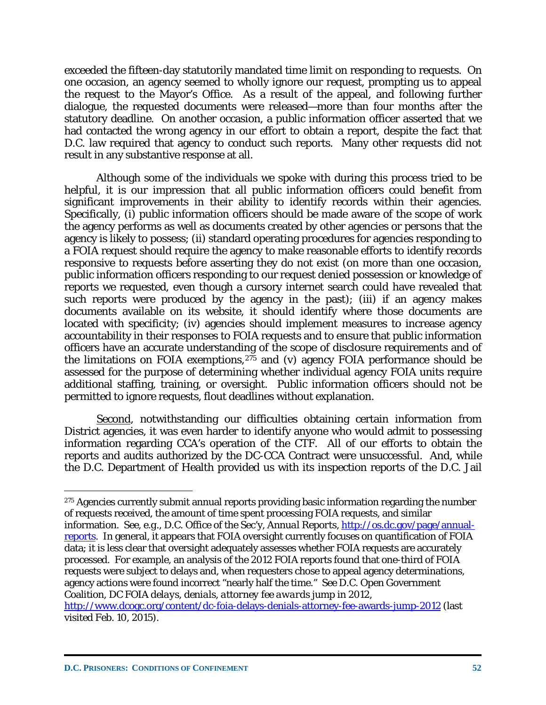exceeded the fifteen-day statutorily mandated time limit on responding to requests. On one occasion, an agency seemed to wholly ignore our request, prompting us to appeal the request to the Mayor's Office. As a result of the appeal, and following further dialogue, the requested documents were released—more than four months after the statutory deadline. On another occasion, a public information officer asserted that we had contacted the wrong agency in our effort to obtain a report, despite the fact that D.C. law required that agency to conduct such reports. Many other requests did not result in any substantive response at all.

Although some of the individuals we spoke with during this process tried to be helpful, it is our impression that all public information officers could benefit from significant improvements in their ability to identify records within their agencies. Specifically, (i) public information officers should be made aware of the scope of work the agency performs as well as documents created by other agencies or persons that the agency is likely to possess; (ii) standard operating procedures for agencies responding to a FOIA request should require the agency to make reasonable efforts to identify records responsive to requests *before* asserting they do not exist (on more than one occasion, public information officers responding to our request denied possession or knowledge of reports we requested, even though a cursory internet search could have revealed that such reports were produced by the agency in the past); (iii) if an agency makes documents available on its website, it should identify where those documents are located with specificity; (iv) agencies should implement measures to increase agency accountability in their responses to FOIA requests and to ensure that public information officers have an accurate understanding of the scope of disclosure requirements and of the limitations on FOIA exemptions,  $275$  and (v) agency FOIA performance should be assessed for the purpose of determining whether individual agency FOIA units require additional staffing, training, or oversight. Public information officers should not be permitted to ignore requests, flout deadlines without explanation.

Second, notwithstanding our difficulties obtaining certain information from District agencies, it was even harder to identify anyone who would admit to possessing information regarding CCA's operation of the CTF. All of our efforts to obtain the reports and audits authorized by the DC-CCA Contract were unsuccessful. And, while the D.C. Department of Health provided us with its inspection reports of the D.C. Jail

visited Feb. 10, 2015).

<span id="page-53-0"></span><sup>&</sup>lt;sup>275</sup> Agencies currently submit annual reports providing basic information regarding the number of requests received, the amount of time spent processing FOIA requests, and similar information. *See, e.g.*, D.C. Office of the Sec'y, *Annual Reports*, [http://os.dc.gov/page/annual](http://os.dc.gov/page/annual-reports)[reports.](http://os.dc.gov/page/annual-reports) In general, it appears that FOIA oversight currently focuses on quantification of FOIA data; it is less clear that oversight adequately assesses whether FOIA requests are accurately processed. For example, an analysis of the 2012 FOIA reports found that one-third of FOIA requests were subject to delays and, when requesters chose to appeal agency determinations, agency actions were found incorrect "nearly half the time." *See* D.C. Open Government Coalition, *DC FOIA delays, denials, attorney fee awards jump in 2012*, <http://www.dcogc.org/content/dc-foia-delays-denials-attorney-fee-awards-jump-2012> (last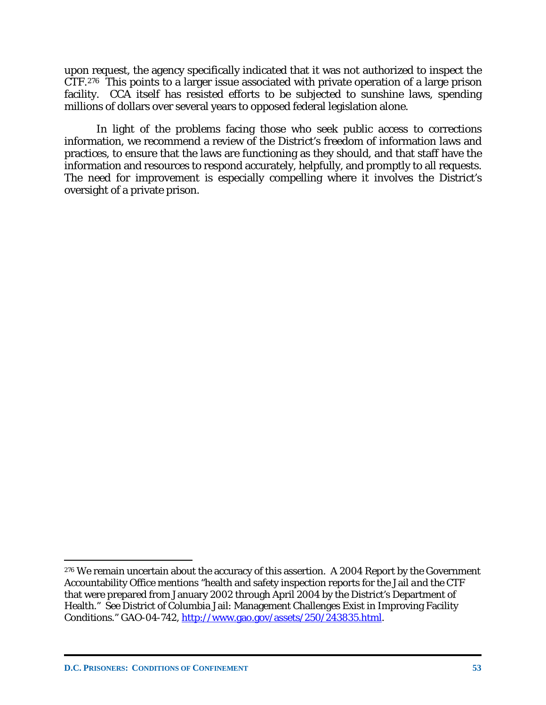upon request, the agency specifically indicated that it was not authorized to inspect the CTF.[276](#page-54-0) This points to a larger issue associated with private operation of a large prison facility. CCA itself has resisted efforts to be subjected to sunshine laws, spending millions of dollars over several years to opposed federal legislation alone.

In light of the problems facing those who seek public access to corrections information, we recommend a review of the District's freedom of information laws and practices, to ensure that the laws are functioning as they should, and that staff have the information and resources to respond accurately, helpfully, and promptly to all requests. The need for improvement is especially compelling where it involves the District's oversight of a private prison.

<span id="page-54-0"></span><sup>&</sup>lt;sup>276</sup> We remain uncertain about the accuracy of this assertion. A 2004 Report by the Government Accountability Office mentions "health and safety inspection reports for the Jail *and the CTF* that were prepared from January 2002 through April 2004 by the District's Department of Health." *See* District of Columbia Jail: Management Challenges Exist in Improving Facility Conditions." GAO-04-742, [http://www.gao.gov/assets/250/243835.html.](http://www.gao.gov/assets/250/243835.html)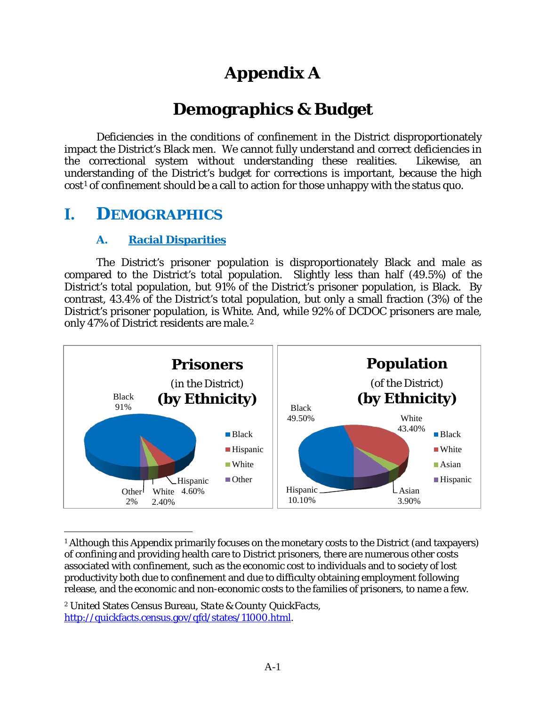# **Appendix A**

# **Demographics & Budget**

Deficiencies in the conditions of confinement in the District disproportionately impact the District's Black men. We cannot fully understand and correct deficiencies in the correctional system without understanding these realities. Likewise, an understanding of the District's budget for corrections is important, because the high cost[1](#page-55-0) of confinement should be a call to action for those unhappy with the status quo.

# **I. DEMOGRAPHICS**

 $\overline{a}$ 

# **A. Racial Disparities**

The District's prisoner population is disproportionately Black and male as compared to the District's total population. Slightly less than half (49.5%) of the District's total population, but 91% of the District's prisoner population, is Black. By contrast, 43.4% of the District's total population, but only a small fraction (3%) of the District's prisoner population, is White. And, while 92% of DCDOC prisoners are male, only 47% of District residents are male.[2](#page-55-1)



<span id="page-55-0"></span><sup>&</sup>lt;sup>1</sup> Although this Appendix primarily focuses on the monetary costs to the District (and taxpayers) of confining and providing health care to District prisoners, there are numerous other costs associated with confinement, such as the economic cost to individuals and to society of lost productivity both due to confinement and due to difficulty obtaining employment following release, and the economic and non-economic costs to the families of prisoners, to name a few.

<span id="page-55-1"></span><sup>2</sup> United States Census Bureau, *State & County QuickFacts*, [http://quickfacts.census.gov/qfd/states/11000.html.](http://quickfacts.census.gov/qfd/states/11000.html)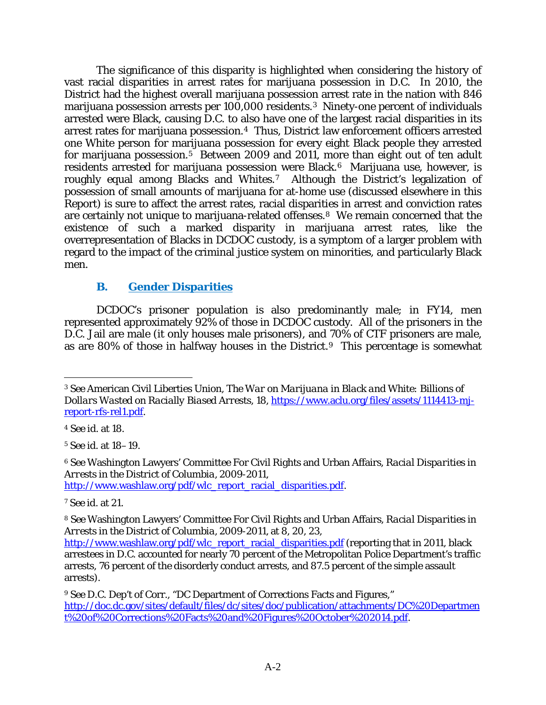The significance of this disparity is highlighted when considering the history of vast racial disparities in arrest rates for marijuana possession in D.C. In 2010, the District had the highest overall marijuana possession arrest rate in the nation with 846 marijuana possession arrests per 100,000 residents.[3](#page-56-0) Ninety-one percent of individuals arrested were Black, causing D.C. to also have one of the largest racial disparities in its arrest rates for marijuana possession.[4](#page-56-1) Thus, District law enforcement officers arrested one White person for marijuana possession for every eight Black people they arrested for marijuana possession.<sup>5</sup> Between 2009 and 2011, more than eight out of ten adult residents arrested for marijuana possession were Black.[6](#page-56-3) Marijuana use, however, is roughly equal among Blacks and Whites.[7](#page-56-4) Although the District's legalization of possession of small amounts of marijuana for at-home use (discussed elsewhere in this Report) is sure to affect the arrest rates, racial disparities in arrest and conviction rates are certainly not unique to marijuana-related offenses.[8](#page-56-5) We remain concerned that the existence of such a marked disparity in marijuana arrest rates, like the overrepresentation of Blacks in DCDOC custody, is a symptom of a larger problem with regard to the impact of the criminal justice system on minorities, and particularly Black men.

# **B. Gender Disparities**

DCDOC's prisoner population is also predominantly male; in FY14, men represented approximately 92% of those in DCDOC custody. All of the prisoners in the D.C. Jail are male (it only houses male prisoners), and 70% of CTF prisoners are male, as are 80% of those in halfway houses in the District.[9](#page-56-6) This percentage is somewhat

 $\overline{a}$ 

<span id="page-56-2"></span><sup>5</sup> *See id.* at 18–19.

<span id="page-56-3"></span><sup>6</sup> *See* Washington Lawyers' Committee For Civil Rights and Urban Affairs, *Racial Disparities in Arrests in the District of Columbia*, *2009-2011,* [http://www.washlaw.org/pdf/wlc\\_report\\_racial\\_disparities.pdf.](http://www.washlaw.org/pdf/wlc_report_racial_disparities.pdf)

<span id="page-56-4"></span><sup>7</sup> *See id*. at 21.

<span id="page-56-0"></span><sup>3</sup> *See* American Civil Liberties Union, *The War on Marijuana in Black and White: Billions of Dollars Wasted on Racially Biased Arrests*, 18, [https://www.aclu.org/files/assets/1114413-mj](https://www.aclu.org/files/assets/1114413-mj-report-rfs-rel1.pdf)[report-rfs-rel1.pdf.](https://www.aclu.org/files/assets/1114413-mj-report-rfs-rel1.pdf)

<span id="page-56-1"></span><sup>4</sup> *See id.* at 18.

<span id="page-56-5"></span><sup>8</sup> *See* Washington Lawyers' Committee For Civil Rights and Urban Affairs, *Racial Disparities in Arrests in the District of Columbia*, *2009-2011,* at 8, 20, 23,

[http://www.washlaw.org/pdf/wlc\\_report\\_racial\\_disparities.pdf](http://www.washlaw.org/pdf/wlc_report_racial_disparities.pdf) (reporting that in 2011, black arrestees in D.C. accounted for nearly 70 percent of the Metropolitan Police Department's traffic arrests, 76 percent of the disorderly conduct arrests, and 87.5 percent of the simple assault arrests).

<span id="page-56-6"></span><sup>9</sup> *See* D.C. Dep't of Corr., "DC Department of Corrections Facts and Figures," [http://doc.dc.gov/sites/default/files/dc/sites/doc/publication/attachments/DC%20Departmen](http://doc.dc.gov/sites/default/files/dc/sites/doc/publication/attachments/DC%20Department%20of%20Corrections%20Facts%20and%20Figures%20October%202014.pdf) [t%20of%20Corrections%20Facts%20and%20Figures%20October%202014.pdf.](http://doc.dc.gov/sites/default/files/dc/sites/doc/publication/attachments/DC%20Department%20of%20Corrections%20Facts%20and%20Figures%20October%202014.pdf)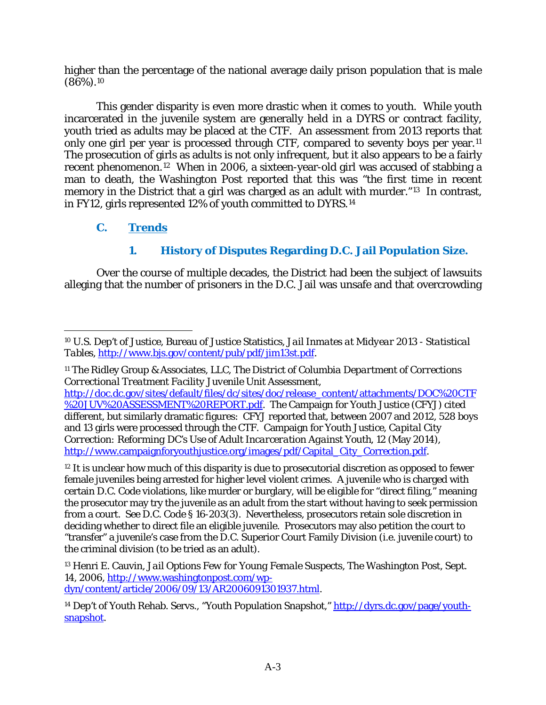higher than the percentage of the national average daily prison population that is male  $(86\%)$ .<sup>10</sup>

This gender disparity is even more drastic when it comes to youth. While youth incarcerated in the juvenile system are generally held in a DYRS or contract facility, youth tried as adults may be placed at the CTF. An assessment from 2013 reports that only one girl per year is processed through CTF, compared to seventy boys per year.[11](#page-57-1) The prosecution of girls as adults is not only infrequent, but it also appears to be a fairly recent phenomenon.[12](#page-57-2) When in 2006, a sixteen-year-old girl was accused of stabbing a man to death, the Washington Post reported that this was "the first time in recent memory in the District that a girl was charged as an adult with murder."<sup>13</sup> In contrast, in FY12, girls represented 12% of youth committed to DYRS.[14](#page-57-4) 

# **C. Trends**

# **1. History of Disputes Regarding D.C. Jail Population Size.**

Over the course of multiple decades, the District had been the subject of lawsuits alleging that the number of prisoners in the D.C. Jail was unsafe and that overcrowding

<span id="page-57-0"></span> $\overline{a}$ <sup>10</sup> U.S. Dep't of Justice, Bureau of Justice Statistics, *Jail Inmates at Midyear 2013 - Statistical Tables*, [http://www.bjs.gov/content/pub/pdf/jim13st.pdf.](http://www.bjs.gov/content/pub/pdf/jim13st.pdf)

<span id="page-57-1"></span><sup>11</sup> The Ridley Group & Associates, LLC, *The District of Columbia Department of Corrections Correctional Treatment Facility Juvenile Unit Assessment*,

[http://doc.dc.gov/sites/default/files/dc/sites/doc/release\\_content/attachments/DOC%20CTF](http://doc.dc.gov/sites/default/files/dc/sites/doc/release_content/attachments/DOC%20CTF%20JUV%20ASSESSMENT%20REPORT.pdf) [%20JUV%20ASSESSMENT%20REPORT.pdf.](http://doc.dc.gov/sites/default/files/dc/sites/doc/release_content/attachments/DOC%20CTF%20JUV%20ASSESSMENT%20REPORT.pdf) The Campaign for Youth Justice (CFYJ) cited different, but similarly dramatic figures: CFYJ reported that, between 2007 and 2012, 528 boys and 13 girls were processed through the CTF. Campaign for Youth Justice, *Capital City Correction: Reforming DC's Use of Adult Incarceration Against Youth*, 12 (May 2014), [http://www.campaignforyouthjustice.org/images/pdf/Capital\\_City\\_Correction.pdf.](http://www.campaignforyouthjustice.org/images/pdf/Capital_City_Correction.pdf)

<span id="page-57-2"></span><sup>&</sup>lt;sup>12</sup> It is unclear how much of this disparity is due to prosecutorial discretion as opposed to fewer female juveniles being arrested for higher level violent crimes. A juvenile who is charged with certain D.C. Code violations, like murder or burglary, will be eligible for "direct filing," meaning the prosecutor may try the juvenile as an adult from the start without having to seek permission from a court. *See* D.C. Code § 16-203(3). Nevertheless, prosecutors retain sole discretion in deciding whether to direct file an eligible juvenile. Prosecutors may also petition the court to "transfer" a juvenile's case from the D.C. Superior Court Family Division (i.e. juvenile court) to the criminal division (to be tried as an adult).

<span id="page-57-3"></span><sup>13</sup> Henri E. Cauvin, *Jail Options Few for Young Female Suspects*, The Washington Post, Sept. 14, 2006, [http://www.washingtonpost.com/wp](http://www.washingtonpost.com/wp-dyn/content/article/2006/09/13/AR2006091301937.html)[dyn/content/article/2006/09/13/AR2006091301937.html.](http://www.washingtonpost.com/wp-dyn/content/article/2006/09/13/AR2006091301937.html)

<span id="page-57-4"></span><sup>&</sup>lt;sup>14</sup> Dep't of Youth Rehab. Servs., "Youth Population Snapshot," [http://dyrs.dc.gov/page/youth](http://dyrs.dc.gov/page/youth-snapshot)[snapshot.](http://dyrs.dc.gov/page/youth-snapshot)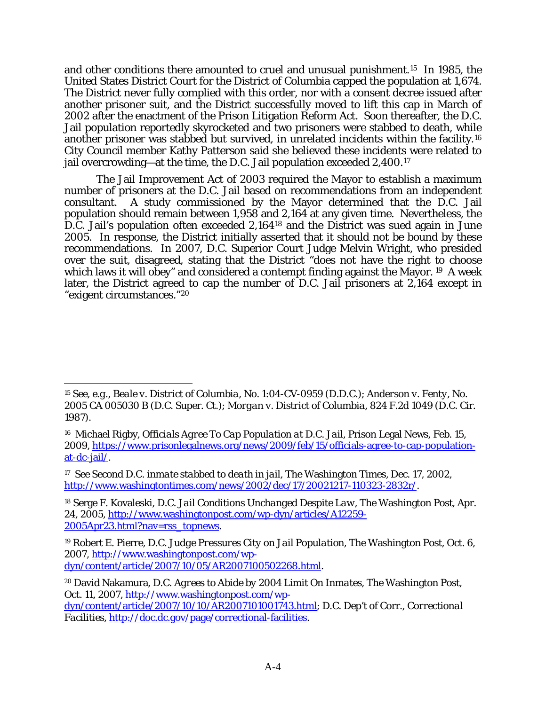and other conditions there amounted to cruel and unusual punishment.[15](#page-58-0) In 1985, the United States District Court for the District of Columbia capped the population at 1,674. The District never fully complied with this order, nor with a consent decree issued after another prisoner suit, and the District successfully moved to lift this cap in March of 2002 after the enactment of the Prison Litigation Reform Act. Soon thereafter, the D.C. Jail population reportedly skyrocketed and two prisoners were stabbed to death, while another prisoner was stabbed but survived, in unrelated incidents within the facility.[16](#page-58-1) City Council member Kathy Patterson said she believed these incidents were related to jail overcrowding—at the time, the D.C. Jail population exceeded 2,400.[17](#page-58-2)

The Jail Improvement Act of 2003 required the Mayor to establish a maximum number of prisoners at the D.C. Jail based on recommendations from an independent consultant. A study commissioned by the Mayor determined that the D.C. Jail population should remain between 1,958 and 2,164 at any given time. Nevertheless, the D.C. Jail's population often exceeded 2,164[18](#page-58-3) and the District was sued again in June 2005. In response, the District initially asserted that it should not be bound by these recommendations. In 2007, D.C. Superior Court Judge Melvin Wright, who presided over the suit, disagreed, stating that the District "does not have the right to choose which laws it will obey" and considered a contempt finding against the Mayor. <sup>[19](#page-58-4)</sup> A week later, the District agreed to cap the number of D.C. Jail prisoners at 2,164 except in "exigent circumstances."[20](#page-58-5)

 $\overline{a}$ 

<span id="page-58-3"></span><sup>18</sup> Serge F. Kovaleski, *D.C. Jail Conditions Unchanged Despite Law*, The Washington Post, Apr. 24, 2005, [http://www.washingtonpost.com/wp-dyn/articles/A12259-](http://www.washingtonpost.com/wp-dyn/articles/A12259-2005Apr23.html?nav=rss_topnews) [2005Apr23.html?nav=rss\\_topnews.](http://www.washingtonpost.com/wp-dyn/articles/A12259-2005Apr23.html?nav=rss_topnews)

<span id="page-58-0"></span><sup>15</sup> *See, e.g.*, *Beale v. District of Columbia*, No. 1:04-CV-0959 (D.D.C.); *Anderson v. Fenty*, No. 2005 CA 005030 B (D.C. Super. Ct.); *Morgan v. District of Columbia*, 824 F.2d 1049 (D.C. Cir. 1987).

<span id="page-58-1"></span><sup>16</sup> Michael Rigby, *Officials Agree To Cap Population at D.C. Jail*, Prison Legal News, Feb. 15, 2009, [https://www.prisonlegalnews.org/news/2009/feb/15/officials-agree-to-cap-population](https://www.prisonlegalnews.org/news/2009/feb/15/officials-agree-to-cap-population-at-dc-jail/)[at-dc-jail/.](https://www.prisonlegalnews.org/news/2009/feb/15/officials-agree-to-cap-population-at-dc-jail/)

<span id="page-58-2"></span><sup>17</sup> *See Second D.C. inmate stabbed to death in jail*, The Washington Times, Dec. 17, 2002, [http://www.washingtontimes.com/news/2002/dec/17/20021217-110323-2832r/.](http://www.washingtontimes.com/news/2002/dec/17/20021217-110323-2832r/)

<span id="page-58-4"></span><sup>19</sup> Robert E. Pierre, *D.C. Judge Pressures City on Jail Population*, The Washington Post, Oct. 6, 2007, [http://www.washingtonpost.com/wp](http://www.washingtonpost.com/wp-dyn/content/article/2007/10/05/AR2007100502268.html)[dyn/content/article/2007/10/05/AR2007100502268.html.](http://www.washingtonpost.com/wp-dyn/content/article/2007/10/05/AR2007100502268.html)

<span id="page-58-5"></span><sup>20</sup> David Nakamura, *D.C. Agrees to Abide by 2004 Limit On Inmates*, The Washington Post, Oct. 11, 2007, [http://www.washingtonpost.com/wp-](http://www.washingtonpost.com/wp-dyn/content/article/2007/10/10/AR2007101001743.html)

[dyn/content/article/2007/10/10/AR2007101001743.html;](http://www.washingtonpost.com/wp-dyn/content/article/2007/10/10/AR2007101001743.html) D.C. Dep't of Corr., *Correctional Facilities*, [http://doc.dc.gov/page/correctional-facilities.](http://doc.dc.gov/page/correctional-facilities)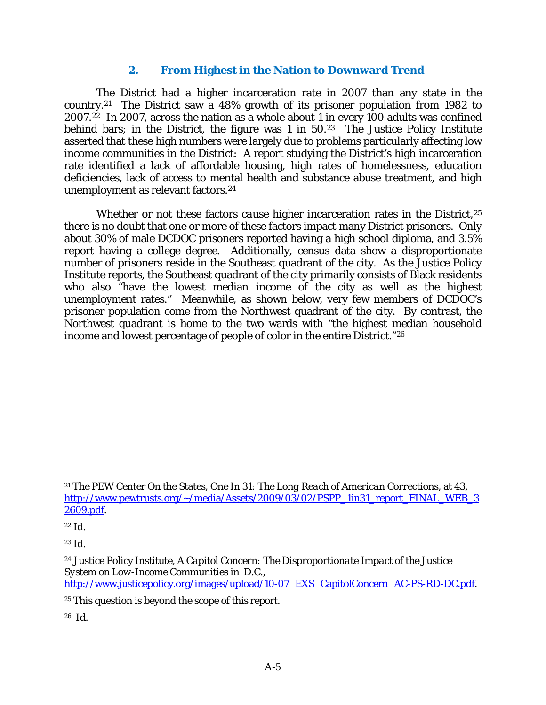#### **2. From Highest in the Nation to Downward Trend**

The District had a higher incarceration rate in 2007 than any state in the country.[21](#page-59-0) The District saw a 48% growth of its prisoner population from 1982 to 2007.<sup>[22](#page-59-1)</sup> In 2007, across the nation as a whole about 1 in every 100 adults was confined behind bars; in the District, the figure was 1 in 50.<sup>[23](#page-59-2)</sup> The Justice Policy Institute asserted that these high numbers were largely due to problems particularly affecting low income communities in the District: A report studying the District's high incarceration rate identified a lack of affordable housing, high rates of homelessness, education deficiencies, lack of access to mental health and substance abuse treatment, and high unemployment as relevant factors.[24](#page-59-3) 

Whether or not these factors *cause* higher incarceration rates in the District,<sup>[25](#page-59-4)</sup> there is no doubt that one or more of these factors impact many District prisoners. Only about 30% of male DCDOC prisoners reported having a high school diploma, and 3.5% report having a college degree. Additionally, census data show a disproportionate number of prisoners reside in the Southeast quadrant of the city. As the Justice Policy Institute reports, the Southeast quadrant of the city primarily consists of Black residents who also "have the lowest median income of the city as well as the highest unemployment rates." Meanwhile, as shown below, very few members of DCDOC's prisoner population come from the Northwest quadrant of the city. By contrast, the Northwest quadrant is home to the two wards with "the highest median household income and lowest percentage of people of color in the entire District."[26](#page-59-5)

 $\overline{a}$ 

<span id="page-59-5"></span>26 *Id.*

<span id="page-59-0"></span><sup>21</sup> The PEW Center On the States, *One In 31: The Long Reach of American Corrections*, at 43, [http://www.pewtrusts.org/~/media/Assets/2009/03/02/PSPP\\_1in31\\_report\\_FINAL\\_WEB\\_3](http://www.pewtrusts.org/~/media/Assets/2009/03/02/PSPP_1in31_report_FINAL_WEB_32609.pdf) [2609.pdf.](http://www.pewtrusts.org/~/media/Assets/2009/03/02/PSPP_1in31_report_FINAL_WEB_32609.pdf)

<span id="page-59-1"></span><sup>22</sup> *Id.*

<span id="page-59-2"></span><sup>23</sup> *Id.*

<span id="page-59-3"></span><sup>24</sup> Justice Policy Institute, *A Capitol Concern: The Disproportionate Impact of the Justice System on Low-Income Communities in D.C.*, [http://www.justicepolicy.org/images/upload/10-07\\_EXS\\_CapitolConcern\\_AC-PS-RD-DC.pdf.](http://www.justicepolicy.org/images/upload/10-07_EXS_CapitolConcern_AC-PS-RD-DC.pdf)

<span id="page-59-4"></span><sup>25</sup> This question is beyond the scope of this report.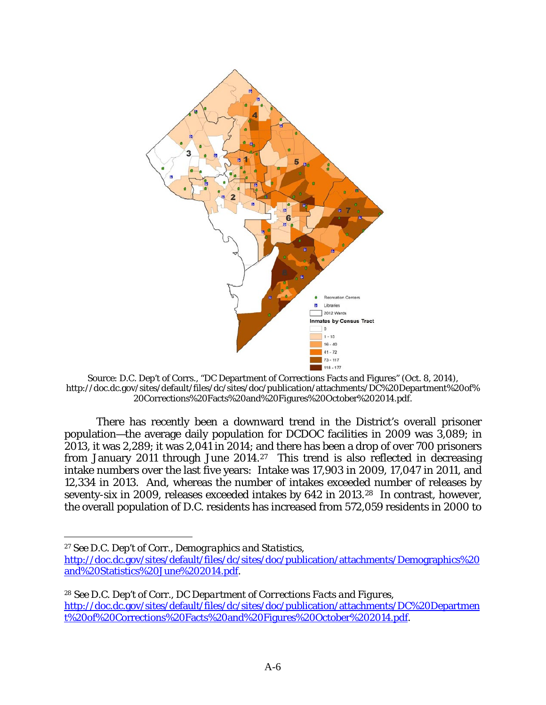

Source: D.C. Dep't of Corrs., "DC Department of Corrections Facts and Figures" (Oct. 8, 2014), http://doc.dc.gov/sites/default/files/dc/sites/doc/publication/attachments/DC%20Department%20of% 20Corrections%20Facts%20and%20Figures%20October%202014.pdf.

There has recently been a downward trend in the District's overall prisoner population—the average daily population for DCDOC facilities in 2009 was 3,089; in 2013, it was 2,289; it was 2,041 in 2014; and there has been a drop of over 700 prisoners from January 2011 through June 2014.[27](#page-60-0) This trend is also reflected in decreasing intake numbers over the last five years: Intake was 17,903 in 2009, 17,047 in 2011, and 12,334 in 2013. And, whereas the number of intakes exceeded number of releases by seventy-six in 2009, releases exceeded intakes by 642 in 2013.[28](#page-60-1) In contrast, however, the overall population of D.C. residents has increased from 572,059 residents in 2000 to

<span id="page-60-0"></span><sup>27</sup> *See* D.C. Dep't of Corr., *Demographics and Statistics*,

[http://doc.dc.gov/sites/default/files/dc/sites/doc/publication/attachments/Demographics%20](http://doc.dc.gov/sites/default/files/dc/sites/doc/publication/attachments/Demographics%20and%20Statistics%20June%202014.pdf) [and%20Statistics%20June%202014.pdf.](http://doc.dc.gov/sites/default/files/dc/sites/doc/publication/attachments/Demographics%20and%20Statistics%20June%202014.pdf)

<span id="page-60-1"></span><sup>28</sup> *See* D.C. Dep't of Corr., *DC Department of Corrections Facts and Figures*, [http://doc.dc.gov/sites/default/files/dc/sites/doc/publication/attachments/DC%20Departmen](http://doc.dc.gov/sites/default/files/dc/sites/doc/publication/attachments/DC%20Department%20of%20Corrections%20Facts%20and%20Figures%20October%202014.pdf) [t%20of%20Corrections%20Facts%20and%20Figures%20October%202014.pdf.](http://doc.dc.gov/sites/default/files/dc/sites/doc/publication/attachments/DC%20Department%20of%20Corrections%20Facts%20and%20Figures%20October%202014.pdf)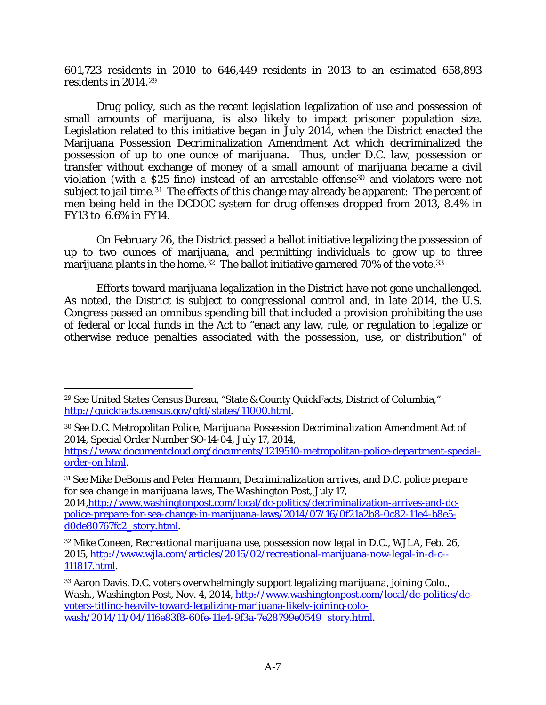601,723 residents in 2010 to 646,449 residents in 2013 to an estimated 658,893 residents in 2014.[29](#page-61-0) 

Drug policy, such as the recent legislation legalization of use and possession of small amounts of marijuana, is also likely to impact prisoner population size. Legislation related to this initiative began in July 2014, when the District enacted the Marijuana Possession Decriminalization Amendment Act which decriminalized the possession of up to one ounce of marijuana. Thus, under D.C. law, possession or transfer without exchange of money of a small amount of marijuana became a civil violation (with a \$25 fine) instead of an arrestable offense[30](#page-61-1) and violators were not subject to jail time.<sup>[31](#page-61-2)</sup> The effects of this change may already be apparent: The percent of men being held in the DCDOC system for drug offenses dropped from 2013, 8.4% in FY13 to 6.6% in FY14.

On February 26, the District passed a ballot initiative legalizing the possession of up to two ounces of marijuana, and permitting individuals to grow up to three marijuana plants in the home.<sup>32</sup> The ballot initiative garnered 70% of the vote.<sup>33</sup>

Efforts toward marijuana legalization in the District have not gone unchallenged. As noted, the District is subject to congressional control and, in late 2014, the U.S. Congress passed an omnibus spending bill that included a provision prohibiting the use of federal or local funds in the Act to "enact any law, rule, or regulation to legalize or otherwise reduce penalties associated with the possession, use, or distribution" of

<span id="page-61-0"></span><sup>29</sup> *See* United States Census Bureau, "State & County QuickFacts, District of Columbia," [http://quickfacts.census.gov/qfd/states/11000.html.](http://quickfacts.census.gov/qfd/states/11000.html)

<span id="page-61-1"></span><sup>30</sup> *See* D.C. Metropolitan Police, *Marijuana Possession Decriminalization Amendment Act of 2014*, Special Order Number SO-14-04, July 17, 2014,

[https://www.documentcloud.org/documents/1219510-metropolitan-police-department-special](https://www.documentcloud.org/documents/1219510-metropolitan-police-department-special-order-on.html)[order-on.html.](https://www.documentcloud.org/documents/1219510-metropolitan-police-department-special-order-on.html)

<span id="page-61-2"></span><sup>31</sup> *See* Mike DeBonis and Peter Hermann, *Decriminalization arrives, and D.C. police prepare for sea change in marijuana laws*, The Washington Post, July 17,

<sup>2014</sup>[,http://www.washingtonpost.com/local/dc-politics/decriminalization-arrives-and-dc](http://www.washingtonpost.com/local/dc-politics/decriminalization-arrives-and-dc-police-prepare-for-sea-change-in-marijuana-laws/2014/07/16/0f21a2b8-0c82-11e4-b8e5-d0de80767fc2_story.html)[police-prepare-for-sea-change-in-marijuana-laws/2014/07/16/0f21a2b8-0c82-11e4-b8e5](http://www.washingtonpost.com/local/dc-politics/decriminalization-arrives-and-dc-police-prepare-for-sea-change-in-marijuana-laws/2014/07/16/0f21a2b8-0c82-11e4-b8e5-d0de80767fc2_story.html) [d0de80767fc2\\_story.html.](http://www.washingtonpost.com/local/dc-politics/decriminalization-arrives-and-dc-police-prepare-for-sea-change-in-marijuana-laws/2014/07/16/0f21a2b8-0c82-11e4-b8e5-d0de80767fc2_story.html)

<span id="page-61-3"></span><sup>32</sup> Mike Coneen, *Recreational marijuana use, possession now legal in D.C.*, WJLA, Feb. 26, 2015, [http://www.wjla.com/articles/2015/02/recreational-marijuana-now-legal-in-d-c--](http://www.wjla.com/articles/2015/02/recreational-marijuana-now-legal-in-d-c--111817.html) [111817.html.](http://www.wjla.com/articles/2015/02/recreational-marijuana-now-legal-in-d-c--111817.html)

<span id="page-61-4"></span><sup>33</sup> Aaron Davis, *D.C. voters overwhelmingly support legalizing marijuana, joining Colo., Wash.*, Washington Post, Nov. 4, 2014[, http://www.washingtonpost.com/local/dc-politics/dc](http://www.washingtonpost.com/local/dc-politics/dc-voters-titling-heavily-toward-legalizing-marijuana-likely-joining-colo-wash/2014/11/04/116e83f8-60fe-11e4-9f3a-7e28799e0549_story.html)[voters-titling-heavily-toward-legalizing-marijuana-likely-joining-colo](http://www.washingtonpost.com/local/dc-politics/dc-voters-titling-heavily-toward-legalizing-marijuana-likely-joining-colo-wash/2014/11/04/116e83f8-60fe-11e4-9f3a-7e28799e0549_story.html)[wash/2014/11/04/116e83f8-60fe-11e4-9f3a-7e28799e0549\\_story.html.](http://www.washingtonpost.com/local/dc-politics/dc-voters-titling-heavily-toward-legalizing-marijuana-likely-joining-colo-wash/2014/11/04/116e83f8-60fe-11e4-9f3a-7e28799e0549_story.html)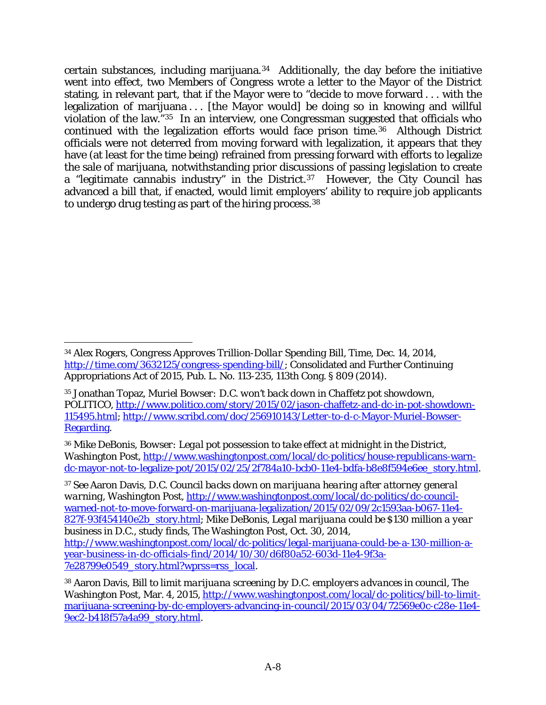certain substances, including marijuana.[34](#page-62-0) Additionally, the day before the initiative went into effect, two Members of Congress wrote a letter to the Mayor of the District stating, in relevant part, that if the Mayor were to "decide to move forward . . . with the legalization of marijuana . . . [the Mayor would] be doing so in knowing and willful violation of the law."[35](#page-62-1) In an interview, one Congressman suggested that officials who continued with the legalization efforts would face prison time.[36](#page-62-2) Although District officials were not deterred from moving forward with legalization, it appears that they have (at least for the time being) refrained from pressing forward with efforts to legalize the sale of marijuana, notwithstanding prior discussions of passing legislation to create a "legitimate cannabis industry" in the District.<sup>[37](#page-62-3)</sup> However, the City Council has advanced a bill that, if enacted, would limit employers' ability to require job applicants to undergo drug testing as part of the hiring process.[38](#page-62-4)

<span id="page-62-3"></span><sup>37</sup> *See* Aaron Davis, *D.C. Council backs down on marijuana hearing after attorney general warning*, Washington Post, [http://www.washingtonpost.com/local/dc-politics/dc-council](http://www.washingtonpost.com/local/dc-politics/dc-council-warned-not-to-move-forward-on-marijuana-legalization/2015/02/09/2c1593aa-b067-11e4-827f-93f454140e2b_story.html)[warned-not-to-move-forward-on-marijuana-legalization/2015/02/09/2c1593aa-b067-11e4-](http://www.washingtonpost.com/local/dc-politics/dc-council-warned-not-to-move-forward-on-marijuana-legalization/2015/02/09/2c1593aa-b067-11e4-827f-93f454140e2b_story.html) [827f-93f454140e2b\\_story.html;](http://www.washingtonpost.com/local/dc-politics/dc-council-warned-not-to-move-forward-on-marijuana-legalization/2015/02/09/2c1593aa-b067-11e4-827f-93f454140e2b_story.html) Mike DeBonis, *Legal marijuana could be \$130 million a year business in D.C., study finds*, The Washington Post, Oct. 30, 2014,

<span id="page-62-0"></span> $\overline{a}$ <sup>34</sup> Alex Rogers, *Congress Approves Trillion-Dollar Spending Bill,* Time, Dec. 14, 2014, [http://time.com/3632125/congress-spending-bill/;](http://time.com/3632125/congress-spending-bill/) Consolidated and Further Continuing Appropriations Act of 2015, Pub. L. No. 113-235, 113th Cong. § 809 (2014).

<span id="page-62-1"></span><sup>35</sup> Jonathan Topaz, *Muriel Bowser: D.C. won't back down in Chaffetz pot showdown*, POLITICO, [http://www.politico.com/story/2015/02/jason-chaffetz-and-dc-in-pot-showdown-](http://www.politico.com/story/2015/02/jason-chaffetz-and-dc-in-pot-showdown-115495.html)[115495.html;](http://www.politico.com/story/2015/02/jason-chaffetz-and-dc-in-pot-showdown-115495.html) [http://www.scribd.com/doc/256910143/Letter-to-d-c-Mayor-Muriel-Bowser-](http://www.scribd.com/doc/256910143/Letter-to-d-c-Mayor-Muriel-Bowser-Regarding)[Regarding.](http://www.scribd.com/doc/256910143/Letter-to-d-c-Mayor-Muriel-Bowser-Regarding)

<span id="page-62-2"></span><sup>36</sup> Mike DeBonis, *Bowser: Legal pot possession to take effect at midnight in the District*, Washington Post, [http://www.washingtonpost.com/local/dc-politics/house-republicans-warn](http://www.washingtonpost.com/local/dc-politics/house-republicans-warn-dc-mayor-not-to-legalize-pot/2015/02/25/2f784a10-bcb0-11e4-bdfa-b8e8f594e6ee_story.html)[dc-mayor-not-to-legalize-pot/2015/02/25/2f784a10-bcb0-11e4-bdfa-b8e8f594e6ee\\_story.html.](http://www.washingtonpost.com/local/dc-politics/house-republicans-warn-dc-mayor-not-to-legalize-pot/2015/02/25/2f784a10-bcb0-11e4-bdfa-b8e8f594e6ee_story.html)

[http://www.washingtonpost.com/local/dc-politics/legal-marijuana-could-be-a-130-million-a](http://www.washingtonpost.com/local/dc-politics/legal-marijuana-could-be-a-130-million-a-year-business-in-dc-officials-find/2014/10/30/d6f80a52-603d-11e4-9f3a-7e28799e0549_story.html?wprss=rss_local)[year-business-in-dc-officials-find/2014/10/30/d6f80a52-603d-11e4-9f3a-](http://www.washingtonpost.com/local/dc-politics/legal-marijuana-could-be-a-130-million-a-year-business-in-dc-officials-find/2014/10/30/d6f80a52-603d-11e4-9f3a-7e28799e0549_story.html?wprss=rss_local)[7e28799e0549\\_story.html?wprss=rss\\_local.](http://www.washingtonpost.com/local/dc-politics/legal-marijuana-could-be-a-130-million-a-year-business-in-dc-officials-find/2014/10/30/d6f80a52-603d-11e4-9f3a-7e28799e0549_story.html?wprss=rss_local)

<span id="page-62-4"></span><sup>38</sup> Aaron Davis, *Bill to limit marijuana screening by D.C. employers advances in council*, The Washington Post, Mar. 4, 2015, [http://www.washingtonpost.com/local/dc-politics/bill-to-limit](http://www.washingtonpost.com/local/dc-politics/bill-to-limit-marijuana-screening-by-dc-employers-advancing-in-council/2015/03/04/72569e0c-c28e-11e4-9ec2-b418f57a4a99_story.html)[marijuana-screening-by-dc-employers-advancing-in-council/2015/03/04/72569e0c-c28e-11e4-](http://www.washingtonpost.com/local/dc-politics/bill-to-limit-marijuana-screening-by-dc-employers-advancing-in-council/2015/03/04/72569e0c-c28e-11e4-9ec2-b418f57a4a99_story.html) [9ec2-b418f57a4a99\\_story.html.](http://www.washingtonpost.com/local/dc-politics/bill-to-limit-marijuana-screening-by-dc-employers-advancing-in-council/2015/03/04/72569e0c-c28e-11e4-9ec2-b418f57a4a99_story.html)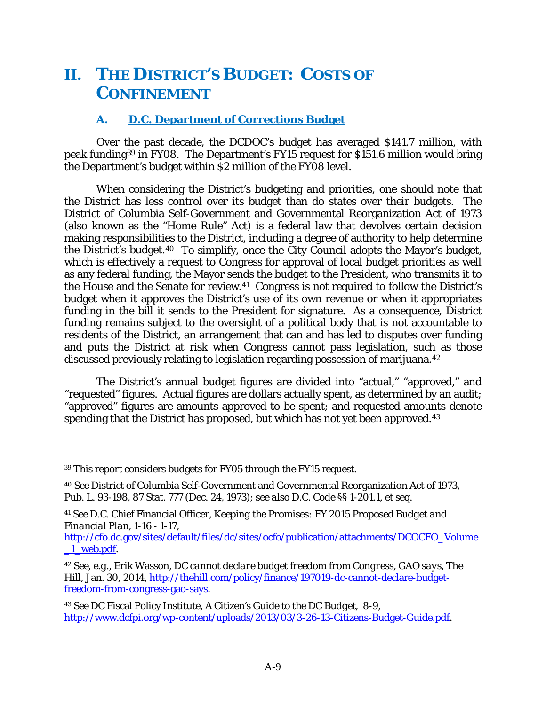# **II. THE DISTRICT'S BUDGET: COSTS OF CONFINEMENT**

## **A. D.C. Department of Corrections Budget**

Over the past decade, the DCDOC's budget has averaged \$141.7 million, with peak funding[39](#page-63-0) in FY08. The Department's FY15 request for \$151.6 million would bring the Department's budget within \$2 million of the FY08 level.

When considering the District's budgeting and priorities, one should note that the District has less control over its budget than do states over their budgets. The District of Columbia Self-Government and Governmental Reorganization Act of 1973 (also known as the "Home Rule" Act) is a federal law that devolves certain decision making responsibilities to the District, including a degree of authority to help determine the District's budget.[40](#page-63-1) To simplify, once the City Council adopts the Mayor's budget, which is effectively a request to Congress for approval of local budget priorities as well as any federal funding, the Mayor sends the budget to the President, who transmits it to the House and the Senate for review.[41](#page-63-2) Congress is not required to follow the District's budget when it approves the District's use of its own revenue or when it appropriates funding in the bill it sends to the President for signature. As a consequence, District funding remains subject to the oversight of a political body that is not accountable to residents of the District, an arrangement that can and has led to disputes over funding and puts the District at risk when Congress cannot pass legislation, such as those discussed previously relating to legislation regarding possession of marijuana.[42](#page-63-3) 

The District's annual budget figures are divided into "actual," "approved," and "requested" figures. Actual figures are dollars actually spent, as determined by an audit; "approved" figures are amounts approved to be spent; and requested amounts denote spending that the District has proposed, but which has not yet been approved.<sup>43</sup>

<span id="page-63-0"></span><sup>39</sup> This report considers budgets for FY05 through the FY15 request.

<span id="page-63-1"></span><sup>40</sup> *See* District of Columbia Self-Government and Governmental Reorganization Act of 1973, Pub. L. 93-198, 87 Stat. 777 (Dec. 24, 1973); *see also* D.C. Code §§ 1-201.1, *et seq.*

<span id="page-63-2"></span><sup>41</sup> *See* D.C. Chief Financial Officer, *Keeping the Promises: FY 2015 Proposed Budget and Financial Plan*, 1-16 - 1-17,

[http://cfo.dc.gov/sites/default/files/dc/sites/ocfo/publication/attachments/DCOCFO\\_Volume](http://cfo.dc.gov/sites/default/files/dc/sites/ocfo/publication/attachments/DCOCFO_Volume_1_web.pdf) [\\_1\\_web.pdf.](http://cfo.dc.gov/sites/default/files/dc/sites/ocfo/publication/attachments/DCOCFO_Volume_1_web.pdf)

<span id="page-63-3"></span><sup>42</sup> *See, e.g.*, Erik Wasson, *DC cannot declare budget freedom from Congress, GAO says*, The Hill, Jan. 30, 2014, [http://thehill.com/policy/finance/197019-dc-cannot-declare-budget](http://thehill.com/policy/finance/197019-dc-cannot-declare-budget-freedom-from-congress-gao-says)[freedom-from-congress-gao-says.](http://thehill.com/policy/finance/197019-dc-cannot-declare-budget-freedom-from-congress-gao-says)

<span id="page-63-4"></span><sup>43</sup> *See* DC Fiscal Policy Institute, *A Citizen's Guide to the DC Budget*, 8-9, [http://www.dcfpi.org/wp-content/uploads/2013/03/3-26-13-Citizens-Budget-Guide.pdf.](http://www.dcfpi.org/wp-content/uploads/2013/03/3-26-13-Citizens-Budget-Guide.pdf)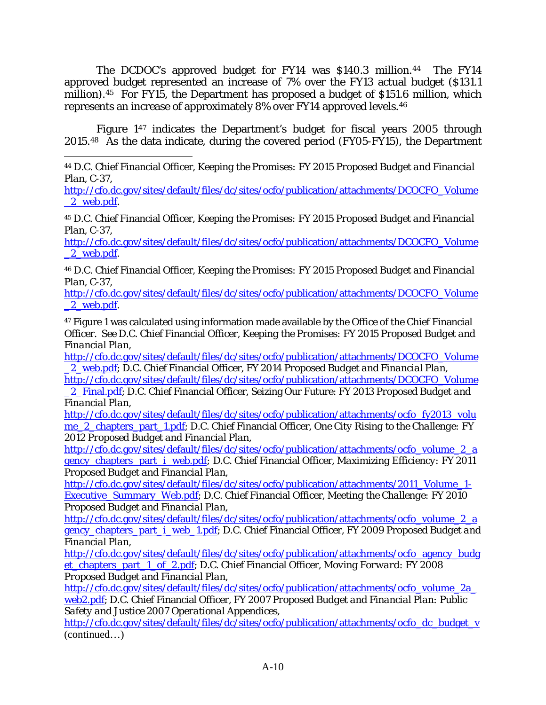The DCDOC's approved budget for FY14 was \$140.3 million.<sup>44</sup> The FY14 approved budget represented an increase of 7% over the FY13 actual budget (\$131.1 million).[45](#page-64-1) For FY15, the Department has proposed a budget of \$151.6 million, which represents an increase of approximately 8% over FY14 approved levels.[46](#page-64-2) 

Figure 1[47](#page-64-3) indicates the Department's budget for fiscal years 2005 through 2015.[48](#page-64-4) As the data indicate, during the covered period (FY05-FY15), the Department

<span id="page-64-0"></span> $\overline{a}$ <sup>44</sup> D.C. Chief Financial Officer, *Keeping the Promises: FY 2015 Proposed Budget and Financial Plan*, C-37,

[http://cfo.dc.gov/sites/default/files/dc/sites/ocfo/publication/attachments/DCOCFO\\_Volume](http://cfo.dc.gov/sites/default/files/dc/sites/ocfo/publication/attachments/DCOCFO_Volume_2_web.pdf) 2 web.pdf.

<span id="page-64-1"></span><sup>45</sup> D.C. Chief Financial Officer, *Keeping the Promises: FY 2015 Proposed Budget and Financial Plan*, C-37,

[http://cfo.dc.gov/sites/default/files/dc/sites/ocfo/publication/attachments/DCOCFO\\_Volume](http://cfo.dc.gov/sites/default/files/dc/sites/ocfo/publication/attachments/DCOCFO_Volume_2_web.pdf) [\\_2\\_web.pdf.](http://cfo.dc.gov/sites/default/files/dc/sites/ocfo/publication/attachments/DCOCFO_Volume_2_web.pdf)

<span id="page-64-2"></span><sup>46</sup> D.C. Chief Financial Officer, *Keeping the Promises: FY 2015 Proposed Budget and Financial Plan*, C-37,

[http://cfo.dc.gov/sites/default/files/dc/sites/ocfo/publication/attachments/DCOCFO\\_Volume](http://cfo.dc.gov/sites/default/files/dc/sites/ocfo/publication/attachments/DCOCFO_Volume_2_web.pdf) 2<sup>web.pdf.</sup>

<span id="page-64-3"></span><sup>47</sup> Figure 1 was calculated using information made available by the Office of the Chief Financial Officer. *See* D.C. Chief Financial Officer, *Keeping the Promises: FY 2015 Proposed Budget and Financial Plan,* 

[http://cfo.dc.gov/sites/default/files/dc/sites/ocfo/publication/attachments/DCOCFO\\_Volume](http://cfo.dc.gov/sites/default/files/dc/sites/ocfo/publication/attachments/DCOCFO_Volume_2_web.pdf) [\\_2\\_web.pdf;](http://cfo.dc.gov/sites/default/files/dc/sites/ocfo/publication/attachments/DCOCFO_Volume_2_web.pdf) D.C. Chief Financial Officer, *FY 2014 Proposed Budget and Financial Plan,*

[http://cfo.dc.gov/sites/default/files/dc/sites/ocfo/publication/attachments/DCOCFO\\_Volume](http://cfo.dc.gov/sites/default/files/dc/sites/ocfo/publication/attachments/DCOCFO_Volume_2_Final.pdf) [\\_2\\_Final.pdf;](http://cfo.dc.gov/sites/default/files/dc/sites/ocfo/publication/attachments/DCOCFO_Volume_2_Final.pdf) D.C. Chief Financial Officer, Seizing Our Future: *FY 2013 Proposed Budget and* 

*Financial Plan,* 

[http://cfo.dc.gov/sites/default/files/dc/sites/ocfo/publication/attachments/ocfo\\_fy2013\\_volu](http://cfo.dc.gov/sites/default/files/dc/sites/ocfo/publication/attachments/ocfo_fy2013_volume_2_chapters_part_1.pdf) [me\\_2\\_chapters\\_part\\_1.pdf;](http://cfo.dc.gov/sites/default/files/dc/sites/ocfo/publication/attachments/ocfo_fy2013_volume_2_chapters_part_1.pdf) D.C. Chief Financial Officer, *One City Rising to the Challenge: FY 2012 Proposed Budget and Financial Plan*,

[http://cfo.dc.gov/sites/default/files/dc/sites/ocfo/publication/attachments/ocfo\\_volume\\_2\\_a](http://cfo.dc.gov/sites/default/files/dc/sites/ocfo/publication/attachments/ocfo_volume_2_agency_chapters_part_i_web.pdf) [gency\\_chapters\\_part\\_i\\_web.pdf](http://cfo.dc.gov/sites/default/files/dc/sites/ocfo/publication/attachments/ocfo_volume_2_agency_chapters_part_i_web.pdf); D.C. Chief Financial Officer, *Maximizing Efficiency: FY 2011 Proposed Budget and Financial Plan*,

[http://cfo.dc.gov/sites/default/files/dc/sites/ocfo/publication/attachments/2011\\_Volume\\_1-](http://cfo.dc.gov/sites/default/files/dc/sites/ocfo/publication/attachments/2011_Volume_1-Executive_Summary_Web.pdf) [Executive\\_Summary\\_Web.pdf;](http://cfo.dc.gov/sites/default/files/dc/sites/ocfo/publication/attachments/2011_Volume_1-Executive_Summary_Web.pdf) D.C. Chief Financial Officer, *Meeting the Challenge: FY 2010 Proposed Budget and Financial Plan,* 

[http://cfo.dc.gov/sites/default/files/dc/sites/ocfo/publication/attachments/ocfo\\_volume\\_2\\_a](http://cfo.dc.gov/sites/default/files/dc/sites/ocfo/publication/attachments/ocfo_volume_2_agency_chapters_part_i_web_1.pdf) [gency\\_chapters\\_part\\_i\\_web\\_1.pdf;](http://cfo.dc.gov/sites/default/files/dc/sites/ocfo/publication/attachments/ocfo_volume_2_agency_chapters_part_i_web_1.pdf) D.C. Chief Financial Officer, *FY 2009 Proposed Budget and Financial Plan,* 

[http://cfo.dc.gov/sites/default/files/dc/sites/ocfo/publication/attachments/ocfo\\_agency\\_budg](http://cfo.dc.gov/sites/default/files/dc/sites/ocfo/publication/attachments/ocfo_agency_budget_chapters_part_1_of_2.pdf) [et\\_chapters\\_part\\_1\\_of\\_2.pdf;](http://cfo.dc.gov/sites/default/files/dc/sites/ocfo/publication/attachments/ocfo_agency_budget_chapters_part_1_of_2.pdf) D.C. Chief Financial Officer, *Moving Forward: FY 2008 Proposed Budget and Financial Plan*,

[http://cfo.dc.gov/sites/default/files/dc/sites/ocfo/publication/attachments/ocfo\\_volume\\_2a\\_](http://cfo.dc.gov/sites/default/files/dc/sites/ocfo/publication/attachments/ocfo_volume_2a_web2.pdf) [web2.pdf;](http://cfo.dc.gov/sites/default/files/dc/sites/ocfo/publication/attachments/ocfo_volume_2a_web2.pdf) D.C. Chief Financial Officer, *FY 2007 Proposed Budget and Financial Plan: Public Safety and Justice 2007 Operational Appendices,* 

<span id="page-64-4"></span>[http://cfo.dc.gov/sites/default/files/dc/sites/ocfo/publication/attachments/ocfo\\_dc\\_budget\\_v](http://cfo.dc.gov/sites/default/files/dc/sites/ocfo/publication/attachments/ocfo_dc_budget_volume_3d.pdf) (continued…)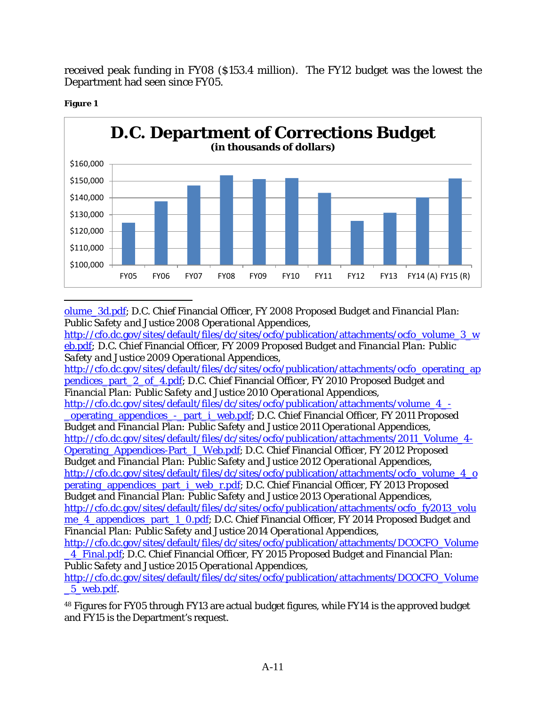received peak funding in FY08 (\$153.4 million). The FY12 budget was the lowest the Department had seen since FY05.



#### **Figure 1**

[olume\\_3d.pdf;](http://cfo.dc.gov/sites/default/files/dc/sites/ocfo/publication/attachments/ocfo_dc_budget_volume_3d.pdf) D.C. Chief Financial Officer, *FY 2008 Proposed Budget and Financial Plan: Public Safety and Justice 2008 Operational Appendices*,

[http://cfo.dc.gov/sites/default/files/dc/sites/ocfo/publication/attachments/ocfo\\_volume\\_3\\_w](http://cfo.dc.gov/sites/default/files/dc/sites/ocfo/publication/attachments/ocfo_volume_3_web.pdf) [eb.pdf](http://cfo.dc.gov/sites/default/files/dc/sites/ocfo/publication/attachments/ocfo_volume_3_web.pdf)*;* D.C. Chief Financial Officer, *FY 2009 Proposed Budget and Financial Plan: Public Safety and Justice 2009 Operational Appendices,*  [http://cfo.dc.gov/sites/default/files/dc/sites/ocfo/publication/attachments/ocfo\\_operating\\_ap](http://cfo.dc.gov/sites/default/files/dc/sites/ocfo/publication/attachments/ocfo_operating_appendices_part_2_of_4.pdf) [pendices\\_part\\_2\\_of\\_4.pdf;](http://cfo.dc.gov/sites/default/files/dc/sites/ocfo/publication/attachments/ocfo_operating_appendices_part_2_of_4.pdf) D.C. Chief Financial Officer, *FY 2010 Proposed Budget and* 

*Financial Plan: Public Safety and Justice 2010 Operational Appendices,* 

[http://cfo.dc.gov/sites/default/files/dc/sites/ocfo/publication/attachments/volume\\_4\\_-](http://cfo.dc.gov/sites/default/files/dc/sites/ocfo/publication/attachments/volume_4_-_operating_appendices_-_part_i_web.pdf) [\\_operating\\_appendices\\_-\\_part\\_i\\_web.pdf;](http://cfo.dc.gov/sites/default/files/dc/sites/ocfo/publication/attachments/volume_4_-_operating_appendices_-_part_i_web.pdf) D.C. Chief Financial Officer, *FY 2011 Proposed Budget and Financial Plan: Public Safety and Justice 2011 Operational Appendices,*  [http://cfo.dc.gov/sites/default/files/dc/sites/ocfo/publication/attachments/2011\\_Volume\\_4-](http://cfo.dc.gov/sites/default/files/dc/sites/ocfo/publication/attachments/2011_Volume_4-Operating_Appendices-Part_I_Web.pdf) [Operating\\_Appendices-Part\\_I\\_Web.pdf;](http://cfo.dc.gov/sites/default/files/dc/sites/ocfo/publication/attachments/2011_Volume_4-Operating_Appendices-Part_I_Web.pdf) D.C. Chief Financial Officer, *FY 2012 Proposed Budget and Financial Plan: Public Safety and Justice 2012 Operational Appendices,*  [http://cfo.dc.gov/sites/default/files/dc/sites/ocfo/publication/attachments/ocfo\\_volume\\_4\\_o](http://cfo.dc.gov/sites/default/files/dc/sites/ocfo/publication/attachments/ocfo_volume_4_operating_appendices_part_i_web_r.pdf) [perating\\_appendices\\_part\\_i\\_web\\_r.pdf;](http://cfo.dc.gov/sites/default/files/dc/sites/ocfo/publication/attachments/ocfo_volume_4_operating_appendices_part_i_web_r.pdf) D.C. Chief Financial Officer, *FY 2013 Proposed Budget and Financial Plan: Public Safety and Justice 2013 Operational Appendices,*  [http://cfo.dc.gov/sites/default/files/dc/sites/ocfo/publication/attachments/ocfo\\_fy2013\\_volu](http://cfo.dc.gov/sites/default/files/dc/sites/ocfo/publication/attachments/ocfo_fy2013_volume_4_appendices_part_1_0.pdf) [me\\_4\\_appendices\\_part\\_1\\_0.pdf;](http://cfo.dc.gov/sites/default/files/dc/sites/ocfo/publication/attachments/ocfo_fy2013_volume_4_appendices_part_1_0.pdf) D.C. Chief Financial Officer, *FY 2014 Proposed Budget and*

*Financial Plan: Public Safety and Justice 2014 Operational Appendices,*  [http://cfo.dc.gov/sites/default/files/dc/sites/ocfo/publication/attachments/DCOCFO\\_Volume](http://cfo.dc.gov/sites/default/files/dc/sites/ocfo/publication/attachments/DCOCFO_Volume_4_Final.pdf)

[\\_4\\_Final.pdf;](http://cfo.dc.gov/sites/default/files/dc/sites/ocfo/publication/attachments/DCOCFO_Volume_4_Final.pdf) D.C. Chief Financial Officer, *FY 2015 Proposed Budget and Financial Plan: Public Safety and Justice 2015 Operational Appendices,* 

[http://cfo.dc.gov/sites/default/files/dc/sites/ocfo/publication/attachments/DCOCFO\\_Volume](http://cfo.dc.gov/sites/default/files/dc/sites/ocfo/publication/attachments/DCOCFO_Volume_5_web.pdf) [\\_5\\_web.pdf.](http://cfo.dc.gov/sites/default/files/dc/sites/ocfo/publication/attachments/DCOCFO_Volume_5_web.pdf)

<sup>48</sup> Figures for FY05 through FY13 are actual budget figures, while FY14 is the approved budget and FY15 is the Department's request.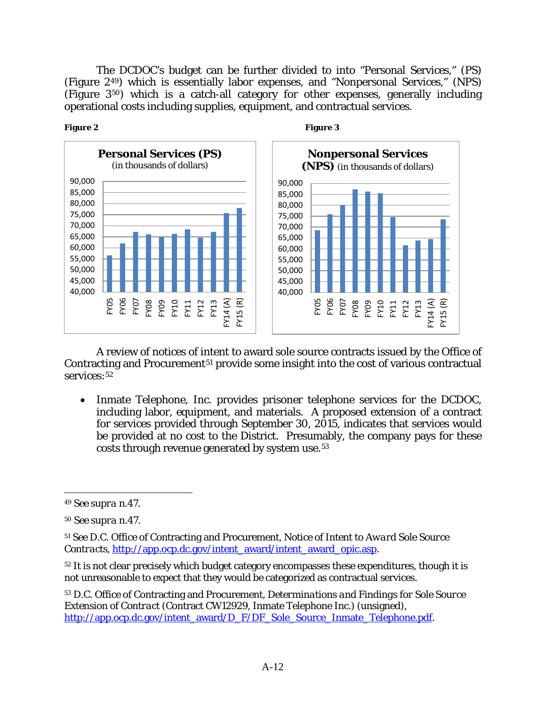The DCDOC's budget can be further divided to into "Personal Services," (PS) (Figure 2[49\)](#page-66-0) which is essentially labor expenses, and "Nonpersonal Services," (NPS) (Figure 3[50](#page-66-1)) which is a catch-all category for other expenses, generally including operational costs including supplies, equipment, and contractual services.





A review of notices of intent to award sole source contracts issued by the Office of Contracting and Procurement<sup>[51](#page-66-2)</sup> provide some insight into the cost of various contractual services: [52](#page-66-3)

• Inmate Telephone, Inc. provides prisoner telephone services for the DCDOC, including labor, equipment, and materials. A proposed extension of a contract for services provided through September 30, 2015, indicates that services would be provided at no cost to the District. Presumably, the company pays for these costs through revenue generated by system use.[53](#page-66-4) 

 $\overline{a}$ 

<span id="page-66-3"></span><sup>52</sup> It is not clear precisely which budget category encompasses these expenditures, though it is not unreasonable to expect that they would be categorized as contractual services.

<span id="page-66-4"></span><sup>53</sup> D.C. Office of Contracting and Procurement, *Determinations and Findings for Sole Source Extension of Contract* (Contract CW12929, Inmate Telephone Inc.) (unsigned), [http://app.ocp.dc.gov/intent\\_award/D\\_F/DF\\_Sole\\_Source\\_Inmate\\_Telephone.pdf.](http://app.ocp.dc.gov/intent_award/D_F/DF_Sole_Source_Inmate_Telephone.pdf)

<span id="page-66-0"></span><sup>49</sup> *See supra* n.47.

<span id="page-66-1"></span><sup>50</sup> *See supra* n.47.

<span id="page-66-2"></span><sup>51</sup> *See* D.C. Office of Contracting and Procurement, *Notice of Intent to Award Sole Source Contracts*, [http://app.ocp.dc.gov/intent\\_award/intent\\_award\\_opic.asp.](http://app.ocp.dc.gov/intent_award/intent_award_opic.asp)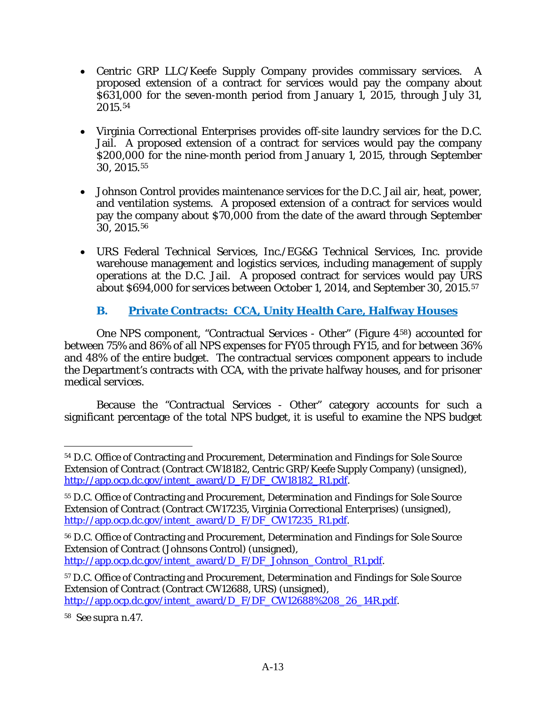- Centric GRP LLC/Keefe Supply Company provides commissary services. A proposed extension of a contract for services would pay the company about \$631,000 for the seven-month period from January 1, 2015, through July 31, 2015.[54](#page-67-0)
- Virginia Correctional Enterprises provides off-site laundry services for the D.C. Jail. A proposed extension of a contract for services would pay the company \$200,000 for the nine-month period from January 1, 2015, through September 30, 2015.[55](#page-67-1)
- Johnson Control provides maintenance services for the D.C. Jail air, heat, power, and ventilation systems. A proposed extension of a contract for services would pay the company about \$70,000 from the date of the award through September 30, 2015.[56](#page-67-2)
- URS Federal Technical Services, Inc./EG&G Technical Services, Inc. provide warehouse management and logistics services, including management of supply operations at the D.C. Jail. A proposed contract for services would pay URS about \$694,000 for services between October 1, 2014, and September 30, 2015.[57](#page-67-3)

# **B. Private Contracts: CCA, Unity Health Care, Halfway Houses**

One NPS component, "Contractual Services - Other" (Figure 4[58](#page-67-4)) accounted for between 75% and 86% of all NPS expenses for FY05 through FY15, and for between 36% and 48% of the entire budget. The contractual services component appears to include the Department's contracts with CCA, with the private halfway houses, and for prisoner medical services.

Because the "Contractual Services - Other" category accounts for such a significant percentage of the total NPS budget, it is useful to examine the NPS budget

<span id="page-67-4"></span><sup>58</sup> *See supra* n.47.

<span id="page-67-0"></span> $\overline{a}$ <sup>54</sup> D.C. Office of Contracting and Procurement, *Determination and Findings for Sole Source Extension of Contract* (Contract CW18182, Centric GRP/Keefe Supply Company) (unsigned), [http://app.ocp.dc.gov/intent\\_award/D\\_F/DF\\_CW18182\\_R1.pdf.](http://app.ocp.dc.gov/intent_award/D_F/DF_CW18182_R1.pdf)

<span id="page-67-1"></span><sup>55</sup> D.C. Office of Contracting and Procurement, *Determination and Findings for Sole Source Extension of Contract* (Contract CW17235, Virginia Correctional Enterprises) (unsigned), [http://app.ocp.dc.gov/intent\\_award/D\\_F/DF\\_CW17235\\_R1.pdf.](http://app.ocp.dc.gov/intent_award/D_F/DF_CW17235_R1.pdf)

<span id="page-67-2"></span><sup>56</sup> D.C. Office of Contracting and Procurement, *Determination and Findings for Sole Source Extension of Contract* (Johnsons Control) (unsigned), [http://app.ocp.dc.gov/intent\\_award/D\\_F/DF\\_Johnson\\_Control\\_R1.pdf.](http://app.ocp.dc.gov/intent_award/D_F/DF_Johnson_Control_R1.pdf)

<span id="page-67-3"></span><sup>57</sup> D.C. Office of Contracting and Procurement, *Determination and Findings for Sole Source Extension of Contract* (Contract CW12688, URS) (unsigned), [http://app.ocp.dc.gov/intent\\_award/D\\_F/DF\\_CW12688%208\\_26\\_14R.pdf.](http://app.ocp.dc.gov/intent_award/D_F/DF_CW12688%208_26_14R.pdf)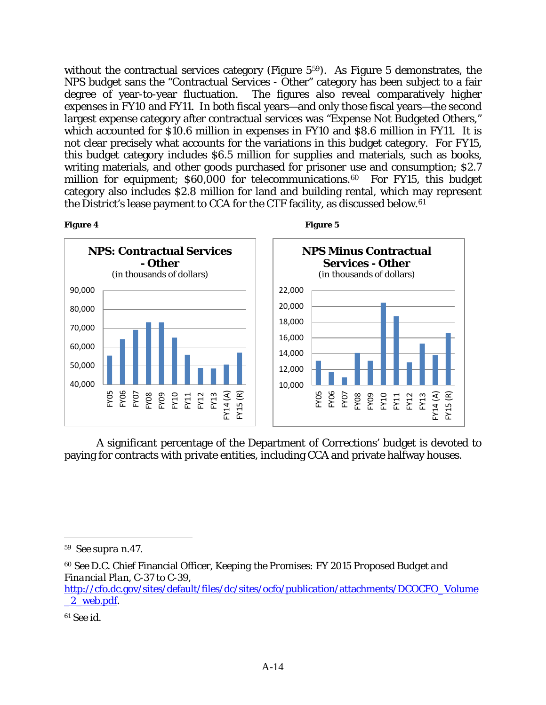without the contractual services category (Figure 5<sup>[59](#page-68-0)</sup>). As Figure 5 demonstrates, the NPS budget sans the "Contractual Services - Other" category has been subject to a fair degree of year-to-year fluctuation. The figures also reveal comparatively higher expenses in FY10 and FY11. In both fiscal years—and only those fiscal years—the second largest expense category after contractual services was "Expense Not Budgeted Others," which accounted for \$10.6 million in expenses in FY10 and \$8.6 million in FY11. It is not clear precisely what accounts for the variations in this budget category. For FY15, this budget category includes \$6.5 million for supplies and materials, such as books, writing materials, and other goods purchased for prisoner use and consumption; \$2.7 million for equipment; \$60,000 for telecommunications.<sup>60</sup> For FY15, this budget category also includes \$2.8 million for land and building rental, which may represent the District's lease payment to CCA for the CTF facility, as discussed below.[61](#page-68-2)





A significant percentage of the Department of Corrections' budget is devoted to paying for contracts with private entities, including CCA and private halfway houses.

<span id="page-68-0"></span><sup>59</sup> *See supra* n.47.

<span id="page-68-1"></span><sup>60</sup> *See* D.C. Chief Financial Officer, *Keeping the Promises: FY 2015 Proposed Budget and Financial Plan*, C-37 to C-39,

[http://cfo.dc.gov/sites/default/files/dc/sites/ocfo/publication/attachments/DCOCFO\\_Volume](http://cfo.dc.gov/sites/default/files/dc/sites/ocfo/publication/attachments/DCOCFO_Volume_2_web.pdf) [\\_2\\_web.pdf.](http://cfo.dc.gov/sites/default/files/dc/sites/ocfo/publication/attachments/DCOCFO_Volume_2_web.pdf)

<span id="page-68-2"></span><sup>61</sup> *See id.*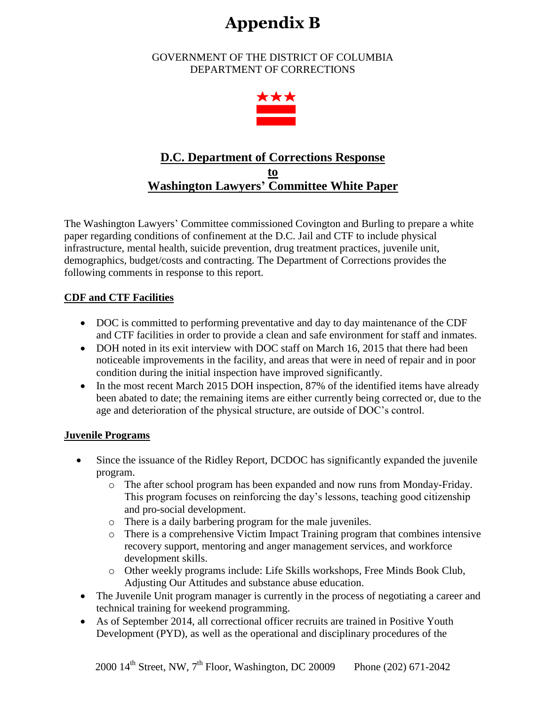# **Appendix B**

GOVERNMENT OF THE DISTRICT OF COLUMBIA DEPARTMENT OF CORRECTIONS



# **D.C. Department of Corrections Response to Washington Lawyers' Committee White Paper**

The Washington Lawyers' Committee commissioned Covington and Burling to prepare a white paper regarding conditions of confinement at the D.C. Jail and CTF to include physical infrastructure, mental health, suicide prevention, drug treatment practices, juvenile unit, demographics, budget/costs and contracting. The Department of Corrections provides the following comments in response to this report.

# **CDF and CTF Facilities**

- DOC is committed to performing preventative and day to day maintenance of the CDF and CTF facilities in order to provide a clean and safe environment for staff and inmates.
- DOH noted in its exit interview with DOC staff on March 16, 2015 that there had been noticeable improvements in the facility, and areas that were in need of repair and in poor condition during the initial inspection have improved significantly.
- In the most recent March 2015 DOH inspection, 87% of the identified items have already been abated to date; the remaining items are either currently being corrected or, due to the age and deterioration of the physical structure, are outside of DOC's control.

### **Juvenile Programs**

- Since the issuance of the Ridley Report, DCDOC has significantly expanded the juvenile program.
	- o The after school program has been expanded and now runs from Monday-Friday. This program focuses on reinforcing the day's lessons, teaching good citizenship and pro-social development.
	- o There is a daily barbering program for the male juveniles.
	- o There is a comprehensive Victim Impact Training program that combines intensive recovery support, mentoring and anger management services, and workforce development skills.
	- o Other weekly programs include: Life Skills workshops, Free Minds Book Club, Adjusting Our Attitudes and substance abuse education.
- The Juvenile Unit program manager is currently in the process of negotiating a career and technical training for weekend programming.
- As of September 2014, all correctional officer recruits are trained in Positive Youth Development (PYD), as well as the operational and disciplinary procedures of the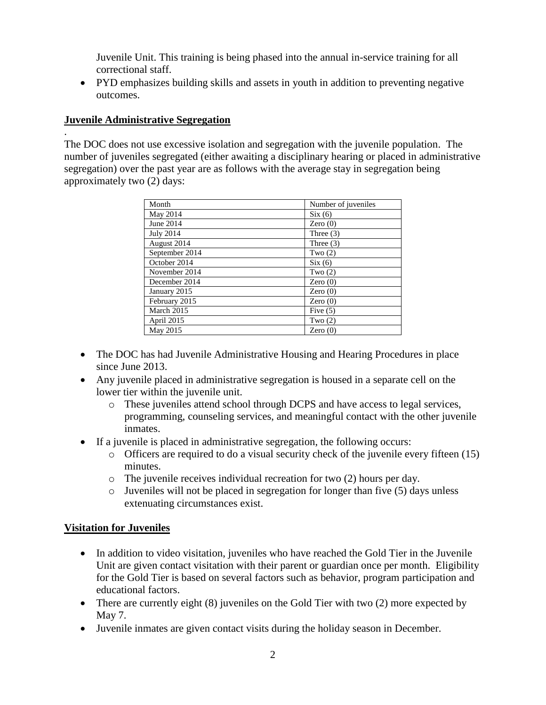Juvenile Unit. This training is being phased into the annual in-service training for all correctional staff.

• PYD emphasizes building skills and assets in youth in addition to preventing negative outcomes.

### **Juvenile Administrative Segregation**

.

The DOC does not use excessive isolation and segregation with the juvenile population. The number of juveniles segregated (either awaiting a disciplinary hearing or placed in administrative segregation) over the past year are as follows with the average stay in segregation being approximately two (2) days:

| Month            | Number of juveniles |
|------------------|---------------------|
| May 2014         | Six(6)              |
| June 2014        | Zero $(0)$          |
| <b>July 2014</b> | Three $(3)$         |
| August 2014      | Three $(3)$         |
| September 2014   | Two $(2)$           |
| October 2014     | Six(6)              |
| November 2014    | Two $(2)$           |
| December 2014    | Zero $(0)$          |
| January 2015     | Zero $(0)$          |
| February 2015    | Zero $(0)$          |
| March 2015       | Five $(5)$          |
| April 2015       | Two $(2)$           |
| May 2015         | Zero $(0)$          |

- The DOC has had Juvenile Administrative Housing and Hearing Procedures in place since June 2013.
- Any juvenile placed in administrative segregation is housed in a separate cell on the lower tier within the juvenile unit.
	- o These juveniles attend school through DCPS and have access to legal services, programming, counseling services, and meaningful contact with the other juvenile inmates.
- If a juvenile is placed in administrative segregation, the following occurs:
	- o Officers are required to do a visual security check of the juvenile every fifteen (15) minutes.
	- o The juvenile receives individual recreation for two (2) hours per day.
	- o Juveniles will not be placed in segregation for longer than five (5) days unless extenuating circumstances exist.

# **Visitation for Juveniles**

- In addition to video visitation, juveniles who have reached the Gold Tier in the Juvenile Unit are given contact visitation with their parent or guardian once per month. Eligibility for the Gold Tier is based on several factors such as behavior, program participation and educational factors.
- There are currently eight (8) juveniles on the Gold Tier with two (2) more expected by May 7.
- Juvenile inmates are given contact visits during the holiday season in December.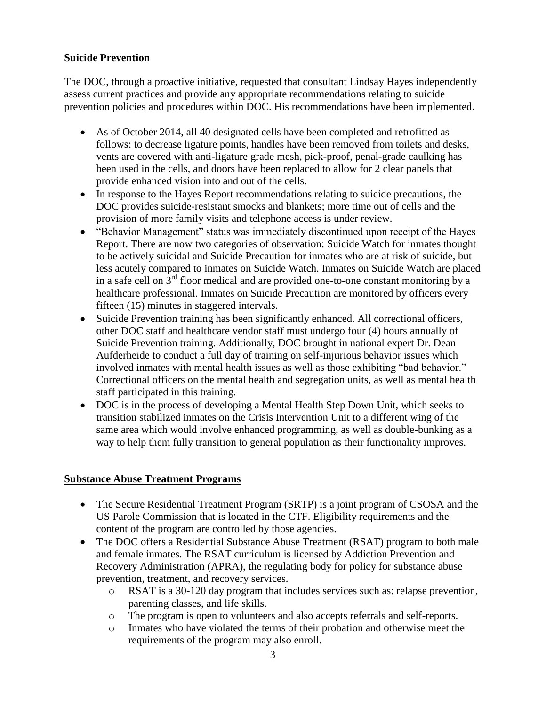### **Suicide Prevention**

The DOC, through a proactive initiative, requested that consultant Lindsay Hayes independently assess current practices and provide any appropriate recommendations relating to suicide prevention policies and procedures within DOC. His recommendations have been implemented.

- As of October 2014, all 40 designated cells have been completed and retrofitted as follows: to decrease ligature points, handles have been removed from toilets and desks, vents are covered with anti-ligature grade mesh, pick-proof, penal-grade caulking has been used in the cells, and doors have been replaced to allow for 2 clear panels that provide enhanced vision into and out of the cells.
- In response to the Hayes Report recommendations relating to suicide precautions, the DOC provides suicide-resistant smocks and blankets; more time out of cells and the provision of more family visits and telephone access is under review.
- "Behavior Management" status was immediately discontinued upon receipt of the Hayes Report. There are now two categories of observation: Suicide Watch for inmates thought to be actively suicidal and Suicide Precaution for inmates who are at risk of suicide, but less acutely compared to inmates on Suicide Watch. Inmates on Suicide Watch are placed in a safe cell on  $3<sup>rd</sup>$  floor medical and are provided one-to-one constant monitoring by a healthcare professional. Inmates on Suicide Precaution are monitored by officers every fifteen (15) minutes in staggered intervals.
- Suicide Prevention training has been significantly enhanced. All correctional officers, other DOC staff and healthcare vendor staff must undergo four (4) hours annually of Suicide Prevention training. Additionally, DOC brought in national expert Dr. Dean Aufderheide to conduct a full day of training on self-injurious behavior issues which involved inmates with mental health issues as well as those exhibiting "bad behavior." Correctional officers on the mental health and segregation units, as well as mental health staff participated in this training.
- DOC is in the process of developing a Mental Health Step Down Unit, which seeks to transition stabilized inmates on the Crisis Intervention Unit to a different wing of the same area which would involve enhanced programming, as well as double-bunking as a way to help them fully transition to general population as their functionality improves.

# **Substance Abuse Treatment Programs**

- The Secure Residential Treatment Program (SRTP) is a joint program of CSOSA and the US Parole Commission that is located in the CTF. Eligibility requirements and the content of the program are controlled by those agencies.
- The DOC offers a Residential Substance Abuse Treatment (RSAT) program to both male and female inmates. The RSAT curriculum is licensed by Addiction Prevention and Recovery Administration (APRA), the regulating body for policy for substance abuse prevention, treatment, and recovery services.
	- o RSAT is a 30-120 day program that includes services such as: relapse prevention, parenting classes, and life skills.
	- o The program is open to volunteers and also accepts referrals and self-reports.
	- o Inmates who have violated the terms of their probation and otherwise meet the requirements of the program may also enroll.